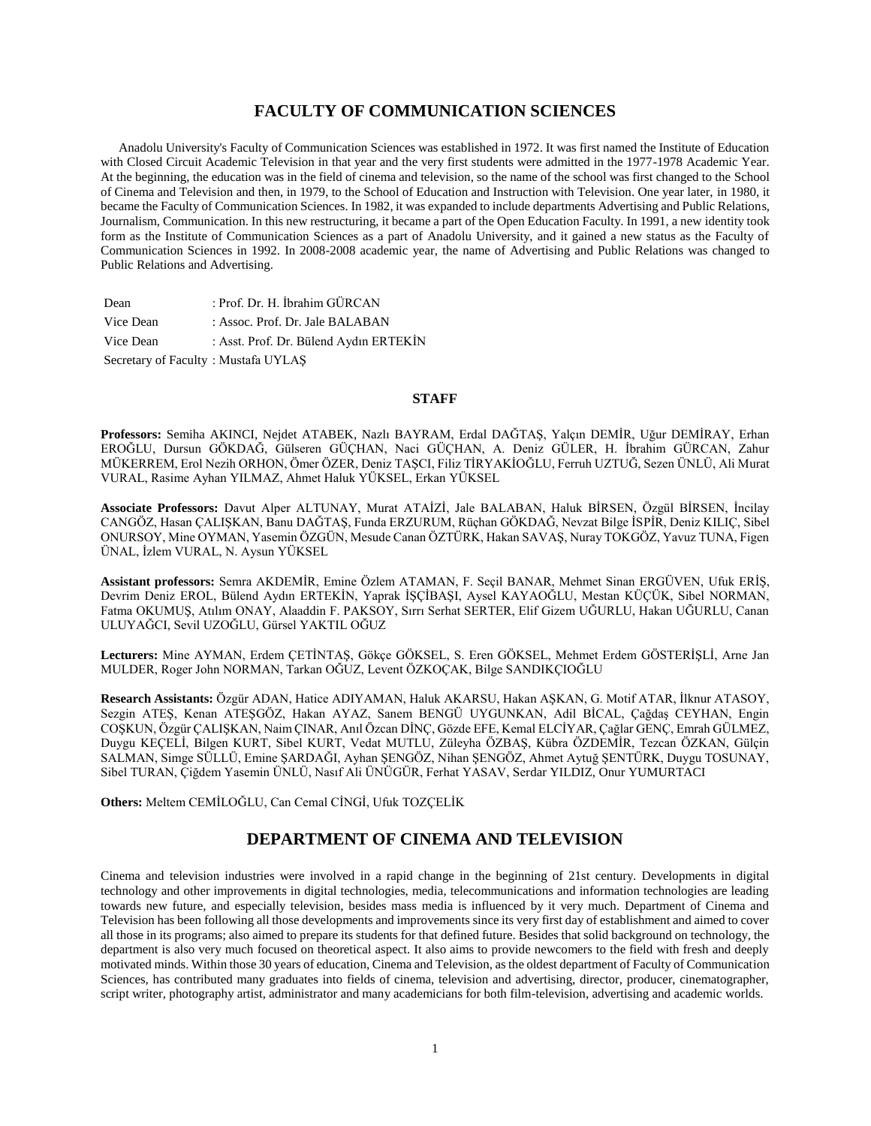# **FACULTY OF COMMUNICATION SCIENCES**

 Anadolu University's Faculty of Communication Sciences was established in 1972. It was first named the Institute of Education with Closed Circuit Academic Television in that year and the very first students were admitted in the 1977-1978 Academic Year. At the beginning, the education was in the field of cinema and television, so the name of the school was first changed to the School of Cinema and Television and then, in 1979, to the School of Education and Instruction with Television. One year later, in 1980, it became the Faculty of Communication Sciences. In 1982, it was expanded to include departments Advertising and Public Relations, Journalism, Communication. In this new restructuring, it became a part of the Open Education Faculty. In 1991, a new identity took form as the Institute of Communication Sciences as a part of Anadolu University, and it gained a new status as the Faculty of Communication Sciences in 1992. In 2008-2008 academic year, the name of Advertising and Public Relations was changed to Public Relations and Advertising.

| Dean                                | : Prof. Dr. H. İbrahim GÜRCAN          |
|-------------------------------------|----------------------------------------|
| Vice Dean                           | : Assoc. Prof. Dr. Jale BALABAN        |
| Vice Dean                           | : Asst. Prof. Dr. Bülend Aydın ERTEKİN |
| Secretary of Faculty: Mustafa UYLAŞ |                                        |

#### **STAFF**

**Professors:** Semiha AKINCI, Nejdet ATABEK, Nazlı BAYRAM, Erdal DAĞTAŞ, Yalçın DEMİR, Uğur DEMİRAY, Erhan EROĞLU, Dursun GÖKDAĞ, Gülseren GÜÇHAN, Naci GÜÇHAN, A. Deniz GÜLER, H. İbrahim GÜRCAN, Zahur MÜKERREM, Erol Nezih ORHON, Ömer ÖZER, Deniz TAŞCI, Filiz TİRYAKİOĞLU, Ferruh UZTUĞ, Sezen ÜNLÜ, Ali Murat VURAL, Rasime Ayhan YILMAZ, Ahmet Haluk YÜKSEL, Erkan YÜKSEL

**Associate Professors:** Davut Alper ALTUNAY, Murat ATAİZİ, Jale BALABAN, Haluk BİRSEN, Özgül BİRSEN, İncilay CANGÖZ, Hasan ÇALIŞKAN, Banu DAĞTAŞ, Funda ERZURUM, Rüçhan GÖKDAĞ, Nevzat Bilge İSPİR, Deniz KILIÇ, Sibel ONURSOY, Mine OYMAN, Yasemin ÖZGÜN, Mesude Canan ÖZTÜRK, Hakan SAVAŞ, Nuray TOKGÖZ, Yavuz TUNA, Figen ÜNAL, İzlem VURAL, N. Aysun YÜKSEL

**Assistant professors:** Semra AKDEMİR, Emine Özlem ATAMAN, F. Seçil BANAR, Mehmet Sinan ERGÜVEN, Ufuk ERİŞ, Devrim Deniz EROL, Bülend Aydın ERTEKİN, Yaprak İŞÇİBAŞI, Aysel KAYAOĞLU, Mestan KÜÇÜK, Sibel NORMAN, Fatma OKUMUŞ, Atılım ONAY, Alaaddin F. PAKSOY, Sırrı Serhat SERTER, Elif Gizem UĞURLU, Hakan UĞURLU, Canan ULUYAĞCI, Sevil UZOĞLU, Gürsel YAKTIL OĞUZ

**Lecturers:** Mine AYMAN, Erdem ÇETİNTAŞ, Gökçe GÖKSEL, S. Eren GÖKSEL, Mehmet Erdem GÖSTERİŞLİ, Arne Jan MULDER, Roger John NORMAN, Tarkan OĞUZ, Levent ÖZKOÇAK, Bilge SANDIKÇIOĞLU

**Research Assistants:** Özgür ADAN, Hatice ADIYAMAN, Haluk AKARSU, Hakan AŞKAN, G. Motif ATAR, İlknur ATASOY, Sezgin ATEŞ, Kenan ATEŞGÖZ, Hakan AYAZ, Sanem BENGÜ UYGUNKAN, Adil BİCAL, Çağdaş CEYHAN, Engin COŞKUN, Özgür ÇALIŞKAN, Naim ÇINAR, Anıl Özcan DİNÇ, Gözde EFE, Kemal ELCİYAR, Çağlar GENÇ, Emrah GÜLMEZ, Duygu KEÇELİ, Bilgen KURT, Sibel KURT, Vedat MUTLU, Züleyha ÖZBAŞ, Kübra ÖZDEMİR, Tezcan ÖZKAN, Gülçin SALMAN, Simge SÜLLÜ, Emine ŞARDAĞI, Ayhan ŞENGÖZ, Nihan ŞENGÖZ, Ahmet Aytuğ ŞENTÜRK, Duygu TOSUNAY, Sibel TURAN, Çiğdem Yasemin ÜNLÜ, Nasıf Ali ÜNÜGÜR, Ferhat YASAV, Serdar YILDIZ, Onur YUMURTACI

**Others:** Meltem CEMİLOĞLU, Can Cemal CİNGİ, Ufuk TOZÇELİK

# **DEPARTMENT OF CINEMA AND TELEVISION**

Cinema and television industries were involved in a rapid change in the beginning of 21st century. Developments in digital technology and other improvements in digital technologies, media, telecommunications and information technologies are leading towards new future, and especially television, besides mass media is influenced by it very much. Department of Cinema and Television has been following all those developments and improvements since its very first day of establishment and aimed to cover all those in its programs; also aimed to prepare its students for that defined future. Besides that solid background on technology, the department is also very much focused on theoretical aspect. It also aims to provide newcomers to the field with fresh and deeply motivated minds. Within those 30 years of education, Cinema and Television, as the oldest department of Faculty of Communication Sciences, has contributed many graduates into fields of cinema, television and advertising, director, producer, cinematographer, script writer, photography artist, administrator and many academicians for both film-television, advertising and academic worlds.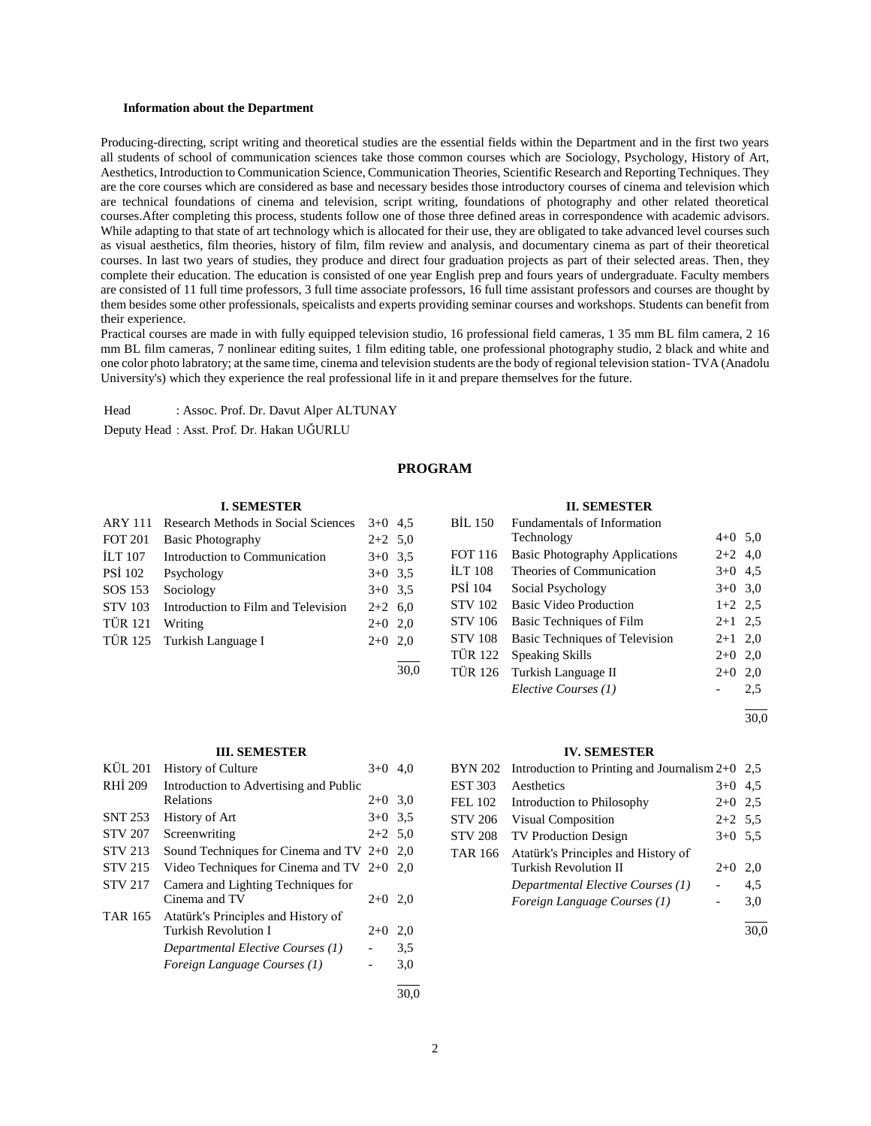#### **Information about the Department**

Producing-directing, script writing and theoretical studies are the essential fields within the Department and in the first two years all students of school of communication sciences take those common courses which are Sociology, Psychology, History of Art, Aesthetics, Introduction to Communication Science, Communication Theories, Scientific Research and Reporting Techniques. They are the core courses which are considered as base and necessary besides those introductory courses of cinema and television which are technical foundations of cinema and television, script writing, foundations of photography and other related theoretical courses.After completing this process, students follow one of those three defined areas in correspondence with academic advisors. While adapting to that state of art technology which is allocated for their use, they are obligated to take advanced level courses such as visual aesthetics, film theories, history of film, film review and analysis, and documentary cinema as part of their theoretical courses. In last two years of studies, they produce and direct four graduation projects as part of their selected areas. Then, they complete their education. The education is consisted of one year English prep and fours years of undergraduate. Faculty members are consisted of 11 full time professors, 3 full time associate professors, 16 full time assistant professors and courses are thought by them besides some other professionals, speicalists and experts providing seminar courses and workshops. Students can benefit from their experience.

Practical courses are made in with fully equipped television studio, 16 professional field cameras, 1 35 mm BL film camera, 2 16 mm BL film cameras, 7 nonlinear editing suites, 1 film editing table, one professional photography studio, 2 black and white and one color photo labratory; at the same time, cinema and television students are the body of regional television station- TVA (Anadolu University's) which they experience the real professional life in it and prepare themselves for the future.

Head : Assoc. Prof. Dr. Davut Alper ALTUNAY

Deputy Head : Asst. Prof. Dr. Hakan UĞURLU

#### **PROGRAM**

#### **I. SEMESTER**

| <b>ARY 111</b> | <b>Research Methods in Social Sciences</b> | $3+0$ 4.5 |  |
|----------------|--------------------------------------------|-----------|--|
| <b>FOT 201</b> | <b>Basic Photography</b>                   | $2+2$ 5.0 |  |
| <b>ILT 107</b> | Introduction to Communication              | $3+0$ 3.5 |  |
| <b>PSI</b> 102 | Psychology                                 | $3+0$ 3.5 |  |
| SOS 153        | Sociology                                  | $3+0$ 3.5 |  |
| <b>STV 103</b> | Introduction to Film and Television        | $2+2$ 6.0 |  |
| <b>TÜR 121</b> | Writing                                    | $2+0$ 2.0 |  |
|                | TÜR 125 Turkish Language I                 | $2+0$ 2,0 |  |
|                |                                            |           |  |

# **III. SEMESTER**

| <b>KÜL 201</b> | <b>History of Culture</b>                    | $3+0$     | 4.0  |
|----------------|----------------------------------------------|-----------|------|
| RHI 209        | Introduction to Advertising and Public       |           |      |
|                | Relations                                    | $2+0$ 3.0 |      |
| <b>SNT 253</b> | History of Art                               | $3+0$ 3.5 |      |
| <b>STV 207</b> | Screenwriting                                | $2+2$ 5.0 |      |
| <b>STV 213</b> | Sound Techniques for Cinema and TV $2+0$ 2,0 |           |      |
| <b>STV 215</b> | Video Techniques for Cinema and TV $2+0$ 2,0 |           |      |
| <b>STV 217</b> | Camera and Lighting Techniques for           |           |      |
|                | Cinema and TV                                | $2+0$ 2,0 |      |
| <b>TAR 165</b> | Atatürk's Principles and History of          |           |      |
|                | Turkish Revolution I                         | $2+0$     | 2,0  |
|                | Departmental Elective Courses (1)            |           | 3.5  |
|                | Foreign Language Courses (1)                 |           | 3,0  |
|                |                                              |           | 30.0 |

#### **II. SEMESTER**

| <b>BIL 150</b> | Fundamentals of Information           |           |     |
|----------------|---------------------------------------|-----------|-----|
|                | Technology                            | $4+0$ 5,0 |     |
| <b>FOT 116</b> | <b>Basic Photography Applications</b> | $2+2$ 4,0 |     |
| <b>ILT 108</b> | Theories of Communication             | $3+0$ 4.5 |     |
| <b>PSI 104</b> | Social Psychology                     | $3+0$ 3,0 |     |
| <b>STV 102</b> | Basic Video Production                | $1+2$ 2.5 |     |
| <b>STV 106</b> | Basic Techniques of Film              | $2+1$ 2.5 |     |
| <b>STV 108</b> | Basic Techniques of Television        | $2+1$ 2,0 |     |
| <b>TÜR 122</b> | Speaking Skills                       | $2+0$     | 2,0 |
| <b>TÜR 126</b> | Turkish Language II                   | $2+0$     | 2,0 |
|                | Elective Courses (1)                  |           | 2.5 |
|                |                                       |           |     |

30,0

#### **IV. SEMESTER**

|                | $BYN 202$ Introduction to Printing and Journalism $2+0$ |           | 2.5 |
|----------------|---------------------------------------------------------|-----------|-----|
| <b>EST 303</b> | Aesthetics                                              | $3+0$     | 4.5 |
| <b>FEL 102</b> | Introduction to Philosophy                              | $2+0$     | 2.5 |
| <b>STV 206</b> | <b>Visual Composition</b>                               | $2+2$ 5.5 |     |
| <b>STV 208</b> | <b>TV Production Design</b>                             | $3+0$ 5.5 |     |
| <b>TAR 166</b> | Atatürk's Principles and History of                     |           |     |
|                | <b>Turkish Revolution II</b>                            | $2+0$     | 2,0 |
|                | Departmental Elective Courses (1)                       |           | 4,5 |
|                | Foreign Language Courses (1)                            |           | 3,0 |
|                |                                                         |           |     |

30,0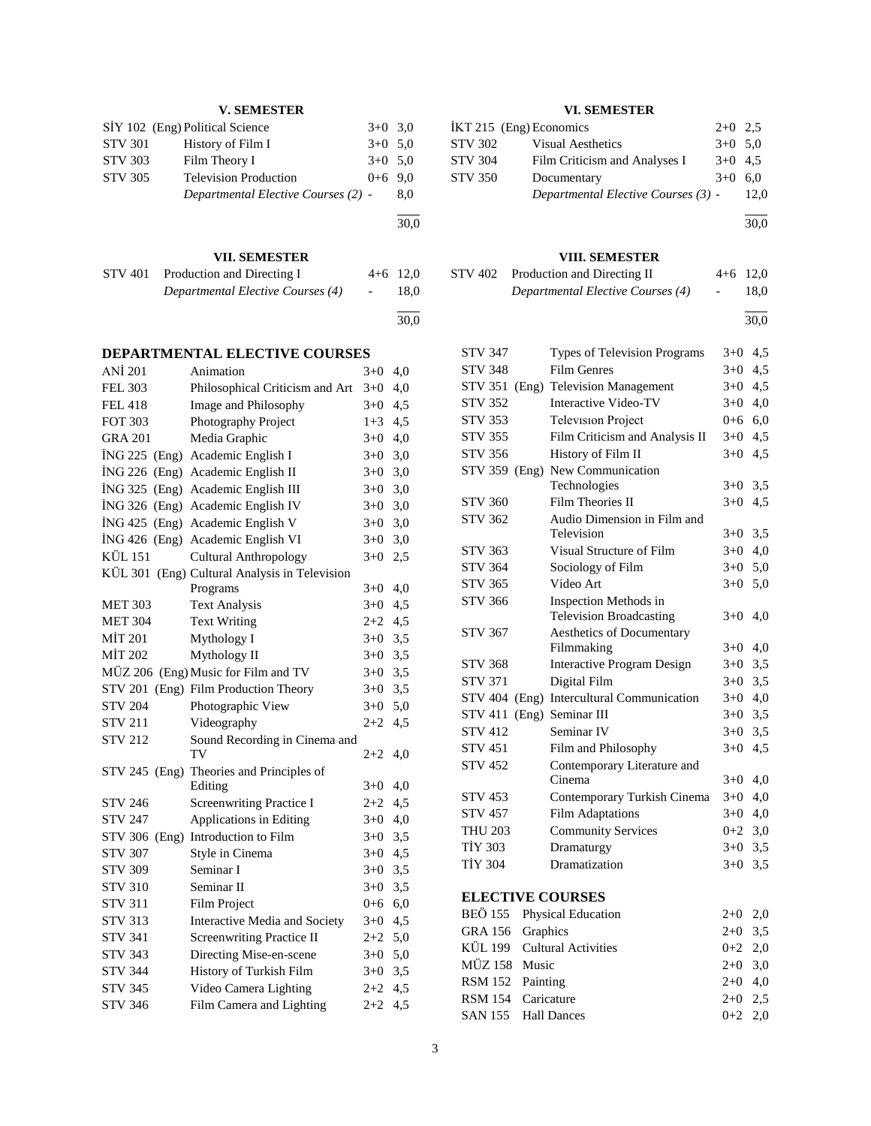# **V. SEMESTER**

|                | SIY 102 (Eng) Political Science     | $3+0$ 3.0 |     |
|----------------|-------------------------------------|-----------|-----|
| <b>STV 301</b> | History of Film I                   | $3+0$ 5.0 |     |
| <b>STV 303</b> | Film Theory I                       | $3+0$ 5.0 |     |
| <b>STV 305</b> | <b>Television Production</b>        | $0+6$ 9.0 |     |
|                | Departmental Elective Courses (2) - |           | 8.0 |
|                |                                     |           |     |

# **VII. SEMESTER**

| STV 401 | Production and Directing I        | $4+6$ 12.0               |      |
|---------|-----------------------------------|--------------------------|------|
|         | Departmental Elective Courses (4) | <b>Contract Contract</b> | 18.0 |
|         |                                   |                          |      |

30,0

30,0

# **DEPARTMENTAL ELECTIVE COURSES**

| ANI 201         | Animation                                     | $3+0$   | 4,0 |
|-----------------|-----------------------------------------------|---------|-----|
| <b>FEL 303</b>  | Philosophical Criticism and Art               | $3+0$   | 4,0 |
| <b>FEL 418</b>  | Image and Philosophy                          | $3+0$   | 4,5 |
| <b>FOT 303</b>  | Photography Project                           | $1 + 3$ | 4,5 |
| <b>GRA 201</b>  | Media Graphic                                 | $3+0$   | 4,0 |
| İNG 225 (Eng)   | Academic English I                            | $3+0$   | 3,0 |
| $ING 226$ (Eng) | Academic English II                           | $3+0$   | 3,0 |
| $ING 325$ (Eng) | Academic English III                          | $3+0$   | 3,0 |
| ING 326 (Eng)   | Academic English IV                           | $3+0$   | 3,0 |
| $ING 425$ (Eng) | Academic English V                            | $3+0$   | 3,0 |
| $ING 426$ (Eng) | Academic English VI                           | $3 + 0$ | 3,0 |
| <b>KÜL 151</b>  | <b>Cultural Anthropology</b>                  | $3 + 0$ | 2,5 |
|                 | KÜL 301 (Eng) Cultural Analysis in Television |         |     |
|                 | Programs                                      | $3+0$   | 4,0 |
| <b>MET 303</b>  | <b>Text Analysis</b>                          | $3+0$   | 4,5 |
| <b>MET 304</b>  | <b>Text Writing</b>                           | $2 + 2$ | 4,5 |
| <b>MİT 201</b>  | Mythology I                                   | $3+0$   | 3,5 |
| MİT 202         | Mythology II                                  | $3 + 0$ | 3,5 |
|                 | MÜZ 206 (Eng) Music for Film and TV           | $3+0$   | 3,5 |
|                 | STV 201 (Eng) Film Production Theory          | $3+0$   | 3,5 |
| <b>STV 204</b>  | Photographic View                             | $3+0$   | 5,0 |
| <b>STV 211</b>  | Videography                                   | $2 + 2$ | 4,5 |
| <b>STV 212</b>  | Sound Recording in Cinema and                 |         |     |
|                 | TV                                            | $2+2$   | 4,0 |
| STV 245 (Eng)   | Theories and Principles of                    |         |     |
|                 | Editing                                       | $3+0$   | 4,0 |
| <b>STV 246</b>  | <b>Screenwriting Practice I</b>               | $2+2$   | 4,5 |
| <b>STV 247</b>  | Applications in Editing                       | $3+0$   | 4,0 |
|                 | STV 306 (Eng) Introduction to Film            | $3+0$   | 3,5 |
| <b>STV 307</b>  | Style in Cinema                               | $3+0$   | 4,5 |
| <b>STV 309</b>  | Seminar I                                     | $3+0$   | 3,5 |
| <b>STV 310</b>  | Seminar II                                    | $3+0$   | 3,5 |
| <b>STV 311</b>  | Film Project                                  | $0 + 6$ | 6,0 |
| <b>STV 313</b>  | Interactive Media and Society                 | $3+0$   | 4,5 |
| <b>STV 341</b>  | <b>Screenwriting Practice II</b>              | $2+2$   | 5,0 |
| <b>STV 343</b>  | Directing Mise-en-scene                       | $3+0$   | 5,0 |
| <b>STV 344</b>  | History of Turkish Film                       | $3+0$   | 3,5 |
| <b>STV 345</b>  | Video Camera Lighting                         | $2 + 2$ | 4,5 |
| <b>STV 346</b>  | Film Camera and Lighting                      | $2 + 2$ | 4,5 |
|                 |                                               |         |     |

#### **VI. SEMESTER VI. SEMESTER**<br> $iV \uparrow$  215 (Eng) Economics 2+0 2.5

|                | IKT $215$ (Eng) Economics           | $2+0$ 2.5 |      |
|----------------|-------------------------------------|-----------|------|
| <b>STV 302</b> | <b>Visual Aesthetics</b>            | $3+0$ 5.0 |      |
| <b>STV 304</b> | Film Criticism and Analyses I       | $3+0$ 4.5 |      |
| <b>STV 350</b> | Documentary                         | $3+0$ 6.0 |      |
|                | Departmental Elective Courses (3) - |           | 12.0 |
|                |                                     |           |      |

l 30,0

# **VIII. SEMESTER**

| STV 402 | Production and Directing II       |                          | $4+6$ 12.0 |
|---------|-----------------------------------|--------------------------|------------|
|         | Departmental Elective Courses (4) | $\overline{\phantom{a}}$ | 18.0       |

l 30,0

| <b>STV 347</b>             | Types of Television Programs      | $3+0$   | 4,5 |
|----------------------------|-----------------------------------|---------|-----|
| <b>STV 348</b>             | <b>Film Genres</b>                | $3+0$   | 4,5 |
| <b>STV 351</b><br>(Eng)    | <b>Television Management</b>      | $3+0$   | 4,5 |
| <b>STV 352</b>             | Interactive Video-TV              | $3+0$   | 4,0 |
| <b>STV 353</b>             | <b>Television Project</b>         | $0 + 6$ | 6,0 |
| <b>STV 355</b>             | Film Criticism and Analysis II    | $3+0$   | 4,5 |
| <b>STV 356</b>             | History of Film II                | $3+0$   | 4,5 |
|                            | STV 359 (Eng) New Communication   |         |     |
|                            | Technologies                      | $3+0$   | 3,5 |
| <b>STV 360</b>             | <b>Film Theories II</b>           | $3+0$   | 4,5 |
| <b>STV 362</b>             | Audio Dimension in Film and       |         |     |
|                            | Television                        | $3+0$   | 3,5 |
| <b>STV 363</b>             | Visual Structure of Film          | $3+0$   | 4,0 |
| <b>STV 364</b>             | Sociology of Film                 | $3 + 0$ | 5,0 |
| <b>STV 365</b>             | Video Art                         | $3+0$   | 5,0 |
| <b>STV 366</b>             | Inspection Methods in             |         |     |
|                            | <b>Television Broadcasting</b>    | $3 + 0$ | 4,0 |
| <b>STV 367</b>             | <b>Aesthetics of Documentary</b>  |         |     |
|                            | Filmmaking                        | $3 + 0$ | 4,0 |
| <b>STV 368</b>             | <b>Interactive Program Design</b> | $3+0$   | 3,5 |
| <b>STV 371</b>             | Digital Film                      | $3+0$   | 3,5 |
| <b>STV 404</b>             | (Eng) Intercultural Communication | $3+0$   | 4,0 |
| <b>STV 411</b>             | (Eng) Seminar III                 | $3+0$   | 3,5 |
| <b>STV 412</b>             | Seminar IV                        | $3+0$   | 3,5 |
| <b>STV 451</b>             | Film and Philosophy               | $3+0$   | 4,5 |
| <b>STV 452</b>             | Contemporary Literature and       |         |     |
|                            | Cinema                            | $3+0$   | 4,0 |
| <b>STV 453</b>             | Contemporary Turkish Cinema       | $3+0$   | 4,0 |
| <b>STV 457</b>             | <b>Film Adaptations</b>           | $3+0$   | 4,0 |
| <b>THU 203</b>             | <b>Community Services</b>         | $0+2$   | 3,0 |
| <b>TİY 303</b>             | Dramaturgy                        | $3+0$   | 3,5 |
| <b>TİY 304</b>             | Dramatization                     | $3 + 0$ | 3,5 |
| <b>ELECTIVE COURSES</b>    |                                   |         |     |
| BEÖ 155 Physical Education |                                   | $2 + 0$ | 2,0 |
| $GRA$ 156 $Granhice$       |                                   | ?⊥∩_    | 35  |

|                  | $DLO$ 199 $\sigma$ 1 Hysical Equeation | $\sim$ $\sim$ $\sim$ $\sim$ $\sim$ |  |
|------------------|----------------------------------------|------------------------------------|--|
| GRA 156 Graphics |                                        | $2+0$ 3.5                          |  |
|                  | KÜL 199 Cultural Activities            | $0+2$ 2,0                          |  |
| MÜZ 158 Music    |                                        | $2+0$ 3.0                          |  |
| RSM 152 Painting |                                        | $2+0$ 4.0                          |  |
|                  | RSM 154 Caricature                     | $2+0$ 2.5                          |  |
|                  | SAN 155 Hall Dances                    | $0+2$ 2.0                          |  |
|                  |                                        |                                    |  |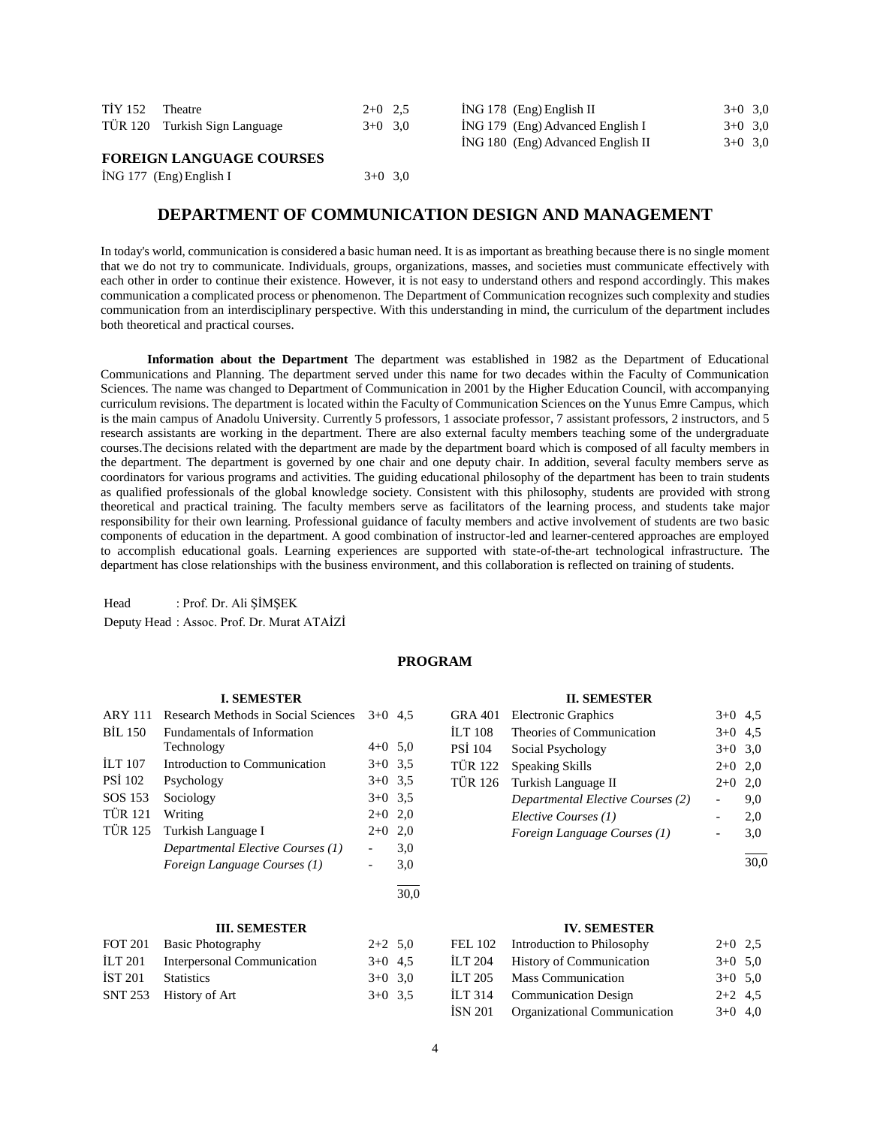| <b>TİY 152</b> | Theatre                       | $2+0$ 2.5 | $ING 178$ (Eng) English II        | $3+0$ 3,0 |  |
|----------------|-------------------------------|-----------|-----------------------------------|-----------|--|
|                | TÜR 120 Turkish Sign Language | $3+0$ 3.0 | ING 179 (Eng) Advanced English I  | $3+0$ 3,0 |  |
|                |                               |           | ING 180 (Eng) Advanced English II | $3+0$ 3.0 |  |

#### **FOREIGN LANGUAGE COURSES**

| $ING 177$ (Eng) English I | $3+0$ 3,0 |
|---------------------------|-----------|
|---------------------------|-----------|

# **DEPARTMENT OF COMMUNICATION DESIGN AND MANAGEMENT**

In today's world, communication is considered a basic human need. It is as important as breathing because there is no single moment that we do not try to communicate. Individuals, groups, organizations, masses, and societies must communicate effectively with each other in order to continue their existence. However, it is not easy to understand others and respond accordingly. This makes communication a complicated process or phenomenon. The Department of Communication recognizes such complexity and studies communication from an interdisciplinary perspective. With this understanding in mind, the curriculum of the department includes both theoretical and practical courses.

 **Information about the Department** The department was established in 1982 as the Department of Educational Communications and Planning. The department served under this name for two decades within the Faculty of Communication Sciences. The name was changed to Department of Communication in 2001 by the Higher Education Council, with accompanying curriculum revisions. The department is located within the Faculty of Communication Sciences on the Yunus Emre Campus, which is the main campus of Anadolu University. Currently 5 professors, 1 associate professor, 7 assistant professors, 2 instructors, and 5 research assistants are working in the department. There are also external faculty members teaching some of the undergraduate courses.The decisions related with the department are made by the department board which is composed of all faculty members in the department. The department is governed by one chair and one deputy chair. In addition, several faculty members serve as coordinators for various programs and activities. The guiding educational philosophy of the department has been to train students as qualified professionals of the global knowledge society. Consistent with this philosophy, students are provided with strong theoretical and practical training. The faculty members serve as facilitators of the learning process, and students take major responsibility for their own learning. Professional guidance of faculty members and active involvement of students are two basic components of education in the department. A good combination of instructor-led and learner-centered approaches are employed to accomplish educational goals. Learning experiences are supported with state-of-the-art technological infrastructure. The department has close relationships with the business environment, and this collaboration is reflected on training of students.

Head : Prof. Dr. Ali ŞİMŞEK Deputy Head : Assoc. Prof. Dr. Murat ATAİZİ

#### **PROGRAM**

#### **I. SEMESTER**

| <b>ARY 111</b> | Research Methods in Social Sciences | $3+0$     | 4.5 |
|----------------|-------------------------------------|-----------|-----|
| <b>BIL 150</b> | Fundamentals of Information         |           |     |
|                | Technology                          | $4+0$ 5.0 |     |
| <b>ILT 107</b> | Introduction to Communication       | $3+0$ 3.5 |     |
| <b>PSI</b> 102 | Psychology                          | $3+0$ 3.5 |     |
| SOS 153        | Sociology                           | $3+0$ 3.5 |     |
| <b>TÜR 121</b> | Writing                             | $2+0$ 2,0 |     |
| <b>TÜR 125</b> | Turkish Language I                  | $2+0$     | 2.0 |
|                | Departmental Elective Courses (1)   |           | 3,0 |
|                | Foreign Language Courses (1)        |           | 3,0 |
|                |                                     |           |     |

#### **III. SEMESTER**

| $2+2$ 5.0 |
|-----------|
| $3+0$ 4.5 |
| $3+0$ 3.0 |
| $3+0$ 3.5 |
|           |

#### **II. SEMESTER**

| <b>GRA 401</b> | <b>Electronic Graphics</b>        | $3+0$     | 4.5 |
|----------------|-----------------------------------|-----------|-----|
| <b>ILT 108</b> | Theories of Communication         | $3+0$     | 4.5 |
| <b>PSI</b> 104 | Social Psychology                 | $3+0$ 3,0 |     |
| <b>TÜR 122</b> | Speaking Skills                   | $2+0$     | 2.0 |
| <b>TÜR 126</b> | Turkish Language II               | $2+0$     | 2,0 |
|                | Departmental Elective Courses (2) |           | 9,0 |
|                | Elective Courses (1)              |           | 2,0 |
|                | Foreign Language Courses (1)      |           | 3,0 |
|                |                                   |           |     |

30,0

#### **IV. SEMESTER**

|         | FEL 102 Introduction to Philosophy   | $2+0$ 2.5 |  |
|---------|--------------------------------------|-----------|--|
| İLT 204 | <b>History of Communication</b>      | $3+0$ 5.0 |  |
|         | İLT 205 Mass Communication           | $3+0$ 5.0 |  |
|         | <b>ILT 314</b> Communication Design  | $2+2$ 4.5 |  |
|         | ISN 201 Organizational Communication | $3+0$ 4,0 |  |

30,0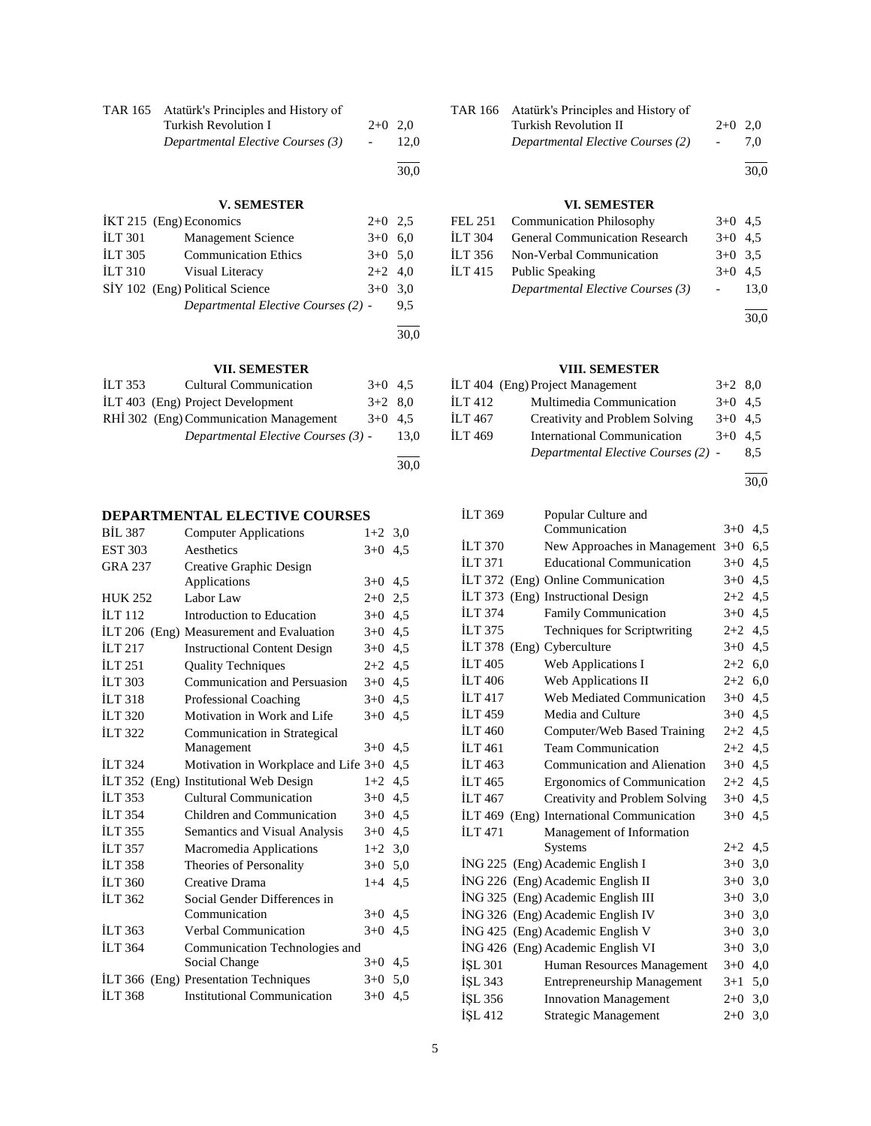| TAR 165 Atatürk's Principles and History of |           |      |
|---------------------------------------------|-----------|------|
| Turkish Revolution I                        | $2+0$ 2.0 |      |
| Departmental Elective Courses (3)           |           | 12.0 |
|                                             |           | 30.0 |

# **V. SEMESTER**

|                    | $IKT 215$ (Eng) Economics           | $2+0$ 2.5 |      |
|--------------------|-------------------------------------|-----------|------|
| <b>ILT 301</b>     | <b>Management Science</b>           | $3+0$ 6.0 |      |
| <b>ILT 305</b>     | <b>Communication Ethics</b>         | $3+0$ 5.0 |      |
| ILT <sub>310</sub> | Visual Literacy                     | $2+2$ 4,0 |      |
|                    | SİY 102 (Eng) Political Science     | $3+0$     | 3.0  |
|                    | Departmental Elective Courses (2) - |           | 9,5  |
|                    |                                     |           |      |
|                    |                                     |           | 30,0 |

# **VII. SEMESTER**

| <b>ILT 353</b> | <b>Cultural Communication</b>          | $3+0$ 4.5 |      |  |
|----------------|----------------------------------------|-----------|------|--|
|                | ILT 403 (Eng) Project Development      | $3+2$ 8.0 |      |  |
|                | RHİ 302 (Eng) Communication Management | $3+0$ 4.5 |      |  |
|                | Departmental Elective Courses (3) -    |           | 13.0 |  |
|                |                                        |           |      |  |

30,0

# **DEPARTMENTAL ELECTIVE COURSES**

| <b>BIL 387</b> | <b>Computer Applications</b>           | $1+2$     | 3,0 |
|----------------|----------------------------------------|-----------|-----|
| <b>EST 303</b> | Aesthetics                             | $3+0$     | 4,5 |
| <b>GRA 237</b> | Creative Graphic Design                |           |     |
|                | Applications                           | $3+0$     | 4,5 |
| <b>HUK 252</b> | Labor Law                              | $2+0$ 2,5 |     |
| <b>ILT 112</b> | Introduction to Education              | $3+0$ 4.5 |     |
| <b>ILT 206</b> | (Eng) Measurement and Evaluation       | $3+0$     | 4,5 |
| <b>ILT 217</b> | <b>Instructional Content Design</b>    | $3+0$     | 4,5 |
| ILT 251        | <b>Quality Techniques</b>              | $2+2$     | 4.5 |
| <b>ILT 303</b> | Communication and Persuasion           | $3+0$     | 4,5 |
| <b>ILT 318</b> | <b>Professional Coaching</b>           | $3+0$     | 4,5 |
| <b>ILT 320</b> | Motivation in Work and Life            | $3+0$     | 4,5 |
| <b>ILT 322</b> | Communication in Strategical           |           |     |
|                | Management                             | $3+0$     | 4,5 |
| <b>ILT 324</b> | Motivation in Workplace and Life $3+0$ |           | 4,5 |
|                | ILT 352 (Eng) Institutional Web Design | $1+2$     | 4,5 |
| <b>ILT 353</b> | Cultural Communication                 | $3+0$     | 4,5 |
| <b>ILT 354</b> | Children and Communication             | $3+0$     | 4,5 |
| <b>ILT 355</b> | Semantics and Visual Analysis          | $3+0$     | 4,5 |
| <b>ILT 357</b> | Macromedia Applications                | $1+2$     | 3,0 |
| <b>İLT 358</b> | Theories of Personality                | $3+0$     | 5,0 |
| <b>ILT 360</b> | Creative Drama                         | $1 + 4$   | 4,5 |
| <b>ILT 362</b> | Social Gender Differences in           |           |     |
|                | Communication                          | $3+0$ 4.5 |     |
| <b>ILT 363</b> | Verbal Communication                   | $3+0$     | 4.5 |
| <b>ILT 364</b> | Communication Technologies and         |           |     |
|                | Social Change                          | $3+0$ 4,5 |     |
| ILT 366        | (Eng) Presentation Techniques          | $3+0$     | 5,0 |
| <b>ILT 368</b> | <b>Institutional Communication</b>     | $3+0$ 4,5 |     |
|                |                                        |           |     |

| TAR 166 Atatürk's Principles and History of |           |      |
|---------------------------------------------|-----------|------|
| <b>Turkish Revolution II</b>                | $2+0$ 2.0 |      |
| Departmental Elective Courses (2)           |           | 7.0  |
|                                             |           | 30.0 |

# **VI. SEMESTER**

| FEL 251 Communication Philosophy       | $3+0$ 4.5 |      |
|----------------------------------------|-----------|------|
| İLT 304 General Communication Research | $3+0$ 4.5 |      |
| ILT 356 Non-Verbal Communication       | $3+0$ 3.5 |      |
| ILT 415 Public Speaking                | $3+0$ 4.5 |      |
| Departmental Elective Courses (3)      |           | 13.0 |
|                                        |           |      |

30,0

# **VIII. SEMESTER**

|                                    | $3+2$ 8.0                                              |                                     |
|------------------------------------|--------------------------------------------------------|-------------------------------------|
| Multimedia Communication           | $3+0$ 4.5                                              |                                     |
| Creativity and Problem Solving     | $3+0$ 4.5                                              |                                     |
| <b>International Communication</b> | $3+0$ 4.5                                              |                                     |
|                                    |                                                        | 8.5                                 |
| İLT 469                            | İLT 404 (Eng) Project Management<br>İLT 412<br>İLT 467 | Departmental Elective Courses (2) - |

l 30,0

| İLT 369               | Popular Culture and                       |           |     |
|-----------------------|-------------------------------------------|-----------|-----|
|                       | Communication                             | $3+0$     | 4,5 |
| <b>ILT 370</b>        | New Approaches in Management              | $3+0$     | 6,5 |
| $\overline{11}$ T 371 | <b>Educational Communication</b>          | $3+0$     | 4,5 |
|                       | İLT 372 (Eng) Online Communication        | $3+0$ 4.5 |     |
| <b>ILT 373</b>        | (Eng) Instructional Design                | $2+2$ 4.5 |     |
| <b>ILT 374</b>        | Family Communication                      | $3+0$ 4,5 |     |
| <b>ILT 375</b>        | Techniques for Scriptwriting              | $2+2$ 4,5 |     |
|                       | ILT 378 (Eng) Cyberculture                | $3+0$ 4,5 |     |
| <b>ILT 405</b>        | Web Applications I                        | $2+2$ 6,0 |     |
| <b>İLT</b> 406        | Web Applications II                       | $2+2$ 6,0 |     |
| ILT <sub>417</sub>    | Web Mediated Communication                | $3+0$ 4.5 |     |
| <b>ILT</b> 459        | Media and Culture                         | $3+0$ 4.5 |     |
| <b>ILT</b> 460        | Computer/Web Based Training               | $2+2$ 4.5 |     |
| <b>ILT</b> 461        | <b>Team Communication</b>                 | $2+2$ 4.5 |     |
| ILT 463               | Communication and Alienation              | $3+0$ 4.5 |     |
| <b>ILT</b> 465        | Ergonomics of Communication               | $2+2$ 4.5 |     |
| <b>ILT</b> 467        | Creativity and Problem Solving            | $3+0$     | 4,5 |
|                       | ILT 469 (Eng) International Communication | $3+0$     | 4,5 |
| <b>ILT</b> 471        | Management of Information                 |           |     |
|                       | <b>Systems</b>                            | $2+2$ 4.5 |     |
|                       | ING 225 (Eng) Academic English I          | $3+0$     | 3,0 |
|                       | ING 226 (Eng) Academic English II         | $3+0$ 3,0 |     |
|                       | ING 325 (Eng) Academic English III        | $3+0$ 3,0 |     |
|                       | İNG 326 (Eng) Academic English IV         | $3+0$ 3,0 |     |
|                       | ING 425 (Eng) Academic English V          | $3+0$ 3,0 |     |
|                       | İNG 426 (Eng) Academic English VI         | $3+0$     | 3,0 |
| İŞL 301               | Human Resources Management                | $3+0$     | 4,0 |
| ISL 343               | <b>Entrepreneurship Management</b>        | $3 + 1$   | 5,0 |
| İŞL 356               | <b>Innovation Management</b>              | $2+0$ 3,0 |     |
| İŞL 412               | Strategic Management                      | $2+0$     | 3,0 |
|                       |                                           |           |     |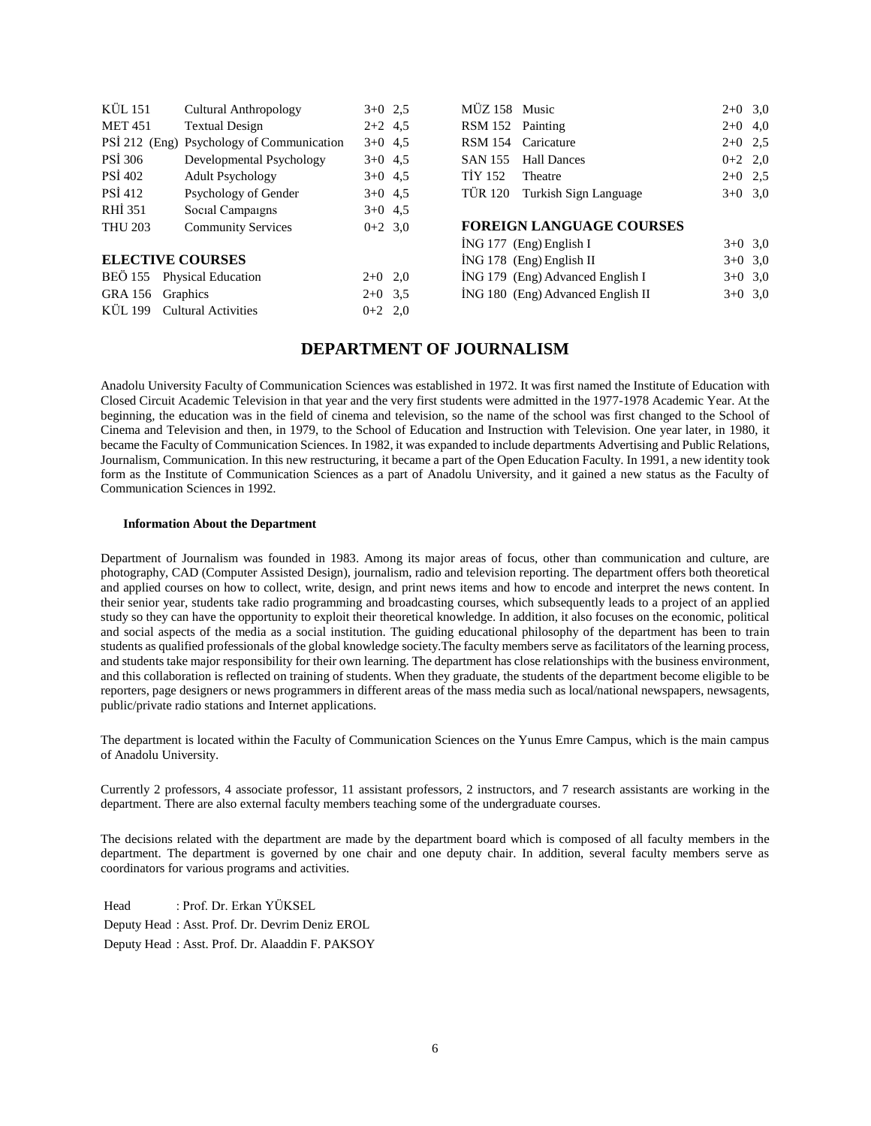| KÜL 151          | <b>Cultural Anthropology</b>              | $3+0$ 2.5 | MÜZ 158 Music    |                                    | $2+0$ 3.0 |           |
|------------------|-------------------------------------------|-----------|------------------|------------------------------------|-----------|-----------|
| <b>MET 451</b>   | <b>Textual Design</b>                     | $2+2$ 4.5 | RSM 152 Painting |                                    | $2+0$ 4,0 |           |
|                  | PSİ 212 (Eng) Psychology of Communication | $3+0$ 4.5 |                  | RSM 154 Caricature                 | $2+0$ 2.5 |           |
| <b>PSI 306</b>   | Developmental Psychology                  | $3+0$ 4.5 | <b>SAN 155</b>   | <b>Hall Dances</b>                 | $0+2$ 2,0 |           |
| <b>PSI 402</b>   | <b>Adult Psychology</b>                   | $3+0$ 4.5 | <b>TİY 152</b>   | Theatre                            | $2+0$ 2.5 |           |
| <b>PSI</b> 412   | Psychology of Gender                      | $3+0$ 4.5 | TÜR 120          | Turkish Sign Language              | $3+0$ 3,0 |           |
| RHI 351          | Social Campaigns                          | $3+0$ 4.5 |                  |                                    |           |           |
| <b>THU 203</b>   | <b>Community Services</b>                 | $0+2$ 3.0 |                  | <b>FOREIGN LANGUAGE COURSES</b>    |           |           |
|                  |                                           |           |                  | $ING 177$ (Eng) English I          |           | $3+0$ 3.0 |
|                  | <b>ELECTIVE COURSES</b>                   |           |                  | İNG 178 (Eng) English II           | $3+0$ 3.0 |           |
|                  | BEÖ 155 Physical Education                | $2+0$ 2,0 |                  | $ING 179$ (Eng) Advanced English I | $3+0$ 3.0 |           |
| GRA 156 Graphics |                                           | $2+0$ 3.5 |                  | ING 180 (Eng) Advanced English II  | $3+0$ 3,0 |           |
| KÜL 199          | <b>Cultural Activities</b>                | $0+2$ 2,0 |                  |                                    |           |           |
|                  |                                           |           |                  |                                    |           |           |

# **DEPARTMENT OF JOURNALISM**

Anadolu University Faculty of Communication Sciences was established in 1972. It was first named the Institute of Education with Closed Circuit Academic Television in that year and the very first students were admitted in the 1977-1978 Academic Year. At the beginning, the education was in the field of cinema and television, so the name of the school was first changed to the School of Cinema and Television and then, in 1979, to the School of Education and Instruction with Television. One year later, in 1980, it became the Faculty of Communication Sciences. In 1982, it was expanded to include departments Advertising and Public Relations, Journalism, Communication. In this new restructuring, it became a part of the Open Education Faculty. In 1991, a new identity took form as the Institute of Communication Sciences as a part of Anadolu University, and it gained a new status as the Faculty of Communication Sciences in 1992.

#### **Information About the Department**

Department of Journalism was founded in 1983. Among its major areas of focus, other than communication and culture, are photography, CAD (Computer Assisted Design), journalism, radio and television reporting. The department offers both theoretical and applied courses on how to collect, write, design, and print news items and how to encode and interpret the news content. In their senior year, students take radio programming and broadcasting courses, which subsequently leads to a project of an applied study so they can have the opportunity to exploit their theoretical knowledge. In addition, it also focuses on the economic, political and social aspects of the media as a social institution. The guiding educational philosophy of the department has been to train students as qualified professionals of the global knowledge society.The faculty members serve as facilitators of the learning process, and students take major responsibility for their own learning. The department has close relationships with the business environment, and this collaboration is reflected on training of students. When they graduate, the students of the department become eligible to be reporters, page designers or news programmers in different areas of the mass media such as local/national newspapers, newsagents, public/private radio stations and Internet applications.

The department is located within the Faculty of Communication Sciences on the Yunus Emre Campus, which is the main campus of Anadolu University.

Currently 2 professors, 4 associate professor, 11 assistant professors, 2 instructors, and 7 research assistants are working in the department. There are also external faculty members teaching some of the undergraduate courses.

The decisions related with the department are made by the department board which is composed of all faculty members in the department. The department is governed by one chair and one deputy chair. In addition, several faculty members serve as coordinators for various programs and activities.

Head : Prof. Dr. Erkan YÜKSEL Deputy Head : Asst. Prof. Dr. Devrim Deniz EROL Deputy Head : Asst. Prof. Dr. Alaaddin F. PAKSOY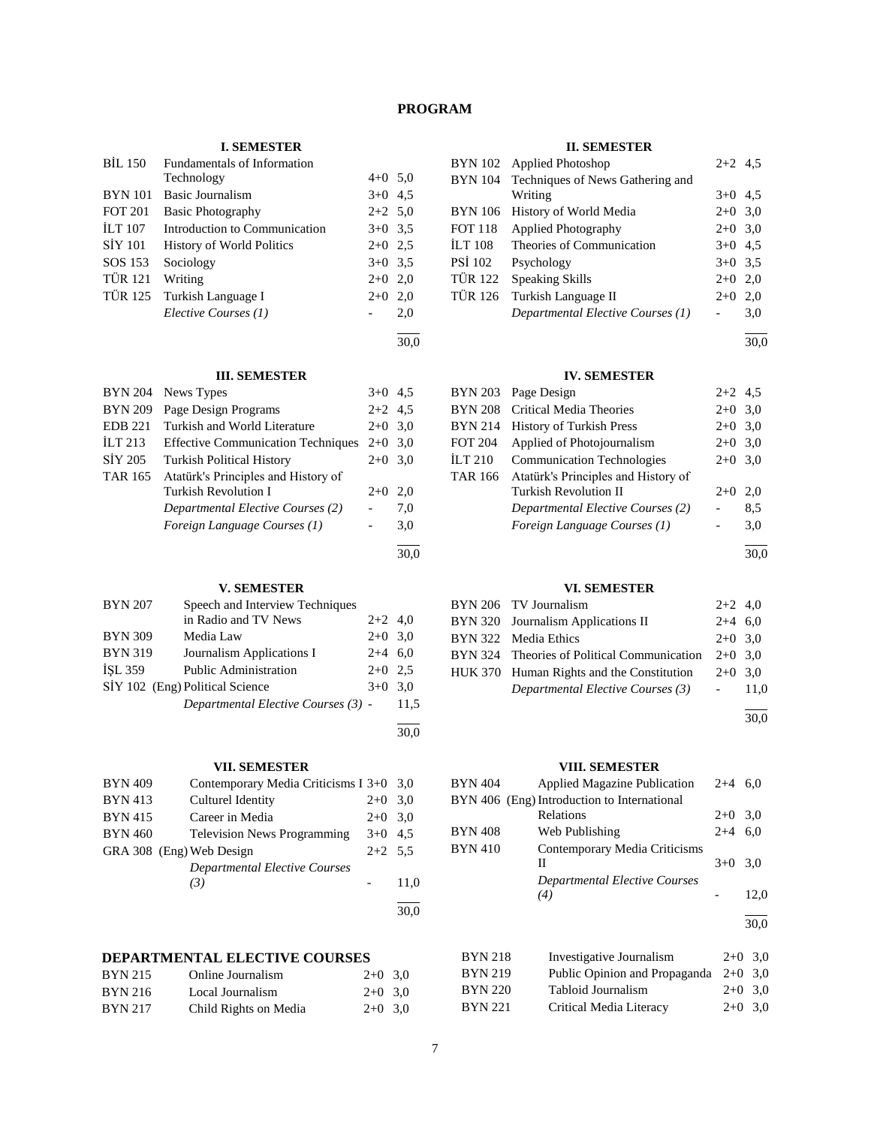# **PROGRAM**

## **I. SEMESTER**

| <b>BIL 150</b> | <b>Fundamentals of Information</b> |           |     |
|----------------|------------------------------------|-----------|-----|
|                | Technology                         | $4+0$ 5.0 |     |
| <b>BYN</b> 101 | Basic Journalism                   | $3+0$ 4.5 |     |
| <b>FOT 201</b> | <b>Basic Photography</b>           | $2+2$ 5.0 |     |
| <b>ILT</b> 107 | Introduction to Communication      | $3+0$ 3.5 |     |
| <b>SIY 101</b> | <b>History of World Politics</b>   | $2+0$ 2.5 |     |
| SOS 153        | Sociology                          | $3+0$ 3.5 |     |
| <b>TÜR 121</b> | Writing                            | $2+0$ 2,0 |     |
| <b>TUR 125</b> | Turkish Language I                 | $2+0$     | 2,0 |
|                | Elective Courses (1)               |           | 2,0 |
|                |                                    |           |     |

30,0

30,0

30,0

### **III. SEMESTER**

| <b>BYN 204</b> | News Types                                | $3+0$     | 4.5 |
|----------------|-------------------------------------------|-----------|-----|
| <b>BYN 209</b> | Page Design Programs                      | $2+2$ 4.5 |     |
| <b>EDB 221</b> | Turkish and World Literature              | $2+0$ 3.0 |     |
| ILT $213$      | <b>Effective Communication Techniques</b> | $2+0$ 3.0 |     |
| SİY 205        | <b>Turkish Political History</b>          | $2+0$     | 3.0 |
| <b>TAR 165</b> | Atatürk's Principles and History of       |           |     |
|                | Turkish Revolution I                      | $2+0$     | 2.0 |
|                | Departmental Elective Courses (2)         |           | 7,0 |
|                | Foreign Language Courses (1)              |           | 3,0 |
|                |                                           |           |     |

# **V. SEMESTER**

| <b>BYN 207</b> | Speech and Interview Techniques     |           |      |
|----------------|-------------------------------------|-----------|------|
|                | in Radio and TV News                | $2+2$ 4,0 |      |
| <b>BYN 309</b> | Media Law                           | $2+0$ 3.0 |      |
| <b>BYN 319</b> | Journalism Applications I           | $2+4$ 6.0 |      |
| <b>ISL 359</b> | <b>Public Administration</b>        | $2+0$ 2.5 |      |
|                | SİY 102 (Eng) Political Science     | $3+0$ 3.0 |      |
|                | Departmental Elective Courses (3) - |           | 11.5 |
|                |                                     |           |      |

# **VII. SEMESTER**

| <b>BYN 409</b> | Contemporary Media Criticisms I 3+0 3,0 |           |      |
|----------------|-----------------------------------------|-----------|------|
| <b>BYN 413</b> | Culturel Identity                       | $2+0$     | 3.0  |
| <b>BYN 415</b> | Career in Media                         | $2+0$ 3.0 |      |
| <b>BYN 460</b> | <b>Television News Programming</b>      | $3+0$ 4.5 |      |
|                | GRA 308 (Eng) Web Design                | $2+2$ 5.5 |      |
|                | Departmental Elective Courses           |           |      |
|                | (3)                                     |           | 11,0 |
|                |                                         |           |      |
|                |                                         |           | 30.0 |

# **DEPARTMENTAL ELECTIVE COURSES**

| <b>BYN 215</b> | Online Journalism     | $2+0$ 3.0 |  |
|----------------|-----------------------|-----------|--|
| <b>BYN 216</b> | Local Journalism      | $2+0$ 3.0 |  |
| <b>BYN 217</b> | Child Rights on Media | $2+0$ 3.0 |  |

#### **II. SEMESTER**

|                | BYN 102 Applied Photoshop                | $2+2$ 4.5 |     |
|----------------|------------------------------------------|-----------|-----|
|                | BYN 104 Techniques of News Gathering and |           |     |
|                | Writing                                  | $3+0$ 4.5 |     |
| <b>BYN</b> 106 | History of World Media                   | $2+0$ 3,0 |     |
| <b>FOT 118</b> | <b>Applied Photography</b>               | $2+0$ 3,0 |     |
| <b>ILT 108</b> | Theories of Communication                | $3+0$ 4.5 |     |
| <b>PSI 102</b> | Psychology                               | $3+0$ 3.5 |     |
| TÜR 122        | <b>Speaking Skills</b>                   | $2+0$     | 2,0 |
| <b>TÜR 126</b> | Turkish Language II                      | $2+0$     | 2,0 |
|                | Departmental Elective Courses (1)        |           | 3,0 |
|                |                                          |           |     |

30,0

# **IV. SEMESTER**

|         | BYN 203 Page Design                 | $2+2$ 4.5 |     |
|---------|-------------------------------------|-----------|-----|
| BYN 208 | Critical Media Theories             | $2+0$     | 3,0 |
| BYN 214 | <b>History of Turkish Press</b>     | $2+0$ 3,0 |     |
| FOT 204 | Applied of Photojournalism          | $2+0$ 3,0 |     |
| İLT 210 | <b>Communication Technologies</b>   | $2+0$ 3,0 |     |
| TAR 166 | Atatürk's Principles and History of |           |     |
|         | <b>Turkish Revolution II</b>        | $2+0$     | 2,0 |
|         | Departmental Elective Courses (2)   |           | 8,5 |
|         | Foreign Language Courses (1)        |           | 3,0 |
|         |                                     |           |     |

30,0

# **VI. SEMESTER**

| BYN 206 TV Journalism                       | $2+2$ 4,0 |  |
|---------------------------------------------|-----------|--|
| BYN 320 Journalism Applications II          | $2+4$ 6.0 |  |
| BYN 322 Media Ethics                        | $2+0$ 3.0 |  |
| BYN 324 Theories of Political Communication | $2+0$ 3.0 |  |
| HUK 370 Human Rights and the Constitution   | $2+0$ 3.0 |  |
| Departmental Elective Courses (3)           | $-11.0$   |  |
|                                             |           |  |

30,0

# **VIII. SEMESTER**

| <b>BYN 404</b> | <b>Applied Magazine Publication</b>         | $2+4$ | 6.0  |
|----------------|---------------------------------------------|-------|------|
|                | BYN 406 (Eng) Introduction to International |       |      |
|                | Relations                                   | $2+0$ | 3,0  |
| <b>BYN 408</b> | Web Publishing                              | $2+4$ | 6,0  |
| <b>BYN 410</b> | Contemporary Media Criticisms               |       |      |
|                | П                                           | $3+0$ | 3,0  |
|                | Departmental Elective Courses               |       |      |
|                | (4)                                         |       | 12,0 |
|                |                                             |       | 30.0 |
| <b>BYN 218</b> | Investigative Journalism                    | $2+0$ | 3,0  |
| <b>BYN 219</b> | Public Opinion and Propaganda               | $2+0$ | 3,0  |
| <b>BYN 220</b> | Tabloid Journalism                          | $2+0$ | 3.0  |

BYN 221 Critical Media Literacy 2+0 3,0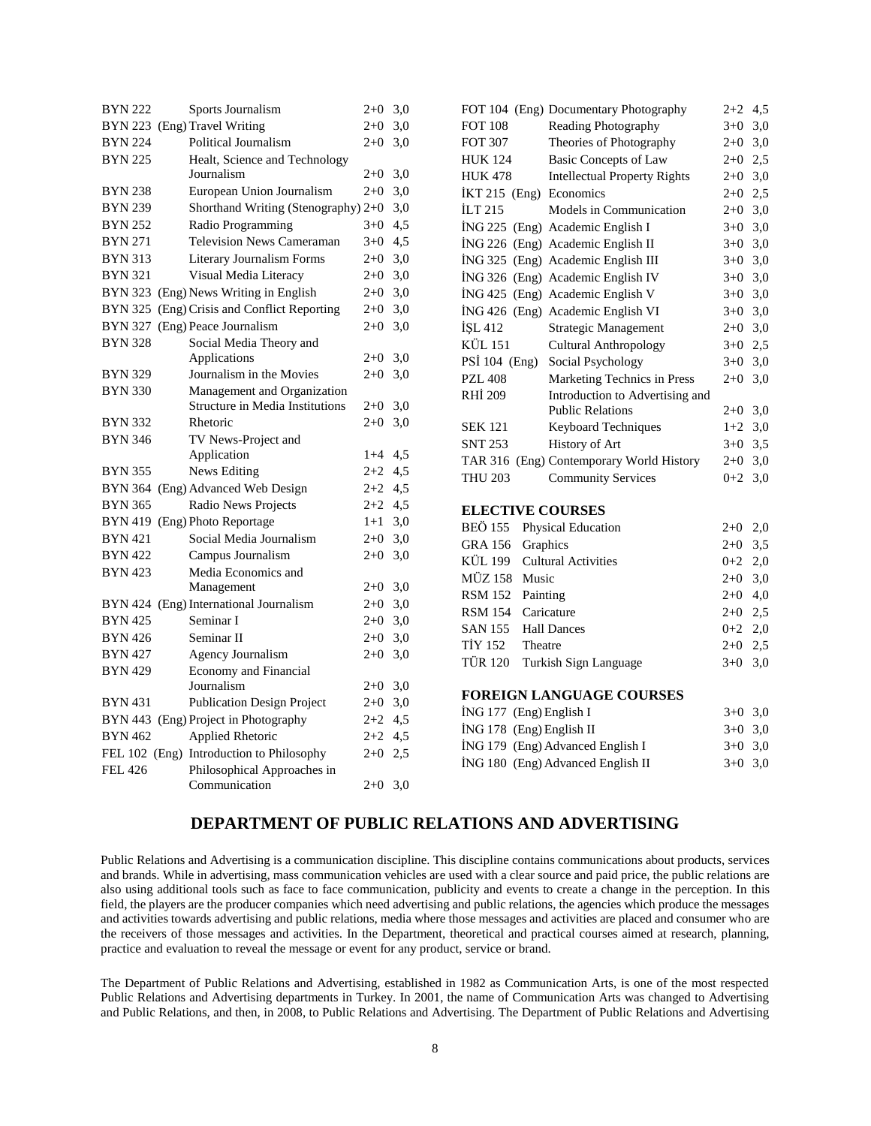| <b>BYN 222</b> | Sports Journalism                                            | $2+0$ 3,0 |                           | FOT 104 (Eng) Documentary Photography    | $2+2$ 4,5 |  |
|----------------|--------------------------------------------------------------|-----------|---------------------------|------------------------------------------|-----------|--|
|                | BYN 223 (Eng) Travel Writing                                 | $2+0$ 3,0 | <b>FOT 108</b>            | Reading Photography                      | $3+0$ 3,0 |  |
| <b>BYN 224</b> | Political Journalism                                         | $2+0$ 3,0 | <b>FOT 307</b>            | Theories of Photography                  | $2+0$ 3,0 |  |
| <b>BYN 225</b> | Healt, Science and Technology                                |           | <b>HUK 124</b>            | <b>Basic Concepts of Law</b>             | $2+0$ 2,5 |  |
|                | Journalism                                                   | $2+0$ 3,0 | <b>HUK 478</b>            | <b>Intellectual Property Rights</b>      | $2+0$ 3,0 |  |
| BYN 238        | European Union Journalism                                    | $2+0$ 3,0 | İKT 215 (Eng) Economics   |                                          | $2+0$ 2,5 |  |
| <b>BYN 239</b> | Shorthand Writing (Stenography) 2+0 3,0                      |           | ILT 215                   | Models in Communication                  | $2+0$ 3,0 |  |
| <b>BYN 252</b> | Radio Programming                                            | $3+0$ 4,5 |                           | İNG 225 (Eng) Academic English I         | $3+0$ 3,0 |  |
| <b>BYN 271</b> | <b>Television News Cameraman</b>                             | $3+0$ 4,5 |                           | İNG 226 (Eng) Academic English II        | $3+0$ 3,0 |  |
| BYN 313        | Literary Journalism Forms                                    | $2+0$ 3,0 |                           | İNG 325 (Eng) Academic English III       | $3+0$ 3,0 |  |
| <b>BYN 321</b> | Visual Media Literacy                                        | $2+0$ 3,0 |                           | ING 326 (Eng) Academic English IV        | $3+0$ 3,0 |  |
|                | BYN 323 (Eng) News Writing in English                        | $2+0$ 3,0 |                           | ING 425 (Eng) Academic English V         | $3+0$ 3,0 |  |
|                | BYN 325 (Eng) Crisis and Conflict Reporting                  | $2+0$ 3,0 |                           | İNG 426 (Eng) Academic English VI        | $3+0$ 3,0 |  |
|                | BYN 327 (Eng) Peace Journalism                               | $2+0$ 3,0 | İŞL 412                   | Strategic Management                     | $2+0$ 3,0 |  |
| <b>BYN 328</b> | Social Media Theory and                                      |           | <b>KÜL 151</b>            | <b>Cultural Anthropology</b>             | $3+0$ 2,5 |  |
|                | Applications                                                 | $2+0$ 3,0 | PSİ 104 (Eng)             | Social Psychology                        | $3+0$ 3,0 |  |
| <b>BYN 329</b> | Journalism in the Movies                                     | $2+0$ 3,0 | <b>PZL 408</b>            | Marketing Technics in Press              | $2+0$ 3,0 |  |
| <b>BYN 330</b> | Management and Organization                                  |           | <b>RHİ 209</b>            | Introduction to Advertising and          |           |  |
|                | <b>Structure in Media Institutions</b>                       | $2+0$ 3,0 |                           | <b>Public Relations</b>                  | $2+0$ 3,0 |  |
| <b>BYN 332</b> | Rhetoric                                                     | $2+0$ 3,0 | <b>SEK 121</b>            | <b>Keyboard Techniques</b>               | $1+2$ 3,0 |  |
| <b>BYN 346</b> | TV News-Project and                                          |           | <b>SNT 253</b>            | History of Art                           | $3+0$ 3,5 |  |
|                | Application                                                  | $1+4$ 4,5 |                           | TAR 316 (Eng) Contemporary World History | $2+0$ 3,0 |  |
| <b>BYN 355</b> | News Editing                                                 | $2+2$ 4,5 | <b>THU 203</b>            | <b>Community Services</b>                | $0+2$ 3,0 |  |
|                | BYN 364 (Eng) Advanced Web Design                            | $2+2$ 4,5 |                           |                                          |           |  |
| <b>BYN 365</b> | Radio News Projects                                          | $2+2$ 4,5 | <b>ELECTIVE COURSES</b>   |                                          |           |  |
|                | BYN 419 (Eng) Photo Reportage                                | $1+1$ 3.0 | <b>BEÖ 155</b>            | <b>Physical Education</b>                | $2+0$ 2,0 |  |
| <b>BYN 421</b> | Social Media Journalism                                      | $2+0$ 3,0 | GRA 156 Graphics          |                                          | $2+0$ 3,5 |  |
| <b>BYN 422</b> | Campus Journalism                                            | $2+0$ 3,0 | KÜL 199                   | <b>Cultural Activities</b>               | $0+2$ 2,0 |  |
| <b>BYN 423</b> | Media Economics and                                          |           | MÜZ 158 Music             |                                          | $2+0$ 3,0 |  |
|                | Management                                                   | $2+0$ 3,0 | RSM 152 Painting          |                                          | $2+0$ 4,0 |  |
|                | BYN 424 (Eng) International Journalism<br>Seminar I          | $2+0$ 3,0 | RSM 154 Caricature        |                                          | $2+0$ 2,5 |  |
| BYN 425        |                                                              | $2+0$ 3.0 | SAN 155 Hall Dances       |                                          | $0+2$ 2,0 |  |
| <b>BYN 426</b> | Seminar II                                                   | $2+0$ 3,0 | <b>TİY 152</b><br>Theatre |                                          | $2+0$ 2,5 |  |
| <b>BYN 427</b> | Agency Journalism                                            | $2+0$ 3,0 | TÜR 120                   | Turkish Sign Language                    | $3+0$ 3,0 |  |
| <b>BYN 429</b> | <b>Economy and Financial</b><br>Journalism                   | $2+0$ 3,0 |                           |                                          |           |  |
| <b>BYN 431</b> | <b>Publication Design Project</b>                            | $2+0$ 3,0 |                           | <b>FOREIGN LANGUAGE COURSES</b>          |           |  |
|                | BYN 443 (Eng) Project in Photography                         | $2+2$ 4,5 | İNG 177 (Eng) English I   |                                          | $3+0$ 3,0 |  |
|                |                                                              |           | İNG 178 (Eng) English II  |                                          | $3+0$ 3,0 |  |
| <b>BYN 462</b> | Applied Rhetoric<br>FEL 102 (Eng) Introduction to Philosophy | $2+2$ 4,5 |                           | İNG 179 (Eng) Advanced English I         | $3+0$ 3,0 |  |
|                |                                                              | $2+0$ 2.5 |                           | İNG 180 (Eng) Advanced English II        | $3+0$ 3,0 |  |
| <b>FEL 426</b> | Philosophical Approaches in<br>Communication                 | $2+0$ 3,0 |                           |                                          |           |  |

# **DEPARTMENT OF PUBLIC RELATIONS AND ADVERTISING**

Public Relations and Advertising is a communication discipline. This discipline contains communications about products, services and brands. While in advertising, mass communication vehicles are used with a clear source and paid price, the public relations are also using additional tools such as face to face communication, publicity and events to create a change in the perception. In this field, the players are the producer companies which need advertising and public relations, the agencies which produce the messages and activities towards advertising and public relations, media where those messages and activities are placed and consumer who are the receivers of those messages and activities. In the Department, theoretical and practical courses aimed at research, planning, practice and evaluation to reveal the message or event for any product, service or brand.

The Department of Public Relations and Advertising, established in 1982 as Communication Arts, is one of the most respected Public Relations and Advertising departments in Turkey. In 2001, the name of Communication Arts was changed to Advertising and Public Relations, and then, in 2008, to Public Relations and Advertising. The Department of Public Relations and Advertising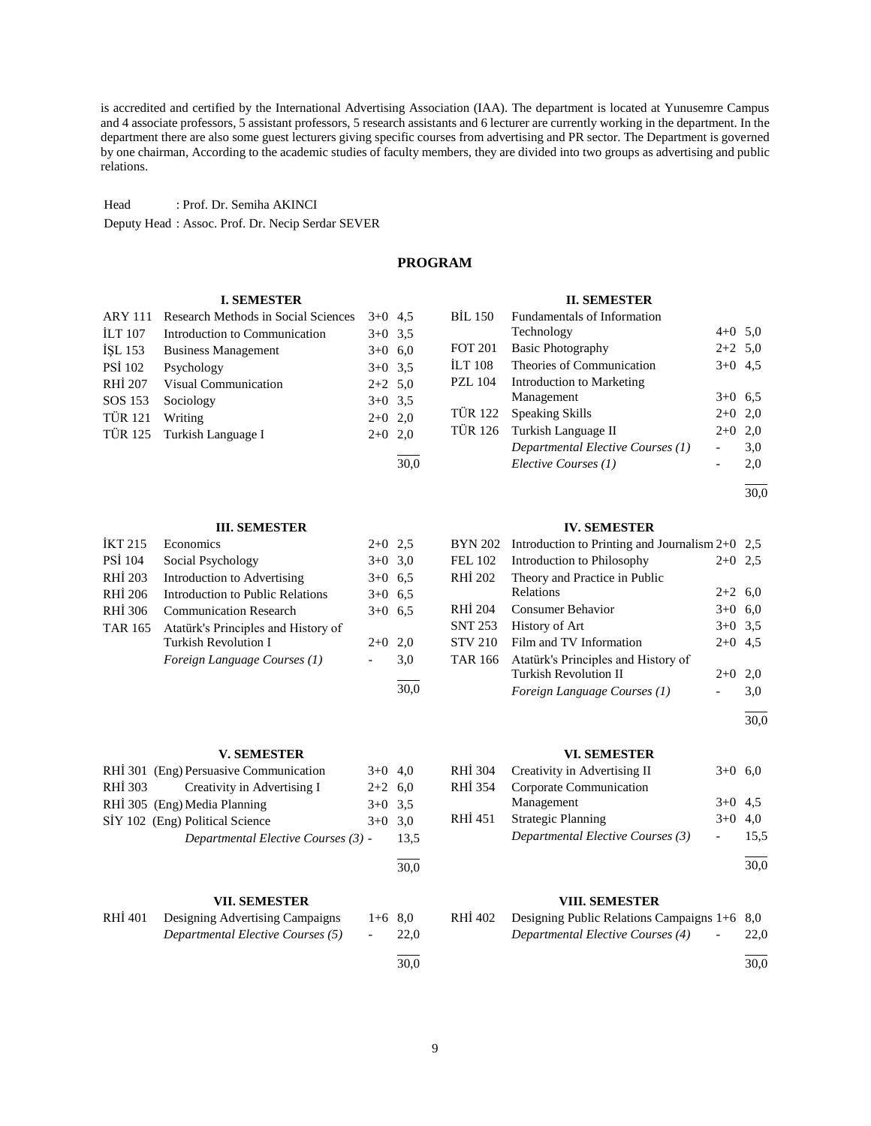is accredited and certified by the International Advertising Association (IAA). The department is located at Yunusemre Campus and 4 associate professors, 5 assistant professors, 5 research assistants and 6 lecturer are currently working in the department. In the department there are also some guest lecturers giving specific courses from advertising and PR sector. The Department is governed by one chairman, According to the academic studies of faculty members, they are divided into two groups as advertising and public relations.

Head : Prof. Dr. Semiha AKINCI Deputy Head : Assoc. Prof. Dr. Necip Serdar SEVER

# **PROGRAM**

30,0

#### **I. SEMESTER**

| <b>ARY 111</b> | Research Methods in Social Sciences | $3+0$ 4.5 |  |
|----------------|-------------------------------------|-----------|--|
| <b>ILT 107</b> | Introduction to Communication       | $3+0$ 3.5 |  |
| ISL 153        | <b>Business Management</b>          | $3+0$ 6,0 |  |
| PSİ 102        | Psychology                          | $3+0$ 3.5 |  |
| RHI 207        | Visual Communication                | $2+2$ 5,0 |  |
| SOS 153        | Sociology                           | $3+0$ 3.5 |  |
| <b>TÜR 121</b> | Writing                             | $2+0$ 2.0 |  |
|                | TÜR 125 Turkish Language I          | $2+0$ 2.0 |  |
|                |                                     |           |  |

#### **III. SEMESTER**

| <b>IKT 215</b> | Economics                               | $2+0$     | 2.5  |
|----------------|-----------------------------------------|-----------|------|
| <b>PSI</b> 104 | Social Psychology                       | $3+0$ 3.0 |      |
| RHI 203        | Introduction to Advertising             | $3+0$ 6.5 |      |
| <b>RHI 206</b> | <b>Introduction to Public Relations</b> | $3+0$ 6.5 |      |
| RHI 306        | <b>Communication Research</b>           | $3+0$     | 6,5  |
| <b>TAR 165</b> | Atatürk's Principles and History of     |           |      |
|                | Turkish Revolution I                    | $2+0$     | 2.0  |
|                | Foreign Language Courses (1)            |           | 3,0  |
|                |                                         |           |      |
|                |                                         |           | 30.0 |

# **V. SEMESTER**

|         | RHI 301 (Eng) Persuasive Communication | $3+0$ 4.0 |      |
|---------|----------------------------------------|-----------|------|
| RHI 303 | Creativity in Advertising I            | $2+2$ 6.0 |      |
|         | RHİ 305 (Eng) Media Planning           | $3+0$ 3.5 |      |
|         | SİY 102 (Eng) Political Science        | $3+0$ 3.0 |      |
|         | Departmental Elective Courses (3) -    |           | 13.5 |
|         |                                        |           |      |

#### **VII. SEMESTER**

| RHÍ 401 | Designing Advertising Campaigns   | $1+6$ 8.0  |      |
|---------|-----------------------------------|------------|------|
|         | Departmental Elective Courses (5) | $\sim$ $-$ | 22.0 |
|         |                                   |            |      |

#### **II. SEMESTER**

| <b>BIL 150</b> | Fundamentals of Information       |           |     |
|----------------|-----------------------------------|-----------|-----|
|                | Technology                        | $4+0$ 5,0 |     |
| <b>FOT 201</b> | <b>Basic Photography</b>          | $2+2$ 5,0 |     |
| <b>ILT 108</b> | Theories of Communication         | $3+0$ 4.5 |     |
| <b>PZL</b> 104 | <b>Introduction to Marketing</b>  |           |     |
|                | Management                        | $3+0$ 6.5 |     |
| TÜR 122        | <b>Speaking Skills</b>            | $2+0$     | 2,0 |
|                | TÜR 126 Turkish Language II       | $2+0$     | 2,0 |
|                | Departmental Elective Courses (1) |           | 3,0 |
|                | Elective Courses (1)              |           | 2.0 |
|                |                                   |           |     |

l 30,0

### **IV. SEMESTER**

|                | $BYN 202$ Introduction to Printing and Journalism 2+0 2,5 |           |     |
|----------------|-----------------------------------------------------------|-----------|-----|
| FEL 102        | Introduction to Philosophy                                | $2+0$     | 2.5 |
| RHI 202        | Theory and Practice in Public                             |           |     |
|                | <b>Relations</b>                                          | $2+2$ 6,0 |     |
| RHI 204        | Consumer Behavior                                         | $3+0$     | 6,0 |
| <b>SNT 253</b> | History of Art                                            | $3+0$ 3.5 |     |
| <b>STV 210</b> | Film and TV Information                                   | $2+0$     | 4.5 |
| TAR 166        | Atatürk's Principles and History of                       |           |     |
|                | Turkish Revolution II                                     | $2+0$     | 2,0 |
|                | Foreign Language Courses (1)                              |           | 3,0 |
|                |                                                           |           |     |

30,0

#### **VI. SEMESTER**

|         | RHI 304 Creativity in Advertising II | $3+0$ 6.0 |      |
|---------|--------------------------------------|-----------|------|
| RHÍ 354 | Corporate Communication              |           |      |
|         | Management                           | $3+0$ 4.5 |      |
| RHÍ 451 | <b>Strategic Planning</b>            | $3+0$ 4.0 |      |
|         | Departmental Elective Courses (3)    |           | 15.5 |
|         |                                      |           |      |

30,0

# **VIII. SEMESTER**

| RHI 402 | Designing Public Relations Campaigns $1+6$ 8,0                      |      |
|---------|---------------------------------------------------------------------|------|
|         | Departmental Elective Courses (4)<br><b>Contract Contract State</b> | 22.0 |
|         |                                                                     |      |

30,0

30,0

30,0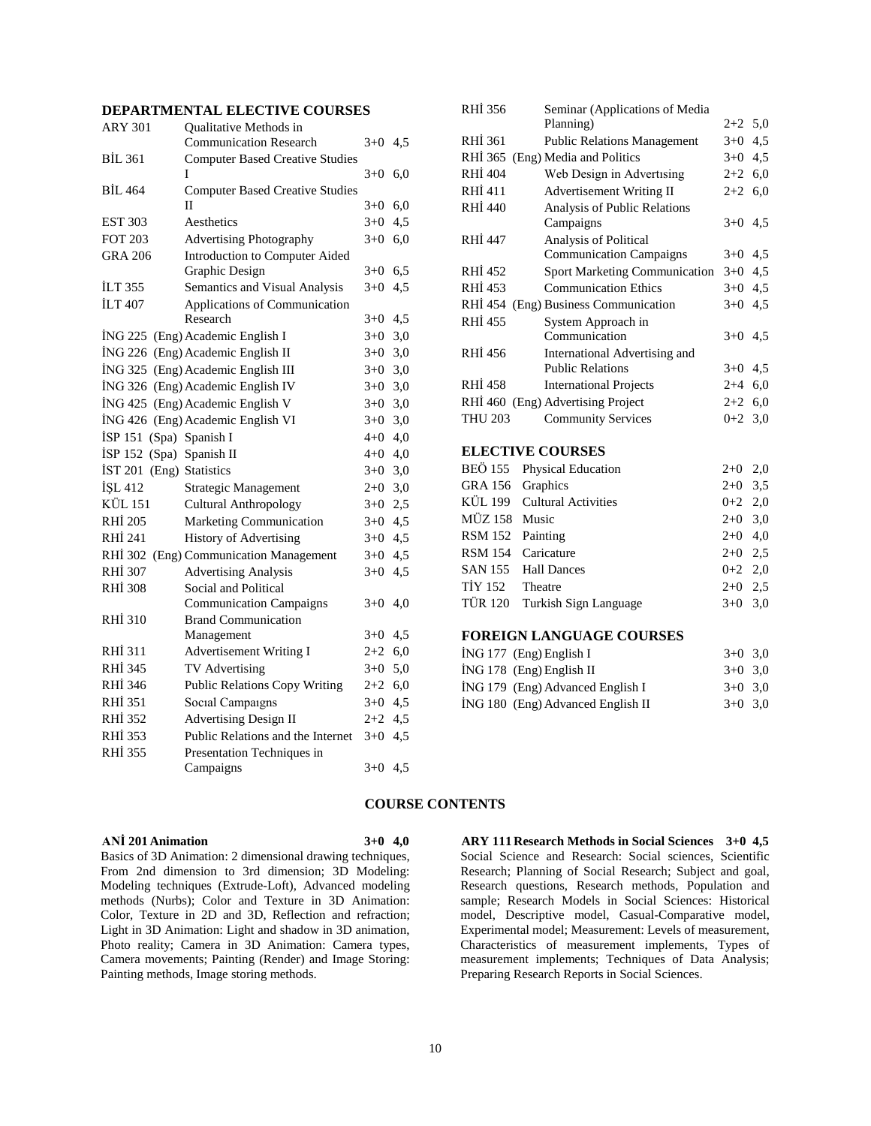# **DEPARTMENTAL ELECTIVE COURSES**

| <b>ARY 301</b>             | Qualitative Methods in                 |           |     |
|----------------------------|----------------------------------------|-----------|-----|
|                            | <b>Communication Research</b>          | $3+0$     | 4,5 |
| BIL 361                    | <b>Computer Based Creative Studies</b> |           |     |
|                            | I                                      | $3+0$     | 6,0 |
| <b>BIL 464</b>             | <b>Computer Based Creative Studies</b> |           |     |
|                            | П                                      | $3+0$     | 6,0 |
| <b>EST 303</b>             | Aesthetics                             | $3+0$     | 4,5 |
| <b>FOT 203</b>             | <b>Advertising Photography</b>         | $3+0$     | 6,0 |
| <b>GRA 206</b>             | Introduction to Computer Aided         |           |     |
|                            | Graphic Design                         | $3+0$     | 6,5 |
| ILT 355                    | Semantics and Visual Analysis          | $3+0$     | 4,5 |
| <b>İLT 407</b>             | Applications of Communication          |           |     |
|                            | Research                               | $3+0$     | 4,5 |
|                            | İNG 225 (Eng) Academic English I       | $3+0$     | 3,0 |
|                            | İNG 226 (Eng) Academic English II      | $3+0$     | 3,0 |
|                            | İNG 325 (Eng) Academic English III     | $3+0$     | 3,0 |
|                            | İNG 326 (Eng) Academic English IV      | $3+0$     | 3,0 |
|                            | İNG 425 (Eng) Academic English V       | $3+0$     | 3,0 |
|                            | İNG 426 (Eng) Academic English VI      | $3+0$     | 3,0 |
| İSP 151 (Spa) Spanish I    |                                        | $4 + 0$   | 4,0 |
| $ISP$ 152 (Spa) Spanish II |                                        | $4 + 0$   | 4,0 |
| IST 201                    | (Eng) Statistics                       | $3+0$     | 3,0 |
| <b>İSL 412</b>             | Strategic Management                   | $2+0$     | 3,0 |
| KÜL 151                    | <b>Cultural Anthropology</b>           | $3+0$     | 2,5 |
| <b>RHI 205</b>             | Marketing Communication                | $3+0$     | 4,5 |
| RHI 241                    | History of Advertising                 | $3+0$     | 4,5 |
| <b>RHİ 302</b>             | (Eng) Communication Management         | $3+0$     | 4,5 |
| <b>RHİ 307</b>             | <b>Advertising Analysis</b>            | $3+0$     | 4,5 |
| <b>RHİ 308</b>             | Social and Political                   |           |     |
|                            | <b>Communication Campaigns</b>         | $3+0$     | 4,0 |
| RHI 310                    | <b>Brand Communication</b>             |           |     |
|                            | Management                             | $3+0$     | 4,5 |
| RHİ 311                    | <b>Advertisement Writing I</b>         | $2+2$     | 6,0 |
| RHI 345                    | TV Advertising                         | $3+0$     | 5,0 |
| RHI 346                    | <b>Public Relations Copy Writing</b>   | $2+2$     | 6,0 |
| <b>RHİ 351</b>             | Social Campaigns                       | $3+0$     | 4,5 |
| <b>RHİ 352</b>             | <b>Advertising Design II</b>           | $2+2$     | 4,5 |
| RHI 353                    | Public Relations and the Internet      | $3+0$     | 4,5 |
| RHI 355                    | Presentation Techniques in             |           |     |
|                            | Campaigns                              | $3+0$ 4,5 |     |
|                            |                                        |           |     |

| RHI 356                                                                        | Seminar (Applications of Media<br>Planning) | $2+2$ 5,0 |     |
|--------------------------------------------------------------------------------|---------------------------------------------|-----------|-----|
|                                                                                |                                             |           |     |
| RHI 361                                                                        | <b>Public Relations Management</b>          | $3+0$     | 4,5 |
| RHI 365                                                                        | (Eng) Media and Politics                    | $3+0$     | 4,5 |
| RHI 404                                                                        | Web Design in Advertising                   | $2+2$     | 6,0 |
| RHI 411                                                                        | <b>Advertisement Writing II</b>             | $2+2$ 6,0 |     |
| <b>RHI 440</b>                                                                 | Analysis of Public Relations                |           |     |
|                                                                                | Campaigns                                   | $3+0$ 4.5 |     |
| RHI 447                                                                        | Analysis of Political                       |           |     |
|                                                                                | <b>Communication Campaigns</b>              | $3+0$ 4,5 |     |
| RHI 452                                                                        | <b>Sport Marketing Communication</b>        | $3+0$ 4,5 |     |
| RHI 453                                                                        | <b>Communication Ethics</b>                 | $3+0$     | 4,5 |
| RHI 454                                                                        | (Eng) Business Communication                | $3+0$ 4.5 |     |
| RHİ 455                                                                        | System Approach in                          |           |     |
|                                                                                | Communication                               | $3+0$ 4.5 |     |
| <b>RHI 456</b>                                                                 | International Advertising and               |           |     |
|                                                                                | <b>Public Relations</b>                     | $3+0$     | 4,5 |
| <b>RHI 458</b>                                                                 | <b>International Projects</b>               | $2 + 4$   | 6,0 |
| RHİ 460 (Eng) Advertising Project                                              |                                             | $2+2$ 6,0 |     |
| <b>THU 203</b>                                                                 | <b>Community Services</b>                   | $0+2$ 3,0 |     |
|                                                                                |                                             |           |     |
| <b>ELECTIVE COURSES</b>                                                        |                                             |           |     |
| BEÖ 155                                                                        | Physical Education                          | $2+0$     | 2,0 |
| Graphics<br>GRA 156                                                            |                                             | $2+0$     | 3,5 |
| KÜL 199 Cultural Activities                                                    |                                             | $0+2$     | 2,0 |
| $\overline{M}$ $\overline{17}$ $\overline{150}$ $\overline{M}$ <sub>ysie</sub> |                                             | 2.0.20    |     |

# MÜZ 158 Music 2+0 3,0 RSM 152 Painting 2+0 4,0 RSM 154 Caricature  $2+0$  2,5 SAN 155 Hall Dances  $0+2$  2,0  $T\dot{I}Y$  152 Theatre 2+0 2.5 TÜR 120 Turkish Sign Language 3+0 3,0

# **FOREIGN LANGUAGE COURSES**

|  | $ING 177$ (Eng) English I         | $3+0$ 3.0 |  |
|--|-----------------------------------|-----------|--|
|  | $ING 178$ (Eng) English II        | $3+0$ 3.0 |  |
|  | ING 179 (Eng) Advanced English I  | $3+0$ 3.0 |  |
|  | ING 180 (Eng) Advanced English II | $3+0$ 3.0 |  |

#### **COURSE CONTENTS**

# **ANİ 201 Animation 3+0 4,0**

Basics of 3D Animation: 2 dimensional drawing techniques, From 2nd dimension to 3rd dimension; 3D Modeling: Modeling techniques (Extrude-Loft), Advanced modeling methods (Nurbs); Color and Texture in 3D Animation: Color, Texture in 2D and 3D, Reflection and refraction; Light in 3D Animation: Light and shadow in 3D animation, Photo reality; Camera in 3D Animation: Camera types, Camera movements; Painting (Render) and Image Storing: Painting methods, Image storing methods.

**ARY 111 Research Methods in Social Sciences 3+0 4,5** Social Science and Research: Social sciences, Scientific Research; Planning of Social Research; Subject and goal, Research questions, Research methods, Population and sample; Research Models in Social Sciences: Historical model, Descriptive model, Casual-Comparative model, Experimental model; Measurement: Levels of measurement, Characteristics of measurement implements, Types of measurement implements; Techniques of Data Analysis; Preparing Research Reports in Social Sciences.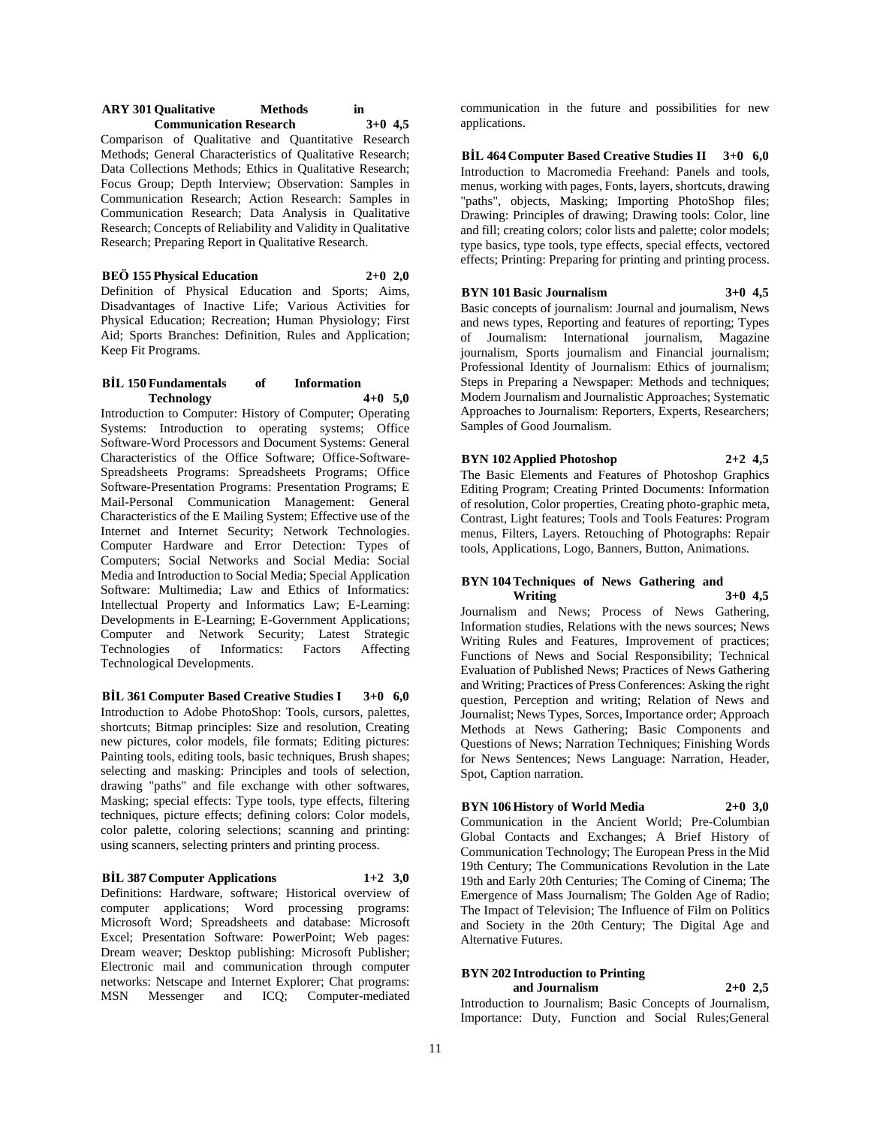#### **ARY** 301 Qualitative Methods in<br> **Communication Research** 3+0 4.5 **Communication Research 3+0 4,5**

Comparison of Qualitative and Quantitative Research Methods; General Characteristics of Qualitative Research; Data Collections Methods; Ethics in Qualitative Research; Focus Group; Depth Interview; Observation: Samples in Communication Research; Action Research: Samples in Communication Research; Data Analysis in Qualitative Research; Concepts of Reliability and Validity in Qualitative Research; Preparing Report in Qualitative Research.

# **BEÖ 155 Physical Education 2+0 2,0**

Definition of Physical Education and Sports; Aims, Disadvantages of Inactive Life; Various Activities for Physical Education; Recreation; Human Physiology; First Aid; Sports Branches: Definition, Rules and Application; Keep Fit Programs.

#### **BİL 150 Fundamentals of Information Technology 4+0 5,0**

Introduction to Computer: History of Computer; Operating Systems: Introduction to operating systems; Office Software-Word Processors and Document Systems: General Characteristics of the Office Software; Office-Software-Spreadsheets Programs: Spreadsheets Programs; Office Software-Presentation Programs: Presentation Programs; E Mail-Personal Communication Management: General Characteristics of the E Mailing System; Effective use of the Internet and Internet Security; Network Technologies. Computer Hardware and Error Detection: Types of Computers; Social Networks and Social Media: Social Media and Introduction to Social Media; Special Application Software: Multimedia; Law and Ethics of Informatics: Intellectual Property and Informatics Law; E-Learning: Developments in E-Learning; E-Government Applications; Computer and Network Security; Latest Strategic Technologies of Informatics: Factors Affecting Technological Developments.

**BİL 361 Computer Based Creative Studies I 3+0 6,0** Introduction to Adobe PhotoShop: Tools, cursors, palettes, shortcuts; Bitmap principles: Size and resolution, Creating new pictures, color models, file formats; Editing pictures: Painting tools, editing tools, basic techniques, Brush shapes; selecting and masking: Principles and tools of selection, drawing "paths" and file exchange with other softwares, Masking; special effects: Type tools, type effects, filtering techniques, picture effects; defining colors: Color models, color palette, coloring selections; scanning and printing: using scanners, selecting printers and printing process.

#### **BİL 387 Computer Applications 1+2 3,0**

Definitions: Hardware, software; Historical overview of computer applications; Word processing programs: Microsoft Word; Spreadsheets and database: Microsoft Excel; Presentation Software: PowerPoint; Web pages: Dream weaver; Desktop publishing: Microsoft Publisher; Electronic mail and communication through computer networks: Netscape and Internet Explorer; Chat programs: MSN Messenger and ICQ; Computer-mediated communication in the future and possibilities for new applications.

**BİL 464 Computer Based Creative Studies II 3+0 6,0** Introduction to Macromedia Freehand: Panels and tools, menus, working with pages, Fonts, layers, shortcuts, drawing "paths", objects, Masking; Importing PhotoShop files; Drawing: Principles of drawing; Drawing tools: Color, line and fill; creating colors; color lists and palette; color models; type basics, type tools, type effects, special effects, vectored effects; Printing: Preparing for printing and printing process.

#### **BYN 101 Basic Journalism 3+0 4,5**

Basic concepts of journalism: Journal and journalism, News and news types, Reporting and features of reporting; Types of Journalism: International journalism, Magazine journalism, Sports journalism and Financial journalism; Professional Identity of Journalism: Ethics of journalism; Steps in Preparing a Newspaper: Methods and techniques; Modern Journalism and Journalistic Approaches; Systematic Approaches to Journalism: Reporters, Experts, Researchers; Samples of Good Journalism.

#### **BYN 102 Applied Photoshop 2+2 4,5**

The Basic Elements and Features of Photoshop Graphics Editing Program; Creating Printed Documents: Information of resolution, Color properties, Creating photo-graphic meta, Contrast, Light features; Tools and Tools Features: Program menus, Filters, Layers. Retouching of Photographs: Repair tools, Applications, Logo, Banners, Button, Animations.

#### **BYN 104 Techniques of News Gathering and Writing 3+0 4,5**

Journalism and News; Process of News Gathering, Information studies, Relations with the news sources; News Writing Rules and Features, Improvement of practices; Functions of News and Social Responsibility; Technical Evaluation of Published News; Practices of News Gathering and Writing; Practices of Press Conferences: Asking the right question, Perception and writing; Relation of News and Journalist; News Types, Sorces, Importance order; Approach Methods at News Gathering; Basic Components and Questions of News; Narration Techniques; Finishing Words for News Sentences; News Language: Narration, Header, Spot, Caption narration.

# **BYN 106 History of World Media 2+0 3,0**

Communication in the Ancient World; Pre-Columbian Global Contacts and Exchanges; A Brief History of Communication Technology; The European Press in the Mid 19th Century; The Communications Revolution in the Late 19th and Early 20th Centuries; The Coming of Cinema; The Emergence of Mass Journalism; The Golden Age of Radio; The Impact of Television; The Influence of Film on Politics and Society in the 20th Century; The Digital Age and Alternative Futures.

#### **BYN 202 Introduction to Printing and Journalism 2+0 2,5**

Introduction to Journalism; Basic Concepts of Journalism, Importance: Duty, Function and Social Rules;General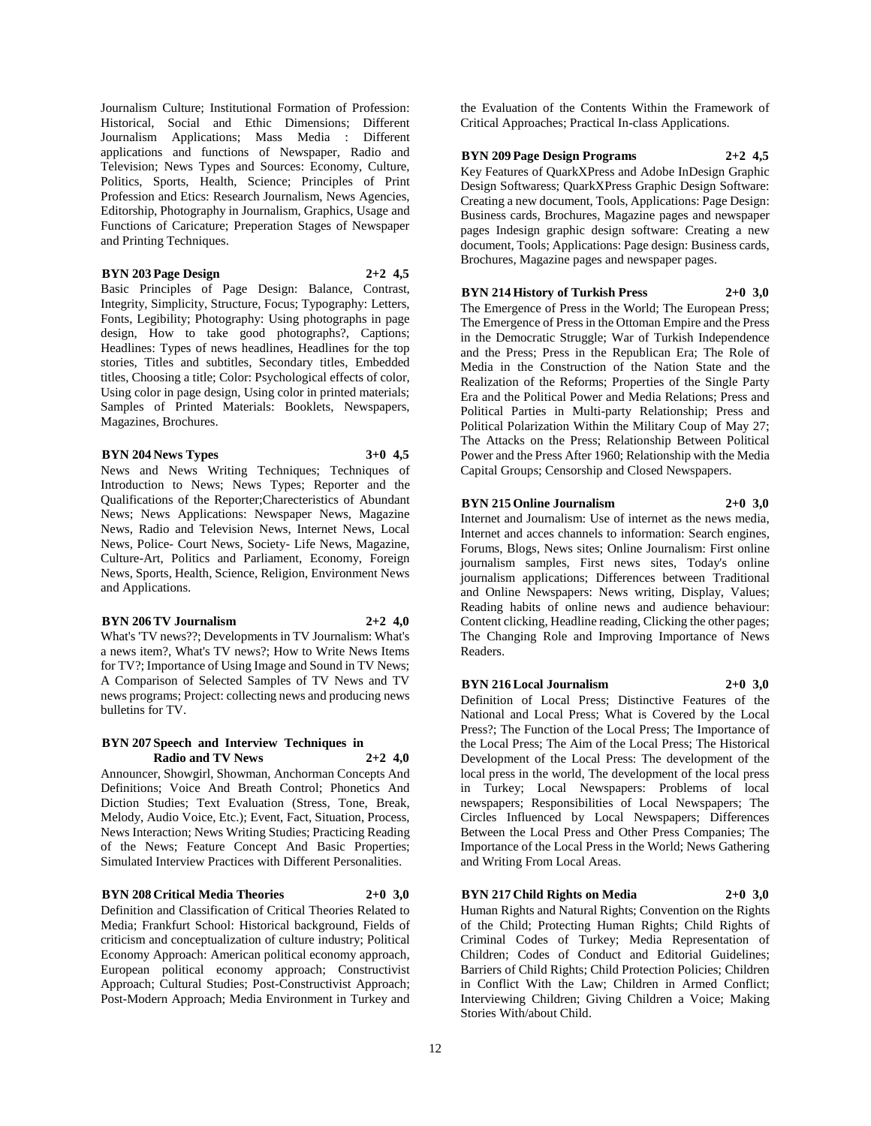Journalism Culture; Institutional Formation of Profession: Historical, Social and Ethic Dimensions; Different Journalism Applications; Mass Media : Different applications and functions of Newspaper, Radio and Television; News Types and Sources: Economy, Culture, Politics, Sports, Health, Science; Principles of Print Profession and Etics: Research Journalism, News Agencies, Editorship, Photography in Journalism, Graphics, Usage and Functions of Caricature; Preperation Stages of Newspaper and Printing Techniques.

#### **BYN 203 Page Design 2+2 4,5**

Basic Principles of Page Design: Balance, Contrast, Integrity, Simplicity, Structure, Focus; Typography: Letters, Fonts, Legibility; Photography: Using photographs in page design, How to take good photographs?, Captions; Headlines: Types of news headlines, Headlines for the top stories, Titles and subtitles, Secondary titles, Embedded titles, Choosing a title; Color: Psychological effects of color, Using color in page design, Using color in printed materials; Samples of Printed Materials: Booklets, Newspapers, Magazines, Brochures.

# **BYN 204 News Types 3+0 4,5**

News and News Writing Techniques; Techniques of Introduction to News; News Types; Reporter and the Qualifications of the Reporter;Charecteristics of Abundant News; News Applications: Newspaper News, Magazine News, Radio and Television News, Internet News, Local News, Police- Court News, Society- Life News, Magazine, Culture-Art, Politics and Parliament, Economy, Foreign News, Sports, Health, Science, Religion, Environment News and Applications.

#### **BYN 206 TV Journalism 2+2 4,0**

What's 'TV news??; Developments in TV Journalism: What's a news item?, What's TV news?; How to Write News Items for TV?; Importance of Using Image and Sound in TV News; A Comparison of Selected Samples of TV News and TV news programs; Project: collecting news and producing news bulletins for TV.

#### **BYN 207 Speech and Interview Techniques in Radio and TV News 2+2 4,0**

Announcer, Showgirl, Showman, Anchorman Concepts And Definitions; Voice And Breath Control; Phonetics And Diction Studies; Text Evaluation (Stress, Tone, Break, Melody, Audio Voice, Etc.); Event, Fact, Situation, Process, News Interaction; News Writing Studies; Practicing Reading of the News; Feature Concept And Basic Properties; Simulated Interview Practices with Different Personalities.

#### **BYN 208 Critical Media Theories 2+0 3,0**

Definition and Classification of Critical Theories Related to Media; Frankfurt School: Historical background, Fields of criticism and conceptualization of culture industry; Political Economy Approach: American political economy approach, European political economy approach; Constructivist Approach; Cultural Studies; Post-Constructivist Approach; Post-Modern Approach; Media Environment in Turkey and

the Evaluation of the Contents Within the Framework of Critical Approaches; Practical In-class Applications.

#### **BYN 209 Page Design Programs 2+2 4,5**

Key Features of QuarkXPress and Adobe InDesign Graphic Design Softwaress; QuarkXPress Graphic Design Software: Creating a new document, Tools, Applications: Page Design: Business cards, Brochures, Magazine pages and newspaper pages Indesign graphic design software: Creating a new document, Tools; Applications: Page design: Business cards, Brochures, Magazine pages and newspaper pages.

# **BYN 214 History of Turkish Press 2+0 3,0**

The Emergence of Press in the World; The European Press; The Emergence of Press in the Ottoman Empire and the Press in the Democratic Struggle; War of Turkish Independence and the Press; Press in the Republican Era; The Role of Media in the Construction of the Nation State and the Realization of the Reforms; Properties of the Single Party Era and the Political Power and Media Relations; Press and Political Parties in Multi-party Relationship; Press and Political Polarization Within the Military Coup of May 27; The Attacks on the Press; Relationship Between Political Power and the Press After 1960; Relationship with the Media Capital Groups; Censorship and Closed Newspapers.

#### **BYN 215 Online Journalism 2+0 3,0**

Internet and Journalism: Use of internet as the news media, Internet and acces channels to information: Search engines, Forums, Blogs, News sites; Online Journalism: First online journalism samples, First news sites, Today's online journalism applications; Differences between Traditional and Online Newspapers: News writing, Display, Values; Reading habits of online news and audience behaviour: Content clicking, Headline reading, Clicking the other pages; The Changing Role and Improving Importance of News Readers.

#### **BYN 216 Local Journalism 2+0 3,0**

Definition of Local Press; Distinctive Features of the National and Local Press; What is Covered by the Local Press?; The Function of the Local Press; The Importance of the Local Press; The Aim of the Local Press; The Historical Development of the Local Press: The development of the local press in the world, The development of the local press in Turkey; Local Newspapers: Problems of local newspapers; Responsibilities of Local Newspapers; The Circles Influenced by Local Newspapers; Differences Between the Local Press and Other Press Companies; The Importance of the Local Press in the World; News Gathering and Writing From Local Areas.

#### **BYN 217 Child Rights on Media 2+0 3,0**

Human Rights and Natural Rights; Convention on the Rights of the Child; Protecting Human Rights; Child Rights of Criminal Codes of Turkey; Media Representation of Children; Codes of Conduct and Editorial Guidelines; Barriers of Child Rights; Child Protection Policies; Children in Conflict With the Law; Children in Armed Conflict; Interviewing Children; Giving Children a Voice; Making Stories With/about Child.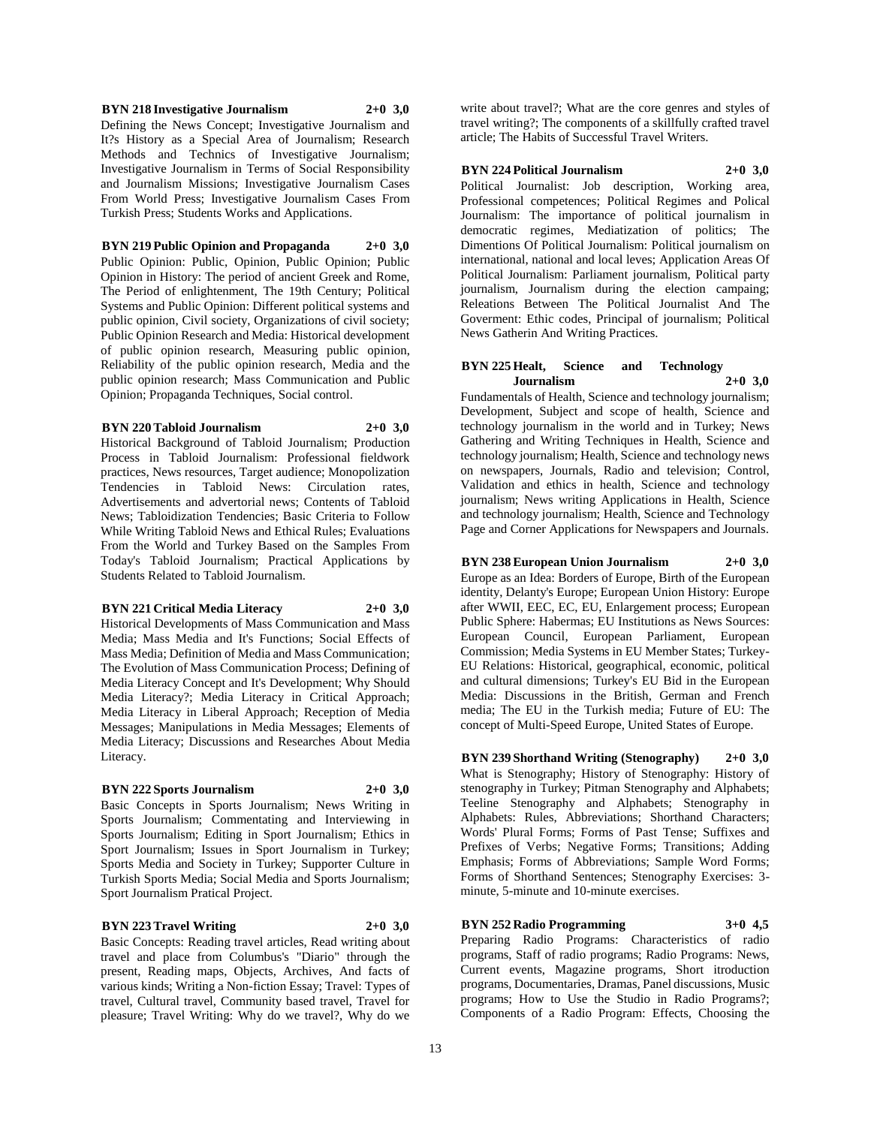**BYN 218 Investigative Journalism 2+0 3,0**

Defining the News Concept; Investigative Journalism and It?s History as a Special Area of Journalism; Research Methods and Technics of Investigative Journalism; Investigative Journalism in Terms of Social Responsibility and Journalism Missions; Investigative Journalism Cases From World Press; Investigative Journalism Cases From Turkish Press; Students Works and Applications.

#### **BYN 219 Public Opinion and Propaganda 2+0 3,0**

Public Opinion: Public, Opinion, Public Opinion; Public Opinion in History: The period of ancient Greek and Rome, The Period of enlightenment, The 19th Century; Political Systems and Public Opinion: Different political systems and public opinion, Civil society, Organizations of civil society; Public Opinion Research and Media: Historical development of public opinion research, Measuring public opinion, Reliability of the public opinion research, Media and the public opinion research; Mass Communication and Public Opinion; Propaganda Techniques, Social control.

#### **BYN 220 Tabloid Journalism 2+0 3,0**

Historical Background of Tabloid Journalism; Production Process in Tabloid Journalism: Professional fieldwork practices, News resources, Target audience; Monopolization Tendencies in Tabloid News: Circulation rates, Advertisements and advertorial news; Contents of Tabloid News; Tabloidization Tendencies; Basic Criteria to Follow While Writing Tabloid News and Ethical Rules; Evaluations From the World and Turkey Based on the Samples From Today's Tabloid Journalism; Practical Applications by Students Related to Tabloid Journalism.

#### **BYN 221 Critical Media Literacy 2+0 3,0**

Historical Developments of Mass Communication and Mass Media; Mass Media and It's Functions; Social Effects of Mass Media; Definition of Media and Mass Communication; The Evolution of Mass Communication Process; Defining of Media Literacy Concept and It's Development; Why Should Media Literacy?; Media Literacy in Critical Approach; Media Literacy in Liberal Approach; Reception of Media Messages; Manipulations in Media Messages; Elements of Media Literacy; Discussions and Researches About Media Literacy.

#### **BYN 222 Sports Journalism 2+0 3,0**

Basic Concepts in Sports Journalism; News Writing in Sports Journalism; Commentating and Interviewing in Sports Journalism; Editing in Sport Journalism; Ethics in Sport Journalism; Issues in Sport Journalism in Turkey; Sports Media and Society in Turkey; Supporter Culture in Turkish Sports Media; Social Media and Sports Journalism; Sport Journalism Pratical Project.

#### **BYN 223 Travel Writing 2+0 3,0**

Basic Concepts: Reading travel articles, Read writing about travel and place from Columbus's "Diario" through the present, Reading maps, Objects, Archives, And facts of various kinds; Writing a Non-fiction Essay; Travel: Types of travel, Cultural travel, Community based travel, Travel for pleasure; Travel Writing: Why do we travel?, Why do we

write about travel?; What are the core genres and styles of travel writing?; The components of a skillfully crafted travel article; The Habits of Successful Travel Writers.

#### **BYN 224 Political Journalism 2+0 3,0**

Political Journalist: Job description, Working area, Professional competences; Political Regimes and Polical Journalism: The importance of political journalism in democratic regimes, Mediatization of politics; The Dimentions Of Political Journalism: Political journalism on international, national and local leves; Application Areas Of Political Journalism: Parliament journalism, Political party journalism, Journalism during the election campaing; Releations Between The Political Journalist And The Goverment: Ethic codes, Principal of journalism; Political News Gatherin And Writing Practices.

#### **BYN 225 Healt, Science and Technology Journalism 2+0 3,0**

Fundamentals of Health, Science and technology journalism; Development, Subject and scope of health, Science and technology journalism in the world and in Turkey; News Gathering and Writing Techniques in Health, Science and technology journalism; Health, Science and technology news on newspapers, Journals, Radio and television; Control, Validation and ethics in health, Science and technology journalism; News writing Applications in Health, Science and technology journalism; Health, Science and Technology Page and Corner Applications for Newspapers and Journals.

#### **BYN 238 European Union Journalism 2+0 3,0**

Europe as an Idea: Borders of Europe, Birth of the European identity, Delanty's Europe; European Union History: Europe after WWII, EEC, EC, EU, Enlargement process; European Public Sphere: Habermas; EU Institutions as News Sources: European Council, European Parliament, European Commission; Media Systems in EU Member States; Turkey-EU Relations: Historical, geographical, economic, political and cultural dimensions; Turkey's EU Bid in the European Media: Discussions in the British, German and French media; The EU in the Turkish media; Future of EU: The concept of Multi-Speed Europe, United States of Europe.

**BYN 239 Shorthand Writing (Stenography) 2+0 3,0** What is Stenography; History of Stenography: History of stenography in Turkey; Pitman Stenography and Alphabets; Teeline Stenography and Alphabets; Stenography in Alphabets: Rules, Abbreviations; Shorthand Characters; Words' Plural Forms; Forms of Past Tense; Suffixes and Prefixes of Verbs; Negative Forms; Transitions; Adding Emphasis; Forms of Abbreviations; Sample Word Forms; Forms of Shorthand Sentences; Stenography Exercises: 3 minute, 5-minute and 10-minute exercises.

# **BYN 252 Radio Programming 3+0 4,5**

Preparing Radio Programs: Characteristics of radio programs, Staff of radio programs; Radio Programs: News, Current events, Magazine programs, Short itroduction programs, Documentaries, Dramas, Panel discussions, Music programs; How to Use the Studio in Radio Programs?; Components of a Radio Program: Effects, Choosing the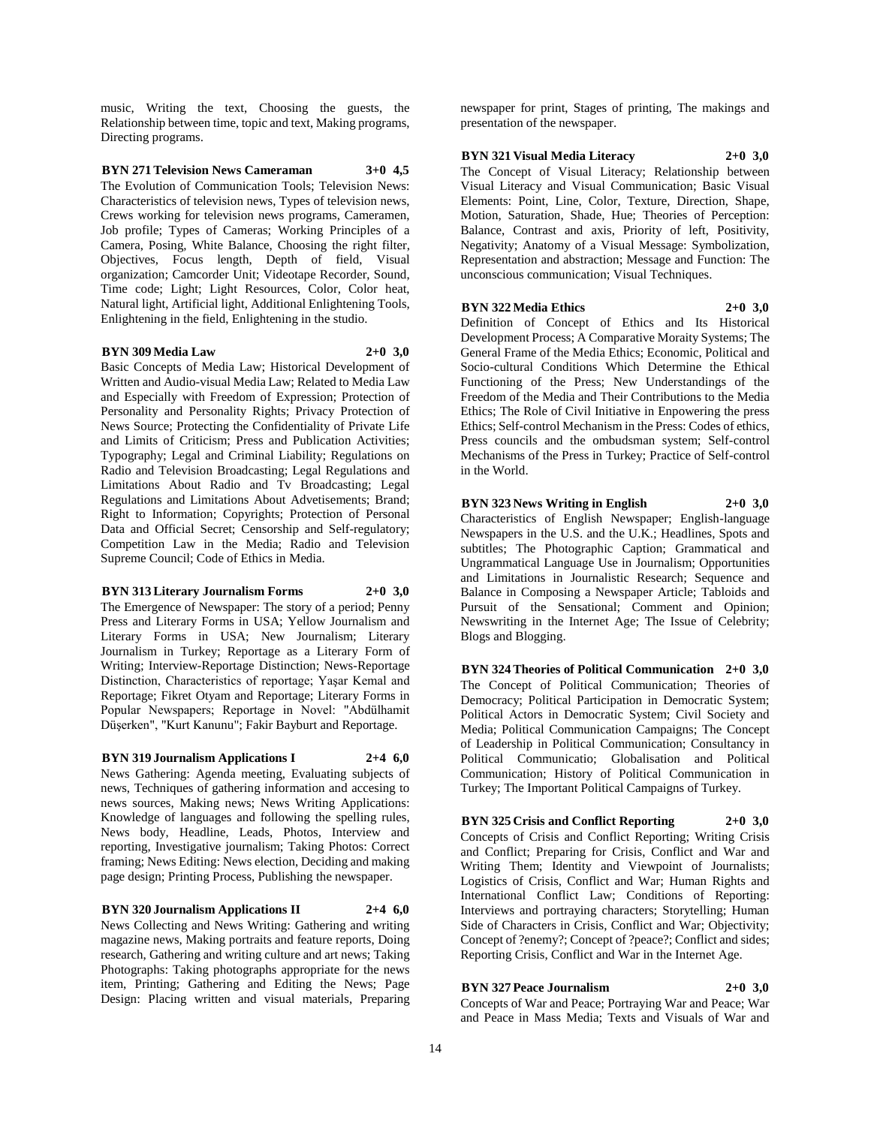music, Writing the text, Choosing the guests, the Relationship between time, topic and text, Making programs, Directing programs.

#### **BYN 271 Television News Cameraman 3+0 4,5**

The Evolution of Communication Tools; Television News: Characteristics of television news, Types of television news, Crews working for television news programs, Cameramen, Job profile; Types of Cameras; Working Principles of a Camera, Posing, White Balance, Choosing the right filter, Objectives, Focus length, Depth of field, Visual organization; Camcorder Unit; Videotape Recorder, Sound, Time code; Light; Light Resources, Color, Color heat, Natural light, Artificial light, Additional Enlightening Tools, Enlightening in the field, Enlightening in the studio.

#### **BYN 309 Media Law 2+0 3,0**

Basic Concepts of Media Law; Historical Development of Written and Audio-visual Media Law; Related to Media Law and Especially with Freedom of Expression; Protection of Personality and Personality Rights; Privacy Protection of News Source; Protecting the Confidentiality of Private Life and Limits of Criticism; Press and Publication Activities; Typography; Legal and Criminal Liability; Regulations on Radio and Television Broadcasting; Legal Regulations and Limitations About Radio and Tv Broadcasting; Legal Regulations and Limitations About Advetisements; Brand; Right to Information; Copyrights; Protection of Personal Data and Official Secret; Censorship and Self-regulatory; Competition Law in the Media; Radio and Television Supreme Council; Code of Ethics in Media.

#### **BYN 313 Literary Journalism Forms 2+0 3,0**

The Emergence of Newspaper: The story of a period; Penny Press and Literary Forms in USA; Yellow Journalism and Literary Forms in USA; New Journalism; Literary Journalism in Turkey; Reportage as a Literary Form of Writing; Interview-Reportage Distinction; News-Reportage Distinction, Characteristics of reportage; Yaşar Kemal and Reportage; Fikret Otyam and Reportage; Literary Forms in Popular Newspapers; Reportage in Novel: "Abdülhamit Düşerken", "Kurt Kanunu"; Fakir Bayburt and Reportage.

#### **BYN 319 Journalism Applications I 2+4 6,0**

News Gathering: Agenda meeting, Evaluating subjects of news, Techniques of gathering information and accesing to news sources, Making news; News Writing Applications: Knowledge of languages and following the spelling rules, News body, Headline, Leads, Photos, Interview and reporting, Investigative journalism; Taking Photos: Correct framing; News Editing: News election, Deciding and making page design; Printing Process, Publishing the newspaper.

# **BYN 320 Journalism Applications II 2+4 6,0**

News Collecting and News Writing: Gathering and writing magazine news, Making portraits and feature reports, Doing research, Gathering and writing culture and art news; Taking Photographs: Taking photographs appropriate for the news item, Printing; Gathering and Editing the News; Page Design: Placing written and visual materials, Preparing

newspaper for print, Stages of printing, The makings and presentation of the newspaper.

## **BYN 321 Visual Media Literacy 2+0 3,0**

The Concept of Visual Literacy; Relationship between Visual Literacy and Visual Communication; Basic Visual Elements: Point, Line, Color, Texture, Direction, Shape, Motion, Saturation, Shade, Hue; Theories of Perception: Balance, Contrast and axis, Priority of left, Positivity, Negativity; Anatomy of a Visual Message: Symbolization, Representation and abstraction; Message and Function: The unconscious communication; Visual Techniques.

#### **BYN 322 Media Ethics 2+0 3,0**

Definition of Concept of Ethics and Its Historical Development Process; A Comparative Moraity Systems; The General Frame of the Media Ethics; Economic, Political and Socio-cultural Conditions Which Determine the Ethical Functioning of the Press; New Understandings of the Freedom of the Media and Their Contributions to the Media Ethics; The Role of Civil Initiative in Enpowering the press Ethics; Self-control Mechanism in the Press: Codes of ethics, Press councils and the ombudsman system; Self-control Mechanisms of the Press in Turkey; Practice of Self-control in the World.

## **BYN 323 News Writing in English 2+0 3,0**

Characteristics of English Newspaper; English-language Newspapers in the U.S. and the U.K.; Headlines, Spots and subtitles; The Photographic Caption; Grammatical and Ungrammatical Language Use in Journalism; Opportunities and Limitations in Journalistic Research; Sequence and Balance in Composing a Newspaper Article; Tabloids and Pursuit of the Sensational; Comment and Opinion; Newswriting in the Internet Age; The Issue of Celebrity; Blogs and Blogging.

**BYN 324 Theories of Political Communication 2+0 3,0** The Concept of Political Communication; Theories of Democracy; Political Participation in Democratic System; Political Actors in Democratic System; Civil Society and Media; Political Communication Campaigns; The Concept of Leadership in Political Communication; Consultancy in Political Communicatio; Globalisation and Political Communication; History of Political Communication in Turkey; The Important Political Campaigns of Turkey.

#### **BYN 325 Crisis and Conflict Reporting 2+0 3,0** Concepts of Crisis and Conflict Reporting; Writing Crisis and Conflict; Preparing for Crisis, Conflict and War and Writing Them; Identity and Viewpoint of Journalists; Logistics of Crisis, Conflict and War; Human Rights and International Conflict Law; Conditions of Reporting: Interviews and portraying characters; Storytelling; Human

Side of Characters in Crisis, Conflict and War; Objectivity; Concept of ?enemy?; Concept of ?peace?; Conflict and sides; Reporting Crisis, Conflict and War in the Internet Age.

# **BYN 327 Peace Journalism 2+0 3,0**

Concepts of War and Peace; Portraying War and Peace; War and Peace in Mass Media; Texts and Visuals of War and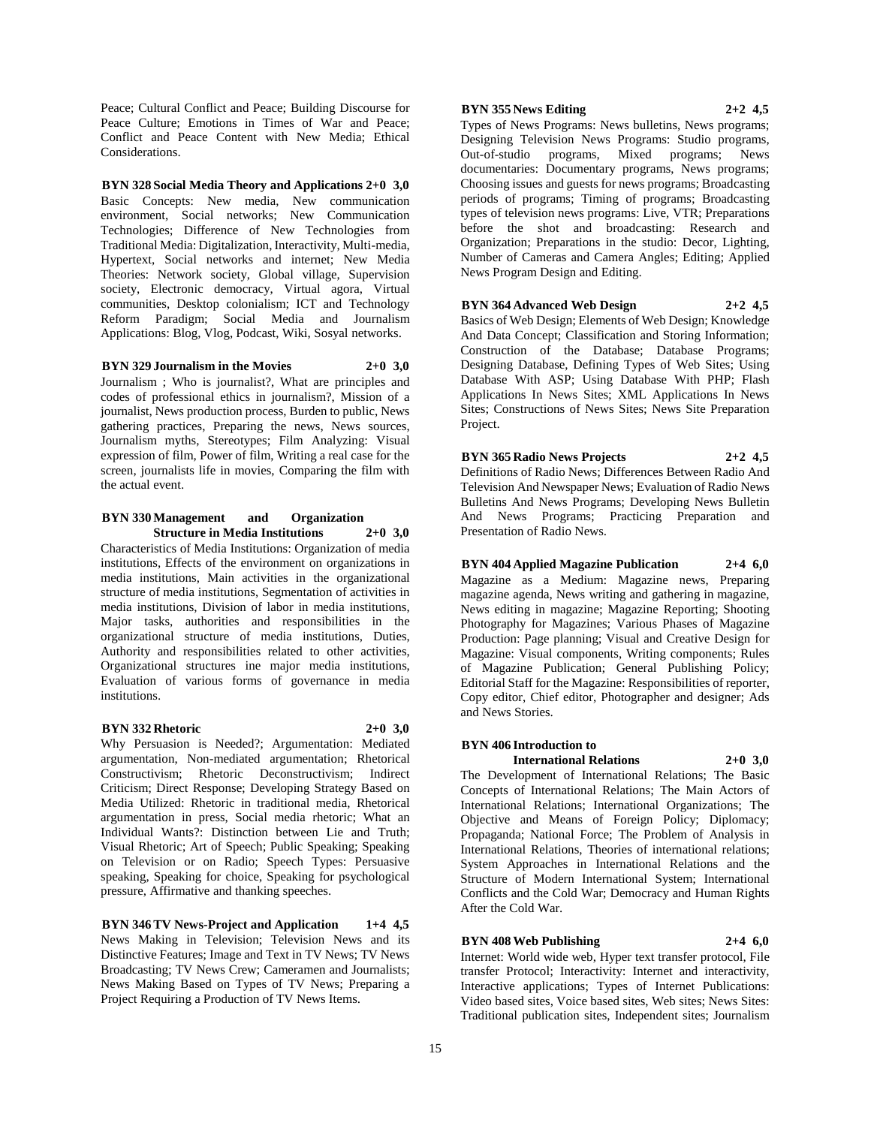Peace; Cultural Conflict and Peace; Building Discourse for Peace Culture; Emotions in Times of War and Peace; Conflict and Peace Content with New Media; Ethical Considerations.

**BYN 328 Social Media Theory and Applications 2+0 3,0** Basic Concepts: New media, New communication environment, Social networks; New Communication Technologies; Difference of New Technologies from Traditional Media: Digitalization, Interactivity, Multi-media, Hypertext, Social networks and internet; New Media Theories: Network society, Global village, Supervision society, Electronic democracy, Virtual agora, Virtual communities, Desktop colonialism; ICT and Technology Reform Paradigm; Social Media and Journalism Applications: Blog, Vlog, Podcast, Wiki, Sosyal networks.

**BYN 329 Journalism in the Movies 2+0 3,0** Journalism ; Who is journalist?, What are principles and codes of professional ethics in journalism?, Mission of a journalist, News production process, Burden to public, News gathering practices, Preparing the news, News sources, Journalism myths, Stereotypes; Film Analyzing: Visual

expression of film, Power of film, Writing a real case for the screen, journalists life in movies, Comparing the film with the actual event.

#### **BYN 330 Management and Organization Structure in Media Institutions 2+0 3,0**

Characteristics of Media Institutions: Organization of media institutions, Effects of the environment on organizations in media institutions, Main activities in the organizational structure of media institutions, Segmentation of activities in media institutions, Division of labor in media institutions, Major tasks, authorities and responsibilities in the organizational structure of media institutions, Duties, Authority and responsibilities related to other activities, Organizational structures ine major media institutions, Evaluation of various forms of governance in media institutions.

### **BYN 332 Rhetoric 2+0 3,0**

Why Persuasion is Needed?; Argumentation: Mediated argumentation, Non-mediated argumentation; Rhetorical Constructivism; Rhetoric Deconstructivism; Indirect Criticism; Direct Response; Developing Strategy Based on Media Utilized: Rhetoric in traditional media, Rhetorical argumentation in press, Social media rhetoric; What an Individual Wants?: Distinction between Lie and Truth; Visual Rhetoric; Art of Speech; Public Speaking; Speaking on Television or on Radio; Speech Types: Persuasive speaking, Speaking for choice, Speaking for psychological pressure, Affirmative and thanking speeches.

**BYN 346 TV News-Project and Application 1+4 4,5** News Making in Television; Television News and its Distinctive Features; Image and Text in TV News; TV News Broadcasting; TV News Crew; Cameramen and Journalists; News Making Based on Types of TV News; Preparing a Project Requiring a Production of TV News Items.

#### **BYN 355 News Editing 2+2 4,5**

Types of News Programs: News bulletins, News programs; Designing Television News Programs: Studio programs, Out-of-studio programs, Mixed programs; News documentaries: Documentary programs, News programs; Choosing issues and guests for news programs; Broadcasting periods of programs; Timing of programs; Broadcasting types of television news programs: Live, VTR; Preparations before the shot and broadcasting: Research and Organization; Preparations in the studio: Decor, Lighting, Number of Cameras and Camera Angles; Editing; Applied News Program Design and Editing.

# **BYN 364 Advanced Web Design 2+2 4,5**

Basics of Web Design; Elements of Web Design; Knowledge And Data Concept; Classification and Storing Information; Construction of the Database; Database Programs; Designing Database, Defining Types of Web Sites; Using Database With ASP; Using Database With PHP; Flash Applications In News Sites; XML Applications In News Sites; Constructions of News Sites; News Site Preparation Project.

**BYN 365 Radio News Projects 2+2 4,5** Definitions of Radio News; Differences Between Radio And Television And Newspaper News; Evaluation of Radio News Bulletins And News Programs; Developing News Bulletin And News Programs; Practicing Preparation and Presentation of Radio News.

**BYN 404 Applied Magazine Publication 2+4 6,0** Magazine as a Medium: Magazine news, Preparing magazine agenda, News writing and gathering in magazine, News editing in magazine; Magazine Reporting; Shooting Photography for Magazines; Various Phases of Magazine Production: Page planning; Visual and Creative Design for Magazine: Visual components, Writing components; Rules of Magazine Publication; General Publishing Policy; Editorial Staff for the Magazine: Responsibilities of reporter, Copy editor, Chief editor, Photographer and designer; Ads and News Stories.

### **BYN 406 Introduction to**

**International Relations 2+0 3,0**

The Development of International Relations; The Basic Concepts of International Relations; The Main Actors of International Relations; International Organizations; The Objective and Means of Foreign Policy; Diplomacy; Propaganda; National Force; The Problem of Analysis in International Relations, Theories of international relations; System Approaches in International Relations and the Structure of Modern International System; International Conflicts and the Cold War; Democracy and Human Rights After the Cold War.

#### **BYN 408 Web Publishing 2+4 6,0**

Internet: World wide web, Hyper text transfer protocol, File transfer Protocol; Interactivity: Internet and interactivity, Interactive applications; Types of Internet Publications: Video based sites, Voice based sites, Web sites; News Sites: Traditional publication sites, Independent sites; Journalism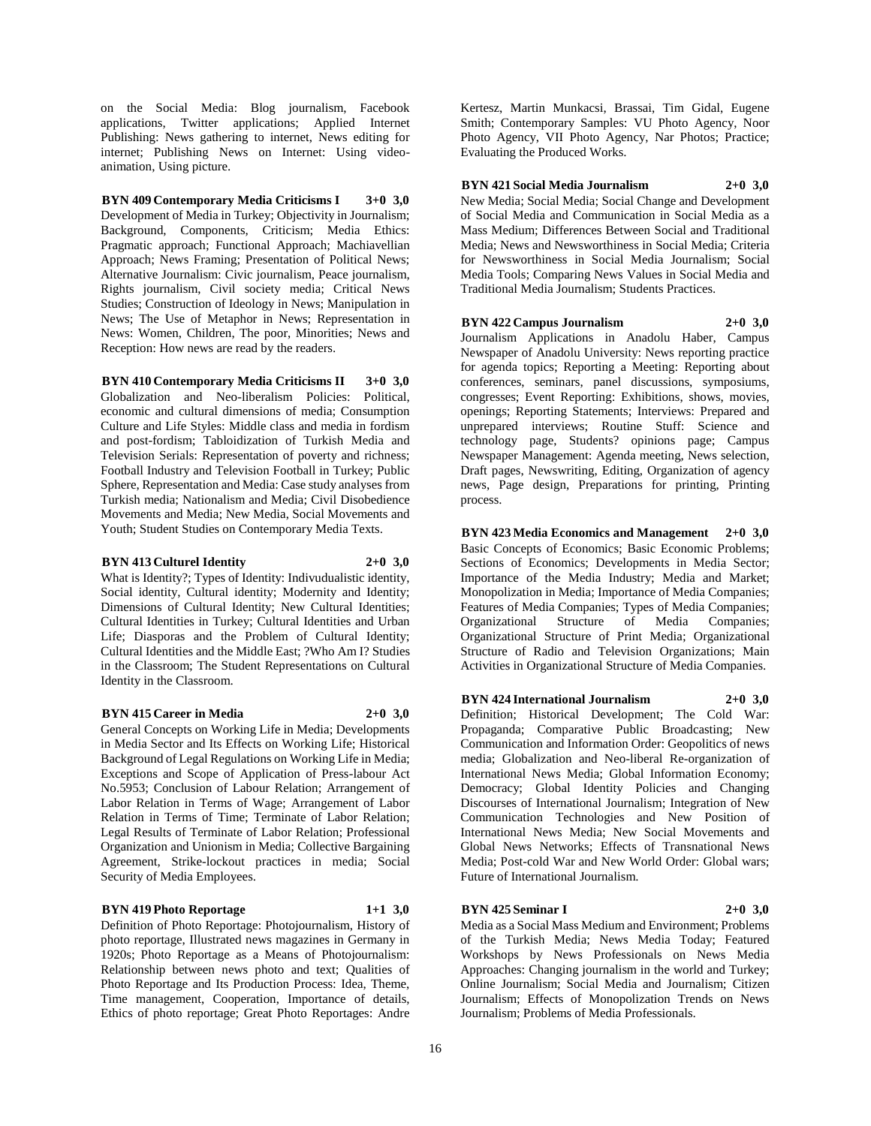on the Social Media: Blog journalism, Facebook applications, Twitter applications; Applied Internet Publishing: News gathering to internet, News editing for internet; Publishing News on Internet: Using videoanimation, Using picture.

**BYN 409 Contemporary Media Criticisms I 3+0 3,0** Development of Media in Turkey; Objectivity in Journalism; Background, Components, Criticism; Media Ethics: Pragmatic approach; Functional Approach; Machiavellian Approach; News Framing; Presentation of Political News; Alternative Journalism: Civic journalism, Peace journalism, Rights journalism, Civil society media; Critical News Studies; Construction of Ideology in News; Manipulation in News; The Use of Metaphor in News; Representation in News: Women, Children, The poor, Minorities; News and Reception: How news are read by the readers.

**BYN 410 Contemporary Media Criticisms II 3+0 3,0** Globalization and Neo-liberalism Policies: Political, economic and cultural dimensions of media; Consumption Culture and Life Styles: Middle class and media in fordism and post-fordism; Tabloidization of Turkish Media and Television Serials: Representation of poverty and richness; Football Industry and Television Football in Turkey; Public Sphere, Representation and Media: Case study analyses from Turkish media; Nationalism and Media; Civil Disobedience Movements and Media; New Media, Social Movements and Youth; Student Studies on Contemporary Media Texts.

#### **BYN 413 Culturel Identity 2+0 3,0**

What is Identity?; Types of Identity: Indivudualistic identity, Social identity, Cultural identity; Modernity and Identity; Dimensions of Cultural Identity; New Cultural Identities; Cultural Identities in Turkey; Cultural Identities and Urban Life; Diasporas and the Problem of Cultural Identity; Cultural Identities and the Middle East; ?Who Am I? Studies in the Classroom; The Student Representations on Cultural Identity in the Classroom.

#### **BYN 415 Career in Media 2+0 3,0**

General Concepts on Working Life in Media; Developments in Media Sector and Its Effects on Working Life; Historical Background of Legal Regulations on Working Life in Media; Exceptions and Scope of Application of Press-labour Act No.5953; Conclusion of Labour Relation; Arrangement of Labor Relation in Terms of Wage; Arrangement of Labor Relation in Terms of Time; Terminate of Labor Relation; Legal Results of Terminate of Labor Relation; Professional Organization and Unionism in Media; Collective Bargaining Agreement, Strike-lockout practices in media; Social Security of Media Employees.

#### **BYN 419 Photo Reportage 1+1 3,0**

Definition of Photo Reportage: Photojournalism, History of photo reportage, Illustrated news magazines in Germany in 1920s; Photo Reportage as a Means of Photojournalism: Relationship between news photo and text; Qualities of Photo Reportage and Its Production Process: Idea, Theme, Time management, Cooperation, Importance of details, Ethics of photo reportage; Great Photo Reportages: Andre

Kertesz, Martin Munkacsi, Brassai, Tim Gidal, Eugene Smith; Contemporary Samples: VU Photo Agency, Noor Photo Agency, VII Photo Agency, Nar Photos; Practice; Evaluating the Produced Works.

#### **BYN 421 Social Media Journalism 2+0 3,0**

New Media; Social Media; Social Change and Development of Social Media and Communication in Social Media as a Mass Medium; Differences Between Social and Traditional Media; News and Newsworthiness in Social Media; Criteria for Newsworthiness in Social Media Journalism; Social Media Tools; Comparing News Values in Social Media and Traditional Media Journalism; Students Practices.

**BYN 422 Campus Journalism 2+0 3,0**

Journalism Applications in Anadolu Haber, Campus Newspaper of Anadolu University: News reporting practice for agenda topics; Reporting a Meeting: Reporting about conferences, seminars, panel discussions, symposiums, congresses; Event Reporting: Exhibitions, shows, movies, openings; Reporting Statements; Interviews: Prepared and unprepared interviews; Routine Stuff: Science and technology page, Students? opinions page; Campus Newspaper Management: Agenda meeting, News selection, Draft pages, Newswriting, Editing, Organization of agency news, Page design, Preparations for printing, Printing process.

**BYN 423 Media Economics and Management 2+0 3,0** Basic Concepts of Economics; Basic Economic Problems; Sections of Economics; Developments in Media Sector; Importance of the Media Industry; Media and Market; Monopolization in Media; Importance of Media Companies; Features of Media Companies; Types of Media Companies; Organizational Structure of Media Companies; Organizational Structure of Print Media; Organizational Structure of Radio and Television Organizations; Main Activities in Organizational Structure of Media Companies.

**BYN 424 International Journalism 2+0 3,0** Definition; Historical Development; The Cold War: Propaganda; Comparative Public Broadcasting; New Communication and Information Order: Geopolitics of news media; Globalization and Neo-liberal Re-organization of International News Media; Global Information Economy; Democracy; Global Identity Policies and Changing Discourses of International Journalism; Integration of New Communication Technologies and New Position of International News Media; New Social Movements and Global News Networks; Effects of Transnational News Media; Post-cold War and New World Order: Global wars; Future of International Journalism.

#### **BYN 425 Seminar I 2+0 3,0**

Media as a Social Mass Medium and Environment; Problems of the Turkish Media; News Media Today; Featured Workshops by News Professionals on News Media Approaches: Changing journalism in the world and Turkey; Online Journalism; Social Media and Journalism; Citizen Journalism; Effects of Monopolization Trends on News Journalism; Problems of Media Professionals.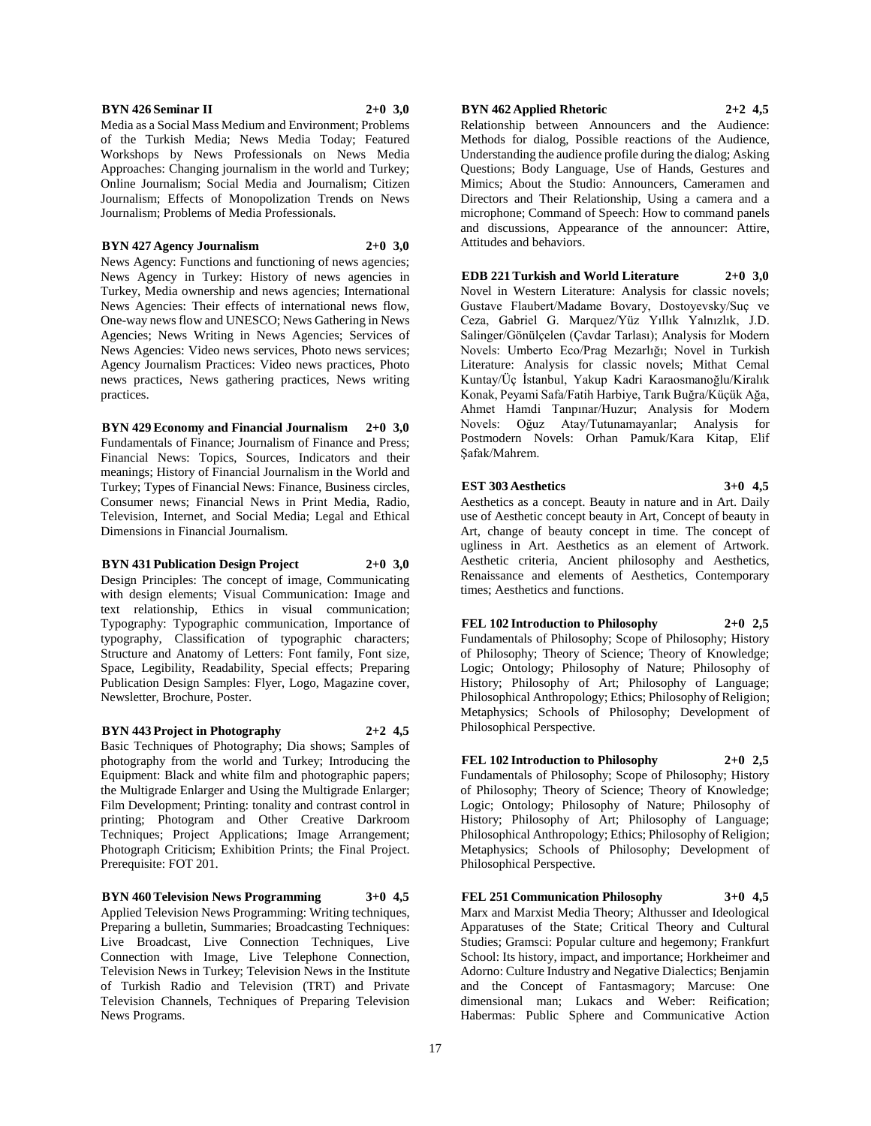#### **BYN 426 Seminar II 2+0 3,0**

Media as a Social Mass Medium and Environment; Problems of the Turkish Media; News Media Today; Featured Workshops by News Professionals on News Media Approaches: Changing journalism in the world and Turkey; Online Journalism; Social Media and Journalism; Citizen Journalism; Effects of Monopolization Trends on News Journalism; Problems of Media Professionals.

#### **BYN 427 Agency Journalism 2+0 3,0**

News Agency: Functions and functioning of news agencies; News Agency in Turkey: History of news agencies in Turkey, Media ownership and news agencies; International News Agencies: Their effects of international news flow, One-way news flow and UNESCO; News Gathering in News Agencies; News Writing in News Agencies; Services of News Agencies: Video news services, Photo news services; Agency Journalism Practices: Video news practices, Photo news practices, News gathering practices, News writing practices.

**BYN 429 Economy and Financial Journalism 2+0 3,0** Fundamentals of Finance; Journalism of Finance and Press; Financial News: Topics, Sources, Indicators and their meanings; History of Financial Journalism in the World and Turkey; Types of Financial News: Finance, Business circles, Consumer news; Financial News in Print Media, Radio, Television, Internet, and Social Media; Legal and Ethical Dimensions in Financial Journalism.

#### **BYN 431 Publication Design Project 2+0 3,0**

Design Principles: The concept of image, Communicating with design elements; Visual Communication: Image and text relationship, Ethics in visual communication; Typography: Typographic communication, Importance of typography, Classification of typographic characters; Structure and Anatomy of Letters: Font family, Font size, Space, Legibility, Readability, Special effects; Preparing Publication Design Samples: Flyer, Logo, Magazine cover, Newsletter, Brochure, Poster.

#### **BYN 443 Project in Photography 2+2 4,5**

Basic Techniques of Photography; Dia shows; Samples of photography from the world and Turkey; Introducing the Equipment: Black and white film and photographic papers; the Multigrade Enlarger and Using the Multigrade Enlarger; Film Development; Printing: tonality and contrast control in printing; Photogram and Other Creative Darkroom Techniques; Project Applications; Image Arrangement; Photograph Criticism; Exhibition Prints; the Final Project. Prerequisite: FOT 201.

#### **BYN 460 Television News Programming 3+0 4,5**

Applied Television News Programming: Writing techniques, Preparing a bulletin, Summaries; Broadcasting Techniques: Live Broadcast, Live Connection Techniques, Live Connection with Image, Live Telephone Connection, Television News in Turkey; Television News in the Institute of Turkish Radio and Television (TRT) and Private Television Channels, Techniques of Preparing Television News Programs.

# **BYN 462 Applied Rhetoric 2+2 4,5**

Relationship between Announcers and the Audience: Methods for dialog, Possible reactions of the Audience, Understanding the audience profile during the dialog; Asking Questions; Body Language, Use of Hands, Gestures and Mimics; About the Studio: Announcers, Cameramen and Directors and Their Relationship, Using a camera and a microphone; Command of Speech: How to command panels and discussions, Appearance of the announcer: Attire, Attitudes and behaviors.

**EDB 221 Turkish and World Literature 2+0 3,0** Novel in Western Literature: Analysis for classic novels; Gustave Flaubert/Madame Bovary, Dostoyevsky/Suç ve Ceza, Gabriel G. Marquez/Yüz Yıllık Yalnızlık, J.D. Salinger/Gönülçelen (Çavdar Tarlası); Analysis for Modern Novels: Umberto Eco/Prag Mezarlığı; Novel in Turkish Literature: Analysis for classic novels; Mithat Cemal Kuntay/Üç İstanbul, Yakup Kadri Karaosmanoğlu/Kiralık Konak, Peyami Safa/Fatih Harbiye, Tarık Buğra/Küçük Ağa, Ahmet Hamdi Tanpınar/Huzur; Analysis for Modern Novels: Oğuz Atay/Tutunamayanlar; Analysis for Postmodern Novels: Orhan Pamuk/Kara Kitap, Elif Şafak/Mahrem.

#### **EST 303 Aesthetics 3+0 4,5**

Aesthetics as a concept. Beauty in nature and in Art. Daily use of Aesthetic concept beauty in Art, Concept of beauty in Art, change of beauty concept in time. The concept of ugliness in Art. Aesthetics as an element of Artwork. Aesthetic criteria, Ancient philosophy and Aesthetics, Renaissance and elements of Aesthetics, Contemporary times; Aesthetics and functions.

**FEL 102 Introduction to Philosophy 2+0 2,5** Fundamentals of Philosophy; Scope of Philosophy; History

of Philosophy; Theory of Science; Theory of Knowledge; Logic; Ontology; Philosophy of Nature; Philosophy of History; Philosophy of Art; Philosophy of Language; Philosophical Anthropology; Ethics; Philosophy of Religion; Metaphysics; Schools of Philosophy; Development of Philosophical Perspective.

**FEL 102 Introduction to Philosophy 2+0 2,5** Fundamentals of Philosophy; Scope of Philosophy; History of Philosophy; Theory of Science; Theory of Knowledge; Logic; Ontology; Philosophy of Nature; Philosophy of History; Philosophy of Art; Philosophy of Language; Philosophical Anthropology; Ethics; Philosophy of Religion; Metaphysics; Schools of Philosophy; Development of Philosophical Perspective.

**FEL 251 Communication Philosophy 3+0 4,5** Marx and Marxist Media Theory; Althusser and Ideological Apparatuses of the State; Critical Theory and Cultural Studies; Gramsci: Popular culture and hegemony; Frankfurt School: Its history, impact, and importance; Horkheimer and Adorno: Culture Industry and Negative Dialectics; Benjamin and the Concept of Fantasmagory; Marcuse: One dimensional man; Lukacs and Weber: Reification; Habermas: Public Sphere and Communicative Action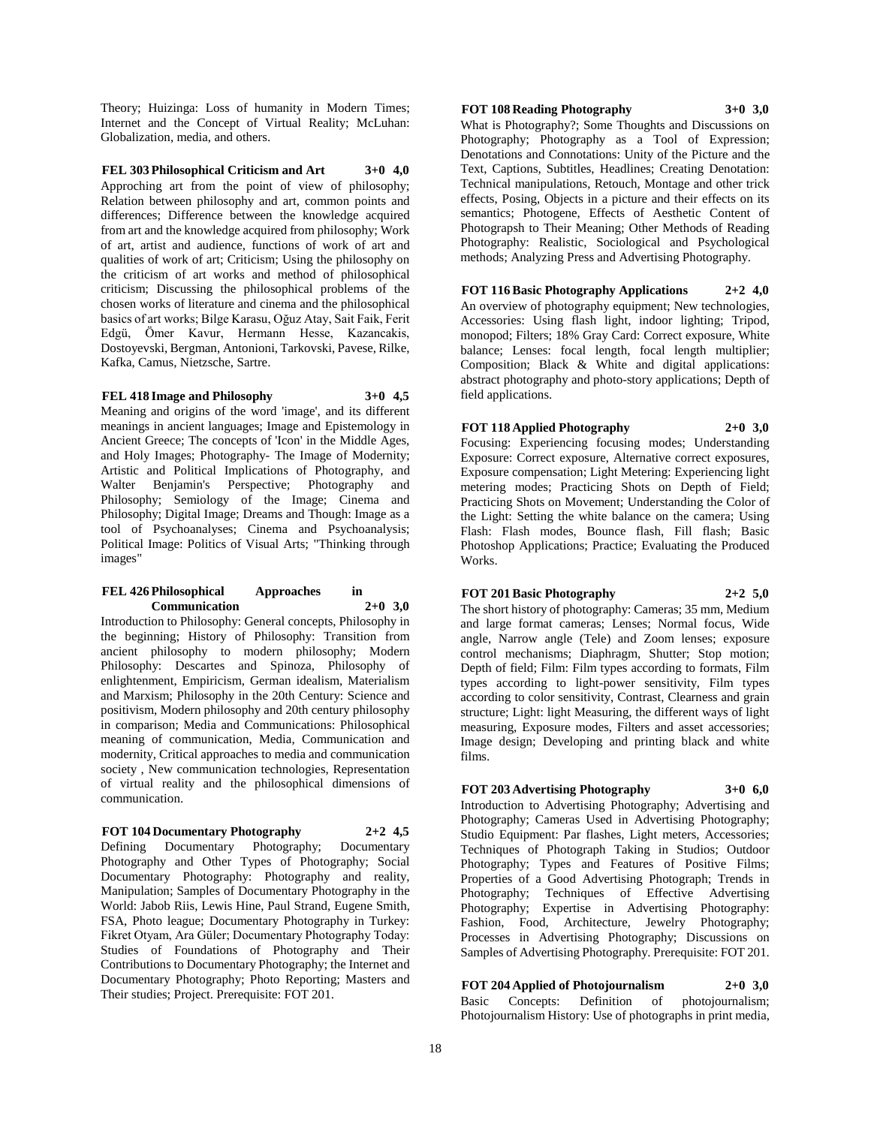Theory; Huizinga: Loss of humanity in Modern Times; Internet and the Concept of Virtual Reality; McLuhan: Globalization, media, and others.

#### **FEL 303 Philosophical Criticism and Art 3+0 4,0**

Approching art from the point of view of philosophy; Relation between philosophy and art, common points and differences; Difference between the knowledge acquired from art and the knowledge acquired from philosophy; Work of art, artist and audience, functions of work of art and qualities of work of art; Criticism; Using the philosophy on the criticism of art works and method of philosophical criticism; Discussing the philosophical problems of the chosen works of literature and cinema and the philosophical basics of art works; Bilge Karasu, Oğuz Atay, Sait Faik, Ferit Edgü, Ömer Kavur, Hermann Hesse, Kazancakis, Dostoyevski, Bergman, Antonioni, Tarkovski, Pavese, Rilke, Kafka, Camus, Nietzsche, Sartre.

#### **FEL 418 Image and Philosophy 3+0 4,5**

Meaning and origins of the word 'image', and its different meanings in ancient languages; Image and Epistemology in Ancient Greece; The concepts of 'Icon' in the Middle Ages, and Holy Images; Photography- The Image of Modernity; Artistic and Political Implications of Photography, and Walter Benjamin's Perspective: Photography and Philosophy; Semiology of the Image; Cinema and Philosophy; Digital Image; Dreams and Though: Image as a tool of Psychoanalyses; Cinema and Psychoanalysis; Political Image: Politics of Visual Arts; "Thinking through images"

#### **FEL 426 Philosophical Approaches in Communication 2+0 3,0**

Introduction to Philosophy: General concepts, Philosophy in the beginning; History of Philosophy: Transition from ancient philosophy to modern philosophy; Modern Philosophy: Descartes and Spinoza, Philosophy of enlightenment, Empiricism, German idealism, Materialism and Marxism; Philosophy in the 20th Century: Science and positivism, Modern philosophy and 20th century philosophy in comparison; Media and Communications: Philosophical meaning of communication, Media, Communication and modernity, Critical approaches to media and communication society , New communication technologies, Representation of virtual reality and the philosophical dimensions of communication.

#### **FOT 104 Documentary Photography 2+2 4,5**

Defining Documentary Photography; Documentary Photography and Other Types of Photography; Social Documentary Photography: Photography and reality, Manipulation; Samples of Documentary Photography in the World: Jabob Riis, Lewis Hine, Paul Strand, Eugene Smith, FSA, Photo league; Documentary Photography in Turkey: Fikret Otyam, Ara Güler; Documentary Photography Today: Studies of Foundations of Photography and Their Contributions to Documentary Photography; the Internet and Documentary Photography; Photo Reporting; Masters and Their studies; Project. Prerequisite: FOT 201.

#### **FOT 108 Reading Photography 3+0 3,0**

What is Photography?; Some Thoughts and Discussions on Photography; Photography as a Tool of Expression; Denotations and Connotations: Unity of the Picture and the Text, Captions, Subtitles, Headlines; Creating Denotation: Technical manipulations, Retouch, Montage and other trick effects, Posing, Objects in a picture and their effects on its semantics; Photogene, Effects of Aesthetic Content of Photograpsh to Their Meaning; Other Methods of Reading Photography: Realistic, Sociological and Psychological methods; Analyzing Press and Advertising Photography.

**FOT 116 Basic Photography Applications 2+2 4,0** An overview of photography equipment; New technologies, Accessories: Using flash light, indoor lighting; Tripod, monopod; Filters; 18% Gray Card: Correct exposure, White balance; Lenses: focal length, focal length multiplier; Composition; Black & White and digital applications: abstract photography and photo-story applications; Depth of field applications.

# **FOT 118 Applied Photography 2+0 3,0**

Focusing: Experiencing focusing modes; Understanding Exposure: Correct exposure, Alternative correct exposures, Exposure compensation; Light Metering: Experiencing light metering modes; Practicing Shots on Depth of Field; Practicing Shots on Movement; Understanding the Color of the Light: Setting the white balance on the camera; Using Flash: Flash modes, Bounce flash, Fill flash; Basic Photoshop Applications; Practice; Evaluating the Produced Works.

#### **FOT 201 Basic Photography 2+2 5,0**

The short history of photography: Cameras; 35 mm, Medium and large format cameras; Lenses; Normal focus, Wide angle, Narrow angle (Tele) and Zoom lenses; exposure control mechanisms; Diaphragm, Shutter; Stop motion; Depth of field; Film: Film types according to formats, Film types according to light-power sensitivity, Film types according to color sensitivity, Contrast, Clearness and grain structure; Light: light Measuring, the different ways of light measuring, Exposure modes, Filters and asset accessories; Image design; Developing and printing black and white films.

### **FOT 203 Advertising Photography 3+0 6,0**

Introduction to Advertising Photography; Advertising and Photography; Cameras Used in Advertising Photography; Studio Equipment: Par flashes, Light meters, Accessories; Techniques of Photograph Taking in Studios; Outdoor Photography; Types and Features of Positive Films; Properties of a Good Advertising Photograph; Trends in Photography; Techniques of Effective Advertising Photography; Expertise in Advertising Photography: Fashion, Food, Architecture, Jewelry Photography; Processes in Advertising Photography; Discussions on Samples of Advertising Photography. Prerequisite: FOT 201.

# **FOT 204 Applied of Photojournalism 2+0 3,0**

Basic Concepts: Definition of photojournalism; Photojournalism History: Use of photographs in print media,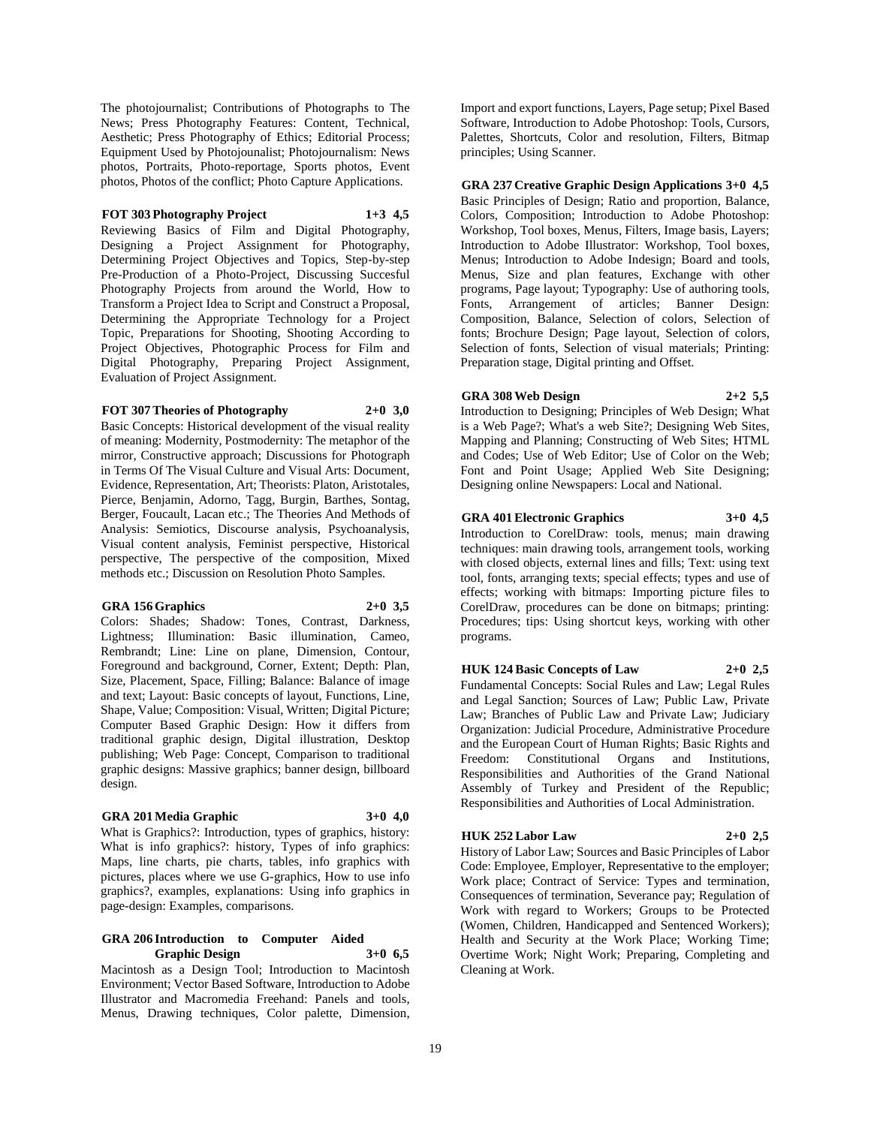The photojournalist; Contributions of Photographs to The News; Press Photography Features: Content, Technical, Aesthetic; Press Photography of Ethics; Editorial Process; Equipment Used by Photojounalist; Photojournalism: News photos, Portraits, Photo-reportage, Sports photos, Event photos, Photos of the conflict; Photo Capture Applications.

# **FOT 303 Photography Project 1+3 4,5**

Reviewing Basics of Film and Digital Photography, Designing a Project Assignment for Photography, Determining Project Objectives and Topics, Step-by-step Pre-Production of a Photo-Project, Discussing Succesful Photography Projects from around the World, How to Transform a Project Idea to Script and Construct a Proposal, Determining the Appropriate Technology for a Project Topic, Preparations for Shooting, Shooting According to Project Objectives, Photographic Process for Film and Digital Photography, Preparing Project Assignment, Evaluation of Project Assignment.

#### **FOT 307 Theories of Photography 2+0 3,0**

Basic Concepts: Historical development of the visual reality of meaning: Modernity, Postmodernity: The metaphor of the mirror, Constructive approach; Discussions for Photograph in Terms Of The Visual Culture and Visual Arts: Document, Evidence, Representation, Art; Theorists: Platon, Aristotales, Pierce, Benjamin, Adorno, Tagg, Burgin, Barthes, Sontag, Berger, Foucault, Lacan etc.; The Theories And Methods of Analysis: Semiotics, Discourse analysis, Psychoanalysis, Visual content analysis, Feminist perspective, Historical perspective, The perspective of the composition, Mixed methods etc.; Discussion on Resolution Photo Samples.

#### **GRA 156 Graphics 2+0 3,5**

Colors: Shades; Shadow: Tones, Contrast, Darkness, Lightness; Illumination: Basic illumination, Cameo, Rembrandt; Line: Line on plane, Dimension, Contour, Foreground and background, Corner, Extent; Depth: Plan, Size, Placement, Space, Filling; Balance: Balance of image and text; Layout: Basic concepts of layout, Functions, Line, Shape, Value; Composition: Visual, Written; Digital Picture; Computer Based Graphic Design: How it differs from traditional graphic design, Digital illustration, Desktop publishing; Web Page: Concept, Comparison to traditional graphic designs: Massive graphics; banner design, billboard design.

#### **GRA 201 Media Graphic 3+0 4,0**

What is Graphics?: Introduction, types of graphics, history: What is info graphics?: history, Types of info graphics: Maps, line charts, pie charts, tables, info graphics with pictures, places where we use G-graphics, How to use info graphics?, examples, explanations: Using info graphics in page-design: Examples, comparisons.

#### **GRA 206 Introduction to Computer Aided Graphic Design 3+0 6,5**

Macintosh as a Design Tool; Introduction to Macintosh Environment; Vector Based Software, Introduction to Adobe Illustrator and Macromedia Freehand: Panels and tools, Menus, Drawing techniques, Color palette, Dimension,

Import and export functions, Layers, Page setup; Pixel Based Software, Introduction to Adobe Photoshop: Tools, Cursors, Palettes, Shortcuts, Color and resolution, Filters, Bitmap principles; Using Scanner.

**GRA 237 Creative Graphic Design Applications 3+0 4,5** Basic Principles of Design; Ratio and proportion, Balance, Colors, Composition; Introduction to Adobe Photoshop: Workshop, Tool boxes, Menus, Filters, Image basis, Layers; Introduction to Adobe Illustrator: Workshop, Tool boxes, Menus; Introduction to Adobe Indesign; Board and tools, Menus, Size and plan features, Exchange with other programs, Page layout; Typography: Use of authoring tools, Fonts, Arrangement of articles; Banner Design: Composition, Balance, Selection of colors, Selection of fonts; Brochure Design; Page layout, Selection of colors, Selection of fonts, Selection of visual materials; Printing: Preparation stage, Digital printing and Offset.

#### **GRA 308 Web Design 2+2 5,5**

Introduction to Designing; Principles of Web Design; What is a Web Page?; What's a web Site?; Designing Web Sites, Mapping and Planning; Constructing of Web Sites; HTML and Codes; Use of Web Editor; Use of Color on the Web; Font and Point Usage; Applied Web Site Designing; Designing online Newspapers: Local and National.

#### **GRA 401 Electronic Graphics 3+0 4,5**

Introduction to CorelDraw: tools, menus; main drawing techniques: main drawing tools, arrangement tools, working with closed objects, external lines and fills; Text: using text tool, fonts, arranging texts; special effects; types and use of effects; working with bitmaps: Importing picture files to CorelDraw, procedures can be done on bitmaps; printing: Procedures; tips: Using shortcut keys, working with other programs.

# **HUK 124 Basic Concepts of Law 2+0 2,5**

Fundamental Concepts: Social Rules and Law; Legal Rules and Legal Sanction; Sources of Law; Public Law, Private Law; Branches of Public Law and Private Law; Judiciary Organization: Judicial Procedure, Administrative Procedure and the European Court of Human Rights; Basic Rights and Freedom: Constitutional Organs and Institutions, Responsibilities and Authorities of the Grand National Assembly of Turkey and President of the Republic; Responsibilities and Authorities of Local Administration.

### **HUK 252 Labor Law 2+0 2,5**

History of Labor Law; Sources and Basic Principles of Labor Code: Employee, Employer, Representative to the employer; Work place; Contract of Service: Types and termination, Consequences of termination, Severance pay; Regulation of Work with regard to Workers; Groups to be Protected (Women, Children, Handicapped and Sentenced Workers); Health and Security at the Work Place; Working Time; Overtime Work; Night Work; Preparing, Completing and Cleaning at Work.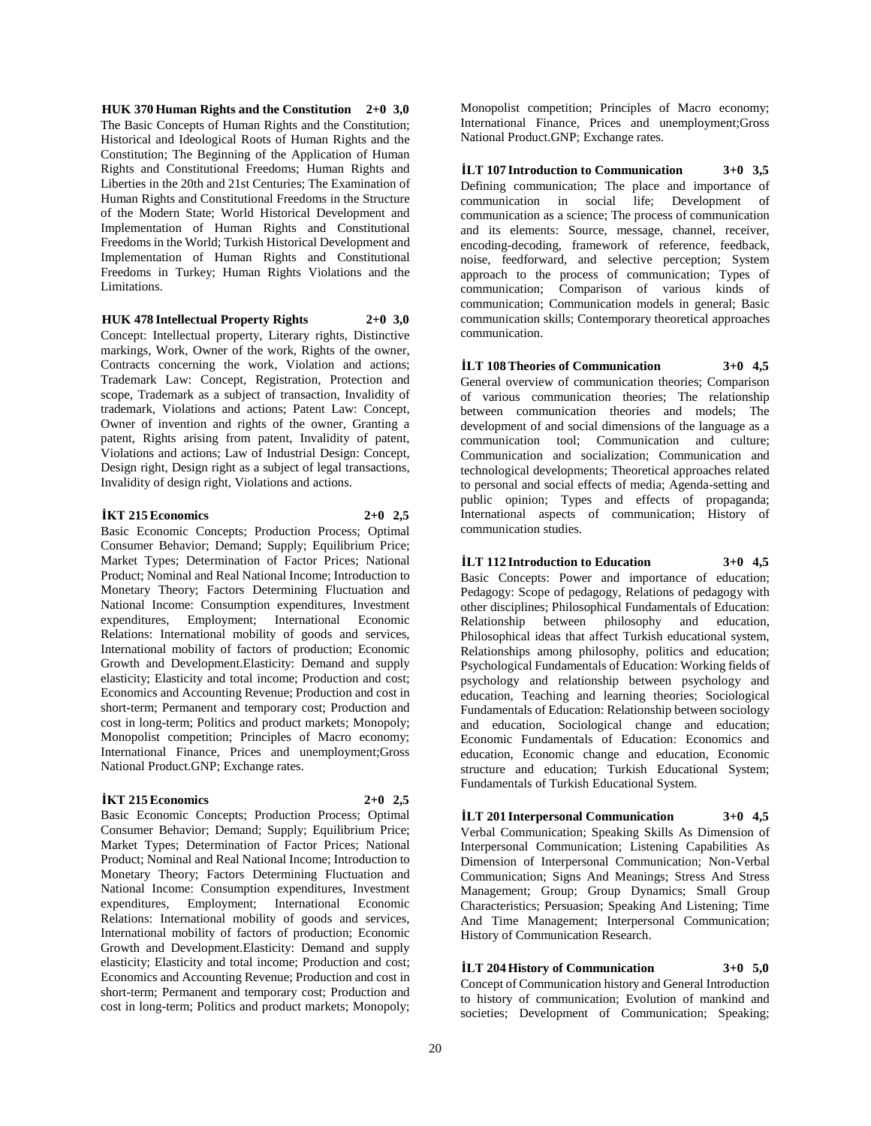**HUK 370 Human Rights and the Constitution 2+0 3,0** The Basic Concepts of Human Rights and the Constitution; Historical and Ideological Roots of Human Rights and the Constitution; The Beginning of the Application of Human Rights and Constitutional Freedoms; Human Rights and Liberties in the 20th and 21st Centuries; The Examination of Human Rights and Constitutional Freedoms in the Structure of the Modern State; World Historical Development and Implementation of Human Rights and Constitutional Freedoms in the World; Turkish Historical Development and Implementation of Human Rights and Constitutional Freedoms in Turkey; Human Rights Violations and the Limitations.

#### **HUK 478 Intellectual Property Rights 2+0 3,0**

Concept: Intellectual property, Literary rights, Distinctive markings, Work, Owner of the work, Rights of the owner, Contracts concerning the work, Violation and actions; Trademark Law: Concept, Registration, Protection and scope, Trademark as a subject of transaction, Invalidity of trademark, Violations and actions; Patent Law: Concept, Owner of invention and rights of the owner, Granting a patent, Rights arising from patent, Invalidity of patent, Violations and actions; Law of Industrial Design: Concept, Design right, Design right as a subject of legal transactions, Invalidity of design right, Violations and actions.

#### **İKT 215 Economics 2+0 2,5**

Basic Economic Concepts; Production Process; Optimal Consumer Behavior; Demand; Supply; Equilibrium Price; Market Types; Determination of Factor Prices; National Product; Nominal and Real National Income; Introduction to Monetary Theory; Factors Determining Fluctuation and National Income: Consumption expenditures, Investment expenditures, Employment; International Economic Relations: International mobility of goods and services, International mobility of factors of production; Economic Growth and Development.Elasticity: Demand and supply elasticity; Elasticity and total income; Production and cost; Economics and Accounting Revenue; Production and cost in short-term; Permanent and temporary cost; Production and cost in long-term; Politics and product markets; Monopoly; Monopolist competition; Principles of Macro economy; International Finance, Prices and unemployment;Gross National Product.GNP; Exchange rates.

#### **İKT 215 Economics 2+0 2,5**

Basic Economic Concepts; Production Process; Optimal Consumer Behavior; Demand; Supply; Equilibrium Price; Market Types; Determination of Factor Prices; National Product; Nominal and Real National Income; Introduction to Monetary Theory; Factors Determining Fluctuation and National Income: Consumption expenditures, Investment expenditures, Employment; International Economic Relations: International mobility of goods and services, International mobility of factors of production; Economic Growth and Development.Elasticity: Demand and supply elasticity; Elasticity and total income; Production and cost; Economics and Accounting Revenue; Production and cost in short-term; Permanent and temporary cost; Production and cost in long-term; Politics and product markets; Monopoly;

Monopolist competition; Principles of Macro economy; International Finance, Prices and unemployment;Gross National Product.GNP; Exchange rates.

**İLT 107 Introduction to Communication 3+0 3,5** Defining communication; The place and importance of communication in social life; Development of communication as a science; The process of communication and its elements: Source, message, channel, receiver, encoding-decoding, framework of reference, feedback, noise, feedforward, and selective perception; System approach to the process of communication; Types of communication; Comparison of various kinds of communication; Communication models in general; Basic communication skills; Contemporary theoretical approaches communication.

# **İLT 108 Theories of Communication 3+0 4,5**

General overview of communication theories; Comparison of various communication theories; The relationship between communication theories and models; The development of and social dimensions of the language as a communication tool; Communication and culture; Communication and socialization; Communication and technological developments; Theoretical approaches related to personal and social effects of media; Agenda-setting and public opinion; Types and effects of propaganda; International aspects of communication; History of communication studies.

#### **İLT 112 Introduction to Education 3+0 4,5**

Basic Concepts: Power and importance of education; Pedagogy: Scope of pedagogy, Relations of pedagogy with other disciplines; Philosophical Fundamentals of Education: Relationship between philosophy and education, Philosophical ideas that affect Turkish educational system, Relationships among philosophy, politics and education; Psychological Fundamentals of Education: Working fields of psychology and relationship between psychology and education, Teaching and learning theories; Sociological Fundamentals of Education: Relationship between sociology and education, Sociological change and education; Economic Fundamentals of Education: Economics and education, Economic change and education, Economic structure and education; Turkish Educational System; Fundamentals of Turkish Educational System.

#### **İLT 201 Interpersonal Communication 3+0 4,5**

Verbal Communication; Speaking Skills As Dimension of Interpersonal Communication; Listening Capabilities As Dimension of Interpersonal Communication; Non-Verbal Communication; Signs And Meanings; Stress And Stress Management; Group; Group Dynamics; Small Group Characteristics; Persuasion; Speaking And Listening; Time And Time Management; Interpersonal Communication; History of Communication Research.

### **İLT 204 History of Communication 3+0 5,0**

Concept of Communication history and General Introduction to history of communication; Evolution of mankind and societies; Development of Communication; Speaking;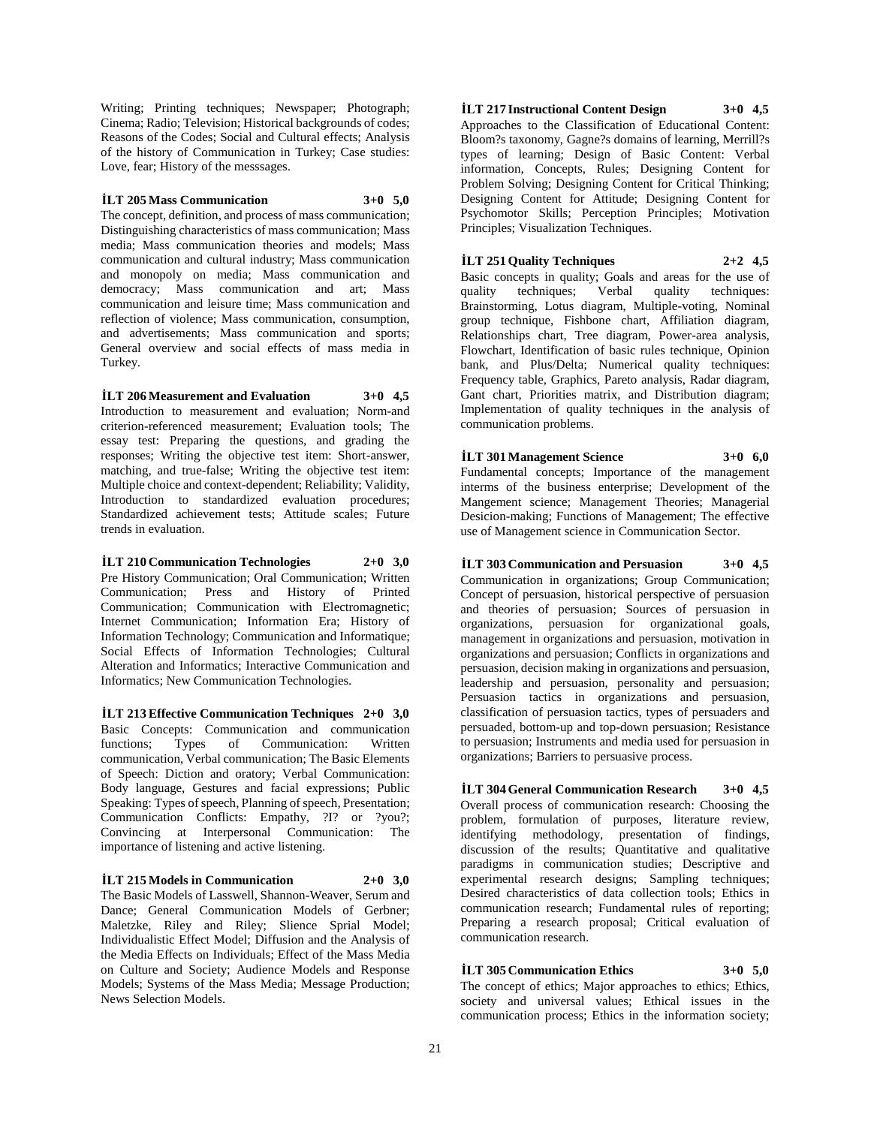Writing; Printing techniques; Newspaper; Photograph; Cinema; Radio; Television; Historical backgrounds of codes; Reasons of the Codes; Social and Cultural effects; Analysis of the history of Communication in Turkey; Case studies: Love, fear; History of the messsages.

**İLT 205 Mass Communication 3+0 5,0**

The concept, definition, and process of mass communication; Distinguishing characteristics of mass communication; Mass media; Mass communication theories and models; Mass communication and cultural industry; Mass communication and monopoly on media; Mass communication and democracy; Mass communication and art; Mass communication and leisure time; Mass communication and reflection of violence; Mass communication, consumption, and advertisements; Mass communication and sports; General overview and social effects of mass media in Turkey.

**İLT 206 Measurement and Evaluation 3+0 4,5**

Introduction to measurement and evaluation; Norm-and criterion-referenced measurement; Evaluation tools; The essay test: Preparing the questions, and grading the responses; Writing the objective test item: Short-answer, matching, and true-false; Writing the objective test item: Multiple choice and context-dependent; Reliability; Validity, Introduction to standardized evaluation procedures; Standardized achievement tests; Attitude scales; Future trends in evaluation.

**İLT 210 Communication Technologies 2+0 3,0** Pre History Communication; Oral Communication; Written Communication; Press and History of Printed Communication; Communication with Electromagnetic; Internet Communication; Information Era; History of Information Technology; Communication and Informatique; Social Effects of Information Technologies; Cultural Alteration and Informatics; Interactive Communication and Informatics; New Communication Technologies.

**İLT 213 Effective Communication Techniques 2+0 3,0** Basic Concepts: Communication and communication functions; Types of Communication: Written communication, Verbal communication; The Basic Elements of Speech: Diction and oratory; Verbal Communication: Body language, Gestures and facial expressions; Public Speaking: Types of speech, Planning of speech, Presentation; Communication Conflicts: Empathy, ?I? or ?you?; Convincing at Interpersonal Communication: The importance of listening and active listening.

#### **İLT 215 Models in Communication 2+0 3,0**

The Basic Models of Lasswell, Shannon-Weaver, Serum and Dance; General Communication Models of Gerbner; Maletzke, Riley and Riley; Slience Sprial Model; Individualistic Effect Model; Diffusion and the Analysis of the Media Effects on Individuals; Effect of the Mass Media on Culture and Society; Audience Models and Response Models; Systems of the Mass Media; Message Production; News Selection Models.

**İLT 217 Instructional Content Design 3+0 4,5** Approaches to the Classification of Educational Content: Bloom?s taxonomy, Gagne?s domains of learning, Merrill?s types of learning; Design of Basic Content: Verbal information, Concepts, Rules; Designing Content for Problem Solving; Designing Content for Critical Thinking; Designing Content for Attitude; Designing Content for Psychomotor Skills; Perception Principles; Motivation

#### **İLT 251 Quality Techniques 2+2 4,5**

Principles; Visualization Techniques.

Basic concepts in quality; Goals and areas for the use of quality techniques; Verbal quality techniques: Brainstorming, Lotus diagram, Multiple-voting, Nominal group technique, Fishbone chart, Affiliation diagram, Relationships chart, Tree diagram, Power-area analysis, Flowchart, Identification of basic rules technique, Opinion bank, and Plus/Delta; Numerical quality techniques: Frequency table, Graphics, Pareto analysis, Radar diagram, Gant chart, Priorities matrix, and Distribution diagram; Implementation of quality techniques in the analysis of communication problems.

**İLT 301 Management Science 3+0 6,0** Fundamental concepts; Importance of the management interms of the business enterprise; Development of the Mangement science; Management Theories; Managerial Desicion-making; Functions of Management; The effective use of Management science in Communication Sector.

**İLT 303 Communication and Persuasion 3+0 4,5** Communication in organizations; Group Communication; Concept of persuasion, historical perspective of persuasion and theories of persuasion; Sources of persuasion in organizations, persuasion for organizational goals, management in organizations and persuasion, motivation in organizations and persuasion; Conflicts in organizations and persuasion, decision making in organizations and persuasion, leadership and persuasion, personality and persuasion; Persuasion tactics in organizations and persuasion, classification of persuasion tactics, types of persuaders and persuaded, bottom-up and top-down persuasion; Resistance to persuasion; Instruments and media used for persuasion in organizations; Barriers to persuasive process.

**İLT 304 General Communication Research 3+0 4,5** Overall process of communication research: Choosing the problem, formulation of purposes, literature review, identifying methodology, presentation of findings, discussion of the results; Quantitative and qualitative paradigms in communication studies; Descriptive and experimental research designs: Sampling techniques: Desired characteristics of data collection tools; Ethics in communication research; Fundamental rules of reporting; Preparing a research proposal; Critical evaluation of communication research.

# **İLT 305 Communication Ethics 3+0 5,0**

The concept of ethics; Major approaches to ethics; Ethics, society and universal values; Ethical issues in the communication process; Ethics in the information society;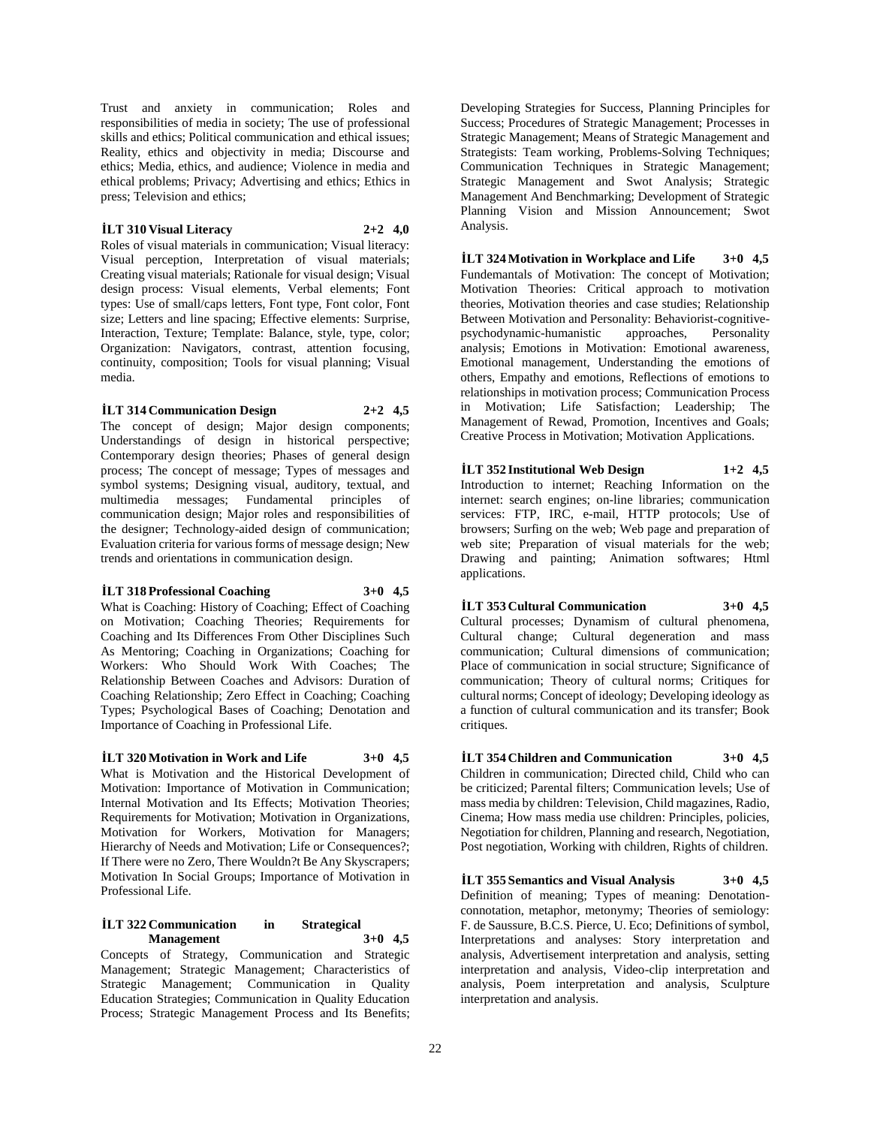Trust and anxiety in communication; Roles and responsibilities of media in society; The use of professional skills and ethics; Political communication and ethical issues; Reality, ethics and objectivity in media; Discourse and ethics; Media, ethics, and audience; Violence in media and ethical problems; Privacy; Advertising and ethics; Ethics in press; Television and ethics;

#### **İLT 310 Visual Literacy 2+2 4,0**

Roles of visual materials in communication; Visual literacy: Visual perception, Interpretation of visual materials; Creating visual materials; Rationale for visual design; Visual design process: Visual elements, Verbal elements; Font types: Use of small/caps letters, Font type, Font color, Font size; Letters and line spacing; Effective elements: Surprise, Interaction, Texture; Template: Balance, style, type, color; Organization: Navigators, contrast, attention focusing, continuity, composition; Tools for visual planning; Visual media.

#### **İLT 314 Communication Design 2+2 4,5**

The concept of design; Major design components; Understandings of design in historical perspective; Contemporary design theories; Phases of general design process; The concept of message; Types of messages and symbol systems; Designing visual, auditory, textual, and multimedia messages; Fundamental principles of communication design; Major roles and responsibilities of the designer; Technology-aided design of communication; Evaluation criteria for various forms of message design; New trends and orientations in communication design.

#### **İLT 318 Professional Coaching 3+0 4,5**

What is Coaching: History of Coaching; Effect of Coaching on Motivation; Coaching Theories; Requirements for Coaching and Its Differences From Other Disciplines Such As Mentoring; Coaching in Organizations; Coaching for Workers: Who Should Work With Coaches; The Relationship Between Coaches and Advisors: Duration of Coaching Relationship; Zero Effect in Coaching; Coaching Types; Psychological Bases of Coaching; Denotation and Importance of Coaching in Professional Life.

#### **İLT**  $320$  Motivation in Work and Life  $3+0$  **4.5**

What is Motivation and the Historical Development of Motivation: Importance of Motivation in Communication; Internal Motivation and Its Effects; Motivation Theories; Requirements for Motivation; Motivation in Organizations, Motivation for Workers, Motivation for Managers; Hierarchy of Needs and Motivation; Life or Consequences?; If There were no Zero, There Wouldn?t Be Any Skyscrapers; Motivation In Social Groups; Importance of Motivation in Professional Life.

#### **İLT 322 Communication in Strategical Management 3+0 4,5**

Concepts of Strategy, Communication and Strategic Management; Strategic Management; Characteristics of Strategic Management; Communication in Quality Education Strategies; Communication in Quality Education Process; Strategic Management Process and Its Benefits;

Developing Strategies for Success, Planning Principles for Success; Procedures of Strategic Management; Processes in Strategic Management; Means of Strategic Management and Strategists: Team working, Problems-Solving Techniques; Communication Techniques in Strategic Management; Strategic Management and Swot Analysis; Strategic Management And Benchmarking; Development of Strategic Planning Vision and Mission Announcement; Swot Analysis.

**İLT 324 Motivation in Workplace and Life 3+0 4,5** Fundemantals of Motivation: The concept of Motivation; Motivation Theories: Critical approach to motivation theories, Motivation theories and case studies; Relationship Between Motivation and Personality: Behaviorist-cognitivepsychodynamic-humanistic approaches, Personality analysis; Emotions in Motivation: Emotional awareness, Emotional management, Understanding the emotions of others, Empathy and emotions, Reflections of emotions to relationships in motivation process; Communication Process in Motivation; Life Satisfaction; Leadership; The Management of Rewad, Promotion, Incentives and Goals; Creative Process in Motivation; Motivation Applications.

**İLT 352 Institutional Web Design 1+2 4,5** Introduction to internet; Reaching Information on the internet: search engines; on-line libraries; communication services: FTP, IRC, e-mail, HTTP protocols; Use of browsers; Surfing on the web; Web page and preparation of web site; Preparation of visual materials for the web; Drawing and painting; Animation softwares; Html applications.

**İLT 353 Cultural Communication 3+0 4,5** Cultural processes; Dynamism of cultural phenomena, Cultural change; Cultural degeneration and mass communication; Cultural dimensions of communication; Place of communication in social structure; Significance of communication; Theory of cultural norms; Critiques for cultural norms; Concept of ideology; Developing ideology as a function of cultural communication and its transfer; Book critiques.

**İLT 354 Children and Communication 3+0 4,5** Children in communication; Directed child, Child who can be criticized; Parental filters; Communication levels; Use of mass media by children: Television, Child magazines, Radio, Cinema; How mass media use children: Principles, policies, Negotiation for children, Planning and research, Negotiation, Post negotiation, Working with children, Rights of children.

**İLT 355 Semantics and Visual Analysis 3+0 4,5** Definition of meaning; Types of meaning: Denotationconnotation, metaphor, metonymy; Theories of semiology: F. de Saussure, B.C.S. Pierce, U. Eco; Definitions of symbol, Interpretations and analyses: Story interpretation and analysis, Advertisement interpretation and analysis, setting interpretation and analysis, Video-clip interpretation and analysis, Poem interpretation and analysis, Sculpture interpretation and analysis.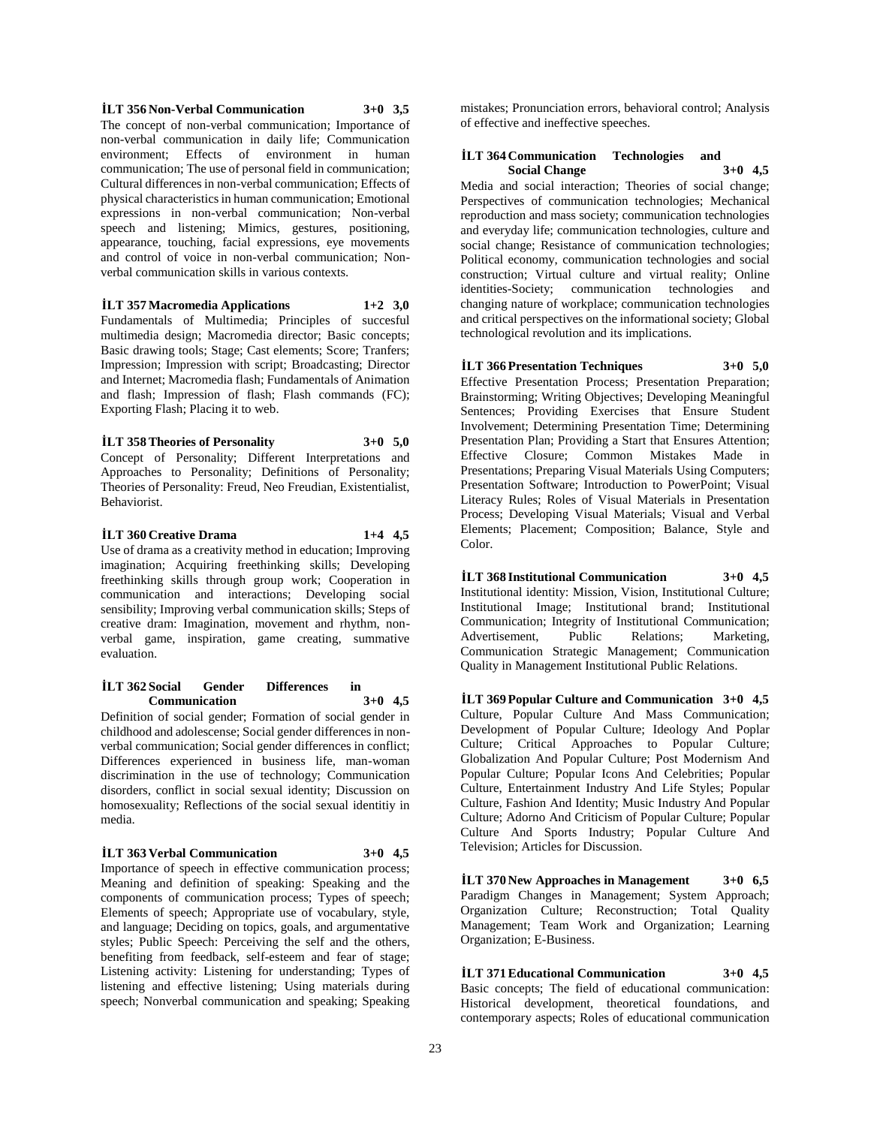**İLT 356 Non-Verbal Communication 3+0 3,5** The concept of non-verbal communication; Importance of non-verbal communication in daily life; Communication environment; Effects of environment in human communication; The use of personal field in communication; Cultural differences in non-verbal communication; Effects of physical characteristics in human communication; Emotional expressions in non-verbal communication; Non-verbal speech and listening; Mimics, gestures, positioning, appearance, touching, facial expressions, eye movements and control of voice in non-verbal communication; Nonverbal communication skills in various contexts.

#### **İLT 357 Macromedia Applications 1+2 3,0**

Fundamentals of Multimedia; Principles of succesful multimedia design; Macromedia director; Basic concepts; Basic drawing tools; Stage; Cast elements; Score; Tranfers; Impression; Impression with script; Broadcasting; Director and Internet; Macromedia flash; Fundamentals of Animation and flash; Impression of flash; Flash commands (FC); Exporting Flash; Placing it to web.

**İLT 358 Theories of Personality 3+0 5,0** Concept of Personality; Different Interpretations and Approaches to Personality; Definitions of Personality; Theories of Personality: Freud, Neo Freudian, Existentialist,

Behaviorist.

**İLT 360 Creative Drama 1+4 4,5** Use of drama as a creativity method in education; Improving imagination; Acquiring freethinking skills; Developing freethinking skills through group work; Cooperation in communication and interactions; Developing social sensibility; Improving verbal communication skills; Steps of creative dram: Imagination, movement and rhythm, nonverbal game, inspiration, game creating, summative evaluation.

#### **İLT 362 Social Gender Differences in Communication 3+0 4,5**

Definition of social gender; Formation of social gender in childhood and adolescense; Social gender differences in nonverbal communication; Social gender differences in conflict; Differences experienced in business life, man-woman discrimination in the use of technology; Communication disorders, conflict in social sexual identity; Discussion on homosexuality; Reflections of the social sexual identitiy in media.

#### **İLT 363 Verbal Communication 3+0 4,5**

Importance of speech in effective communication process; Meaning and definition of speaking: Speaking and the components of communication process; Types of speech; Elements of speech; Appropriate use of vocabulary, style, and language; Deciding on topics, goals, and argumentative styles; Public Speech: Perceiving the self and the others, benefiting from feedback, self-esteem and fear of stage; Listening activity: Listening for understanding; Types of listening and effective listening; Using materials during speech; Nonverbal communication and speaking; Speaking

mistakes; Pronunciation errors, behavioral control; Analysis of effective and ineffective speeches.

#### **İLT 364 Communication Technologies and Social Change 3+0 4,5**

Media and social interaction; Theories of social change; Perspectives of communication technologies; Mechanical reproduction and mass society; communication technologies and everyday life; communication technologies, culture and social change: Resistance of communication technologies; Political economy, communication technologies and social construction; Virtual culture and virtual reality; Online identities-Society; communication technologies and changing nature of workplace; communication technologies and critical perspectives on the informational society; Global technological revolution and its implications.

**İLT 366 Presentation Techniques 3+0 5,0** Effective Presentation Process; Presentation Preparation; Brainstorming; Writing Objectives; Developing Meaningful Sentences; Providing Exercises that Ensure Student Involvement; Determining Presentation Time; Determining Presentation Plan; Providing a Start that Ensures Attention; Effective Closure; Common Mistakes Made in Presentations; Preparing Visual Materials Using Computers; Presentation Software; Introduction to PowerPoint; Visual Literacy Rules; Roles of Visual Materials in Presentation Process; Developing Visual Materials; Visual and Verbal Elements; Placement; Composition; Balance, Style and Color.

**İLT 368 Institutional Communication 3+0 4,5** Institutional identity: Mission, Vision, Institutional Culture; Institutional Image; Institutional brand; Institutional Communication; Integrity of Institutional Communication; Advertisement, Public Relations; Marketing, Communication Strategic Management; Communication Quality in Management Institutional Public Relations.

**İLT 369 Popular Culture and Communication 3+0 4,5** Culture, Popular Culture And Mass Communication; Development of Popular Culture; Ideology And Poplar Culture; Critical Approaches to Popular Culture; Globalization And Popular Culture; Post Modernism And Popular Culture; Popular Icons And Celebrities; Popular Culture, Entertainment Industry And Life Styles; Popular Culture, Fashion And Identity; Music Industry And Popular Culture; Adorno And Criticism of Popular Culture; Popular Culture And Sports Industry; Popular Culture And Television; Articles for Discussion.

**İLT 370 New Approaches in Management 3+0 6,5** Paradigm Changes in Management; System Approach; Organization Culture; Reconstruction; Total Quality Management; Team Work and Organization; Learning Organization; E-Business.

**İLT 371 Educational Communication 3+0 4,5** Basic concepts; The field of educational communication: Historical development, theoretical foundations, and contemporary aspects; Roles of educational communication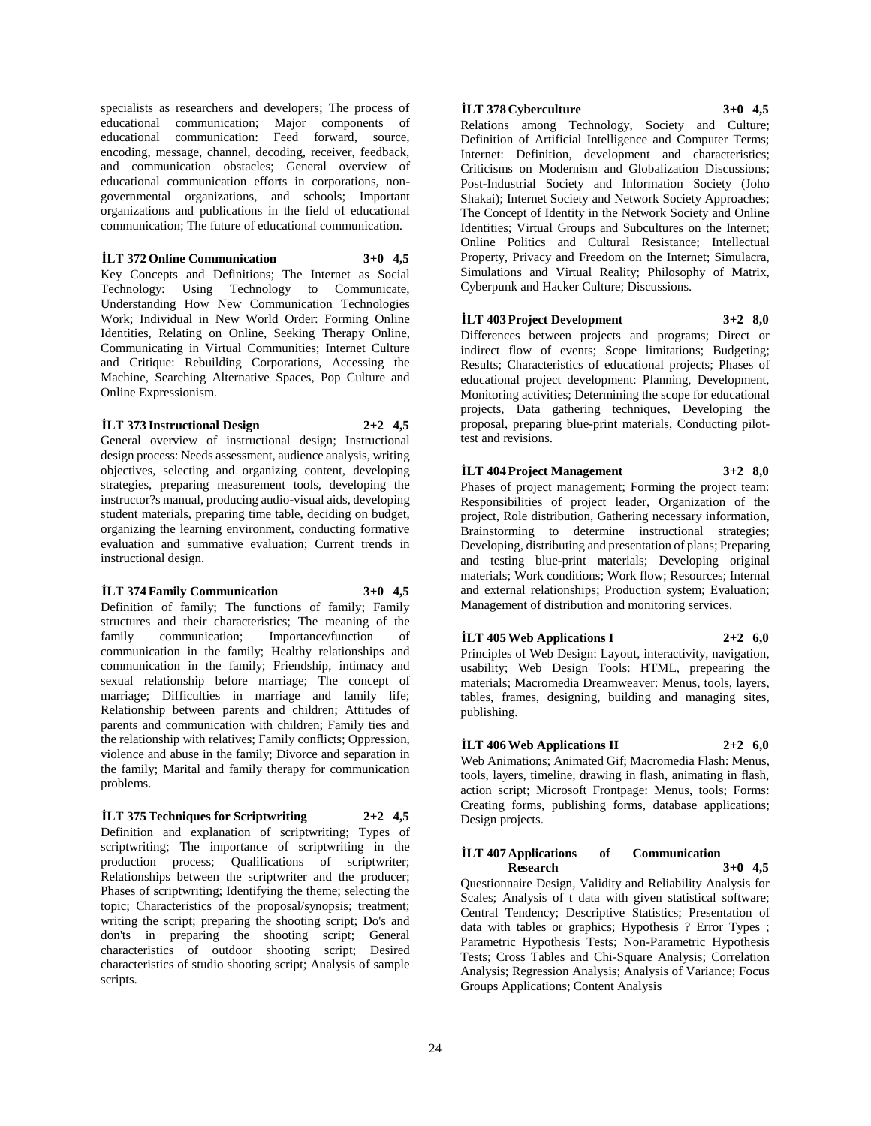specialists as researchers and developers; The process of educational communication; Major components of educational communication: Feed forward, source, encoding, message, channel, decoding, receiver, feedback, and communication obstacles; General overview of educational communication efforts in corporations, nongovernmental organizations, and schools; Important organizations and publications in the field of educational communication; The future of educational communication.

**İLT 372 Online Communication 3+0 4,5** Key Concepts and Definitions; The Internet as Social Technology: Using Technology to Communicate, Understanding How New Communication Technologies Work; Individual in New World Order: Forming Online Identities, Relating on Online, Seeking Therapy Online, Communicating in Virtual Communities; Internet Culture and Critique: Rebuilding Corporations, Accessing the Machine, Searching Alternative Spaces, Pop Culture and Online Expressionism.

#### **İLT 373 Instructional Design 2+2 4,5**

General overview of instructional design; Instructional design process: Needs assessment, audience analysis, writing objectives, selecting and organizing content, developing strategies, preparing measurement tools, developing the instructor?s manual, producing audio-visual aids, developing student materials, preparing time table, deciding on budget, organizing the learning environment, conducting formative evaluation and summative evaluation; Current trends in instructional design.

# **İLT 374 Family Communication 3+0 4,5**

Definition of family; The functions of family; Family structures and their characteristics; The meaning of the family communication; Importance/function of communication in the family; Healthy relationships and communication in the family; Friendship, intimacy and sexual relationship before marriage; The concept of marriage; Difficulties in marriage and family life; Relationship between parents and children; Attitudes of parents and communication with children; Family ties and the relationship with relatives; Family conflicts; Oppression, violence and abuse in the family; Divorce and separation in the family; Marital and family therapy for communication problems.

### **İLT 375 Techniques for Scriptwriting 2+2 4,5**

Definition and explanation of scriptwriting; Types of scriptwriting; The importance of scriptwriting in the production process; Qualifications of scriptwriter; Relationships between the scriptwriter and the producer; Phases of scriptwriting; Identifying the theme; selecting the topic; Characteristics of the proposal/synopsis; treatment; writing the script; preparing the shooting script; Do's and don'ts in preparing the shooting script; General characteristics of outdoor shooting script; Desired characteristics of studio shooting script; Analysis of sample scripts.

# **İLT 378 Cyberculture 3+0 4,5**

Relations among Technology, Society and Culture; Definition of Artificial Intelligence and Computer Terms; Internet: Definition, development and characteristics; Criticisms on Modernism and Globalization Discussions; Post-Industrial Society and Information Society (Joho Shakai); Internet Society and Network Society Approaches; The Concept of Identity in the Network Society and Online Identities; Virtual Groups and Subcultures on the Internet; Online Politics and Cultural Resistance; Intellectual Property, Privacy and Freedom on the Internet; Simulacra, Simulations and Virtual Reality; Philosophy of Matrix, Cyberpunk and Hacker Culture; Discussions.

# **İLT 403 Project Development 3+2 8,0**

Differences between projects and programs; Direct or indirect flow of events; Scope limitations; Budgeting; Results; Characteristics of educational projects; Phases of educational project development: Planning, Development, Monitoring activities; Determining the scope for educational projects, Data gathering techniques, Developing the proposal, preparing blue-print materials, Conducting pilottest and revisions.

#### **İLT 404 Project Management 3+2 8,0**

Phases of project management; Forming the project team: Responsibilities of project leader, Organization of the project, Role distribution, Gathering necessary information, Brainstorming to determine instructional strategies; Developing, distributing and presentation of plans; Preparing and testing blue-print materials; Developing original materials; Work conditions; Work flow; Resources; Internal and external relationships; Production system; Evaluation; Management of distribution and monitoring services.

#### **İLT 405 Web Applications I 2+2 6,0**

Principles of Web Design: Layout, interactivity, navigation, usability; Web Design Tools: HTML, prepearing the materials; Macromedia Dreamweaver: Menus, tools, layers, tables, frames, designing, building and managing sites, publishing.

### **İLT 406 Web Applications II 2+2 6,0**

Web Animations; Animated Gif; Macromedia Flash: Menus, tools, layers, timeline, drawing in flash, animating in flash, action script; Microsoft Frontpage: Menus, tools; Forms: Creating forms, publishing forms, database applications; Design projects.

#### **İLT 407 Applications of Communication Research 3+0 4,5**

Questionnaire Design, Validity and Reliability Analysis for Scales; Analysis of t data with given statistical software; Central Tendency; Descriptive Statistics; Presentation of data with tables or graphics; Hypothesis ? Error Types ; Parametric Hypothesis Tests; Non-Parametric Hypothesis Tests; Cross Tables and Chi-Square Analysis; Correlation Analysis; Regression Analysis; Analysis of Variance; Focus Groups Applications; Content Analysis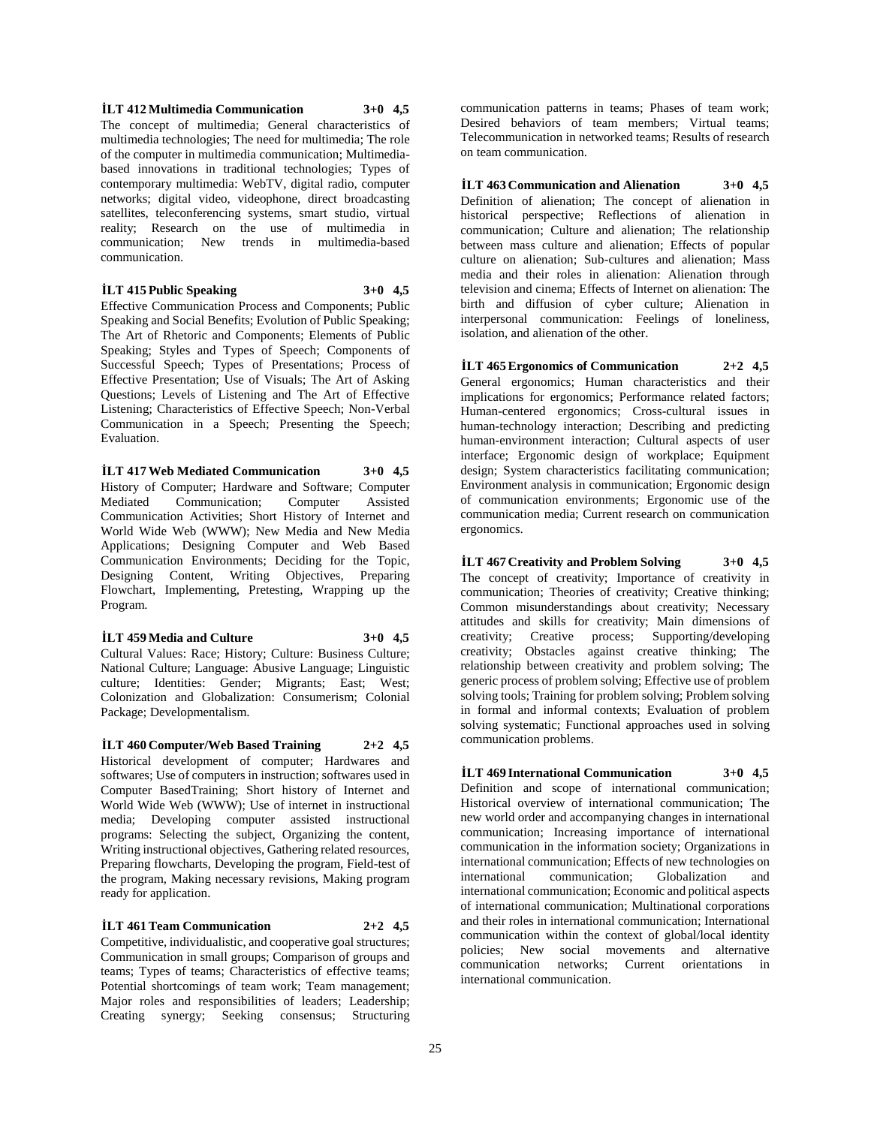**İLT 412 Multimedia Communication 3+0 4,5** The concept of multimedia; General characteristics of multimedia technologies; The need for multimedia; The role of the computer in multimedia communication; Multimediabased innovations in traditional technologies; Types of contemporary multimedia: WebTV, digital radio, computer networks; digital video, videophone, direct broadcasting satellites, teleconferencing systems, smart studio, virtual reality; Research on the use of multimedia in communication; New trends in multimedia-based communication.

**İLT 415 Public Speaking 3+0 4,5**

Effective Communication Process and Components; Public Speaking and Social Benefits; Evolution of Public Speaking; The Art of Rhetoric and Components; Elements of Public Speaking; Styles and Types of Speech; Components of Successful Speech; Types of Presentations; Process of Effective Presentation; Use of Visuals; The Art of Asking Questions; Levels of Listening and The Art of Effective Listening; Characteristics of Effective Speech; Non-Verbal Communication in a Speech; Presenting the Speech; Evaluation.

**İLT 417 Web Mediated Communication 3+0 4,5** History of Computer; Hardware and Software; Computer Mediated Communication; Computer Assisted Communication Activities; Short History of Internet and World Wide Web (WWW); New Media and New Media Applications; Designing Computer and Web Based Communication Environments; Deciding for the Topic, Designing Content, Writing Objectives, Preparing Flowchart, Implementing, Pretesting, Wrapping up the Program.

**İLT 459 Media and Culture 3+0 4,5**

Cultural Values: Race; History; Culture: Business Culture; National Culture; Language: Abusive Language; Linguistic culture; Identities: Gender; Migrants; East; West; Colonization and Globalization: Consumerism; Colonial Package; Developmentalism.

**İLT 460 Computer/Web Based Training 2+2 4,5** Historical development of computer; Hardwares and softwares; Use of computers in instruction; softwares used in Computer BasedTraining; Short history of Internet and World Wide Web (WWW); Use of internet in instructional media; Developing computer assisted instructional programs: Selecting the subject, Organizing the content, Writing instructional objectives, Gathering related resources, Preparing flowcharts, Developing the program, Field-test of the program, Making necessary revisions, Making program ready for application.

**İLT 461 Team Communication 2+2 4,5** Competitive, individualistic, and cooperative goal structures; Communication in small groups; Comparison of groups and teams; Types of teams; Characteristics of effective teams; Potential shortcomings of team work; Team management; Major roles and responsibilities of leaders; Leadership; Creating synergy; Seeking consensus; Structuring

communication patterns in teams; Phases of team work; Desired behaviors of team members; Virtual teams; Telecommunication in networked teams; Results of research on team communication.

**İLT 463 Communication and Alienation 3+0 4,5** Definition of alienation; The concept of alienation in historical perspective; Reflections of alienation in communication; Culture and alienation; The relationship between mass culture and alienation; Effects of popular culture on alienation; Sub-cultures and alienation; Mass media and their roles in alienation: Alienation through television and cinema; Effects of Internet on alienation: The birth and diffusion of cyber culture; Alienation in interpersonal communication: Feelings of loneliness, isolation, and alienation of the other.

**İLT 465 Ergonomics of Communication 2+2 4,5** General ergonomics; Human characteristics and their implications for ergonomics; Performance related factors; Human-centered ergonomics; Cross-cultural issues in human-technology interaction; Describing and predicting human-environment interaction; Cultural aspects of user interface; Ergonomic design of workplace; Equipment design; System characteristics facilitating communication; Environment analysis in communication; Ergonomic design of communication environments; Ergonomic use of the communication media; Current research on communication ergonomics.

**İLT 467 Creativity and Problem Solving 3+0 4,5** The concept of creativity; Importance of creativity in communication; Theories of creativity; Creative thinking; Common misunderstandings about creativity; Necessary attitudes and skills for creativity; Main dimensions of creativity; Creative process; Supporting/developing creativity; Obstacles against creative thinking; The relationship between creativity and problem solving; The generic process of problem solving; Effective use of problem solving tools; Training for problem solving; Problem solving in formal and informal contexts; Evaluation of problem solving systematic; Functional approaches used in solving communication problems.

**İLT 469 International Communication 3+0 4,5** Definition and scope of international communication; Historical overview of international communication; The new world order and accompanying changes in international communication; Increasing importance of international communication in the information society; Organizations in international communication; Effects of new technologies on international communication; Globalization and international communication; Economic and political aspects of international communication; Multinational corporations and their roles in international communication; International communication within the context of global/local identity policies; New social movements and alternative communication networks; Current orientations in international communication.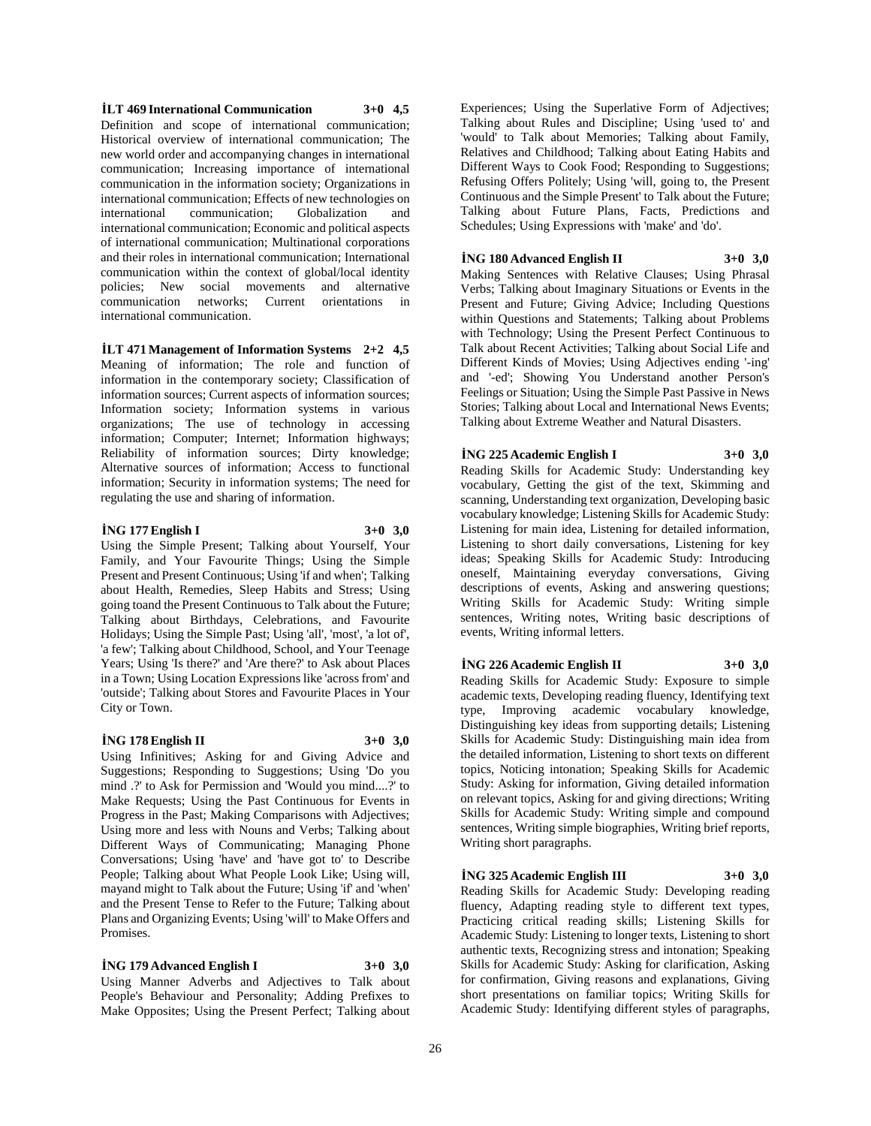**İLT 469 International Communication 3+0 4,5** Definition and scope of international communication; Historical overview of international communication; The new world order and accompanying changes in international communication; Increasing importance of international communication in the information society; Organizations in international communication; Effects of new technologies on international communication; Globalization and international communication; Economic and political aspects of international communication; Multinational corporations and their roles in international communication; International communication within the context of global/local identity policies; New social movements and alternative communication networks; Current orientations in international communication.

**İLT 471 Management of Information Systems 2+2 4,5** Meaning of information; The role and function of information in the contemporary society; Classification of information sources; Current aspects of information sources; Information society; Information systems in various organizations; The use of technology in accessing information; Computer; Internet; Information highways; Reliability of information sources; Dirty knowledge; Alternative sources of information; Access to functional information; Security in information systems; The need for regulating the use and sharing of information.

#### **İNG 177 English I 3+0 3,0**

Using the Simple Present; Talking about Yourself, Your Family, and Your Favourite Things; Using the Simple Present and Present Continuous; Using 'if and when'; Talking about Health, Remedies, Sleep Habits and Stress; Using going toand the Present Continuous to Talk about the Future; Talking about Birthdays, Celebrations, and Favourite Holidays; Using the Simple Past; Using 'all', 'most', 'a lot of', 'a few'; Talking about Childhood, School, and Your Teenage Years; Using 'Is there?' and 'Are there?' to Ask about Places in a Town; Using Location Expressions like 'across from' and 'outside'; Talking about Stores and Favourite Places in Your City or Town.

#### **İNG 178 English II 3+0 3,0**

Using Infinitives; Asking for and Giving Advice and Suggestions; Responding to Suggestions; Using 'Do you mind .?' to Ask for Permission and 'Would you mind....?' to Make Requests; Using the Past Continuous for Events in Progress in the Past; Making Comparisons with Adjectives; Using more and less with Nouns and Verbs; Talking about Different Ways of Communicating; Managing Phone Conversations; Using 'have' and 'have got to' to Describe People; Talking about What People Look Like; Using will, mayand might to Talk about the Future; Using 'if' and 'when' and the Present Tense to Refer to the Future; Talking about Plans and Organizing Events; Using 'will' to Make Offers and Promises.

#### **İNG 179 Advanced English I 3+0 3,0**

Using Manner Adverbs and Adjectives to Talk about People's Behaviour and Personality; Adding Prefixes to Make Opposites; Using the Present Perfect; Talking about

Experiences; Using the Superlative Form of Adjectives; Talking about Rules and Discipline; Using 'used to' and 'would' to Talk about Memories; Talking about Family, Relatives and Childhood; Talking about Eating Habits and Different Ways to Cook Food; Responding to Suggestions; Refusing Offers Politely; Using 'will, going to, the Present Continuous and the Simple Present' to Talk about the Future; Talking about Future Plans, Facts, Predictions and Schedules; Using Expressions with 'make' and 'do'.

#### **İNG 180 Advanced English II 3+0 3,0**

Making Sentences with Relative Clauses; Using Phrasal Verbs; Talking about Imaginary Situations or Events in the Present and Future; Giving Advice; Including Questions within Questions and Statements; Talking about Problems with Technology; Using the Present Perfect Continuous to Talk about Recent Activities; Talking about Social Life and Different Kinds of Movies; Using Adjectives ending '-ing' and '-ed'; Showing You Understand another Person's Feelings or Situation; Using the Simple Past Passive in News Stories; Talking about Local and International News Events; Talking about Extreme Weather and Natural Disasters.

#### **İNG 225 Academic English I 3+0 3,0**

Reading Skills for Academic Study: Understanding key vocabulary, Getting the gist of the text, Skimming and scanning, Understanding text organization, Developing basic vocabulary knowledge; Listening Skills for Academic Study: Listening for main idea, Listening for detailed information, Listening to short daily conversations, Listening for key ideas; Speaking Skills for Academic Study: Introducing oneself, Maintaining everyday conversations, Giving descriptions of events, Asking and answering questions; Writing Skills for Academic Study: Writing simple sentences, Writing notes, Writing basic descriptions of events, Writing informal letters.

#### **İNG 226 Academic English II 3+0 3,0**

Reading Skills for Academic Study: Exposure to simple academic texts, Developing reading fluency, Identifying text type, Improving academic vocabulary knowledge, Distinguishing key ideas from supporting details; Listening Skills for Academic Study: Distinguishing main idea from the detailed information, Listening to short texts on different topics, Noticing intonation; Speaking Skills for Academic Study: Asking for information, Giving detailed information on relevant topics, Asking for and giving directions; Writing Skills for Academic Study: Writing simple and compound sentences, Writing simple biographies, Writing brief reports, Writing short paragraphs.

#### **İNG 325 Academic English III 3+0 3,0**

Reading Skills for Academic Study: Developing reading fluency, Adapting reading style to different text types, Practicing critical reading skills; Listening Skills for Academic Study: Listening to longer texts, Listening to short authentic texts, Recognizing stress and intonation; Speaking Skills for Academic Study: Asking for clarification, Asking for confirmation, Giving reasons and explanations, Giving short presentations on familiar topics; Writing Skills for Academic Study: Identifying different styles of paragraphs,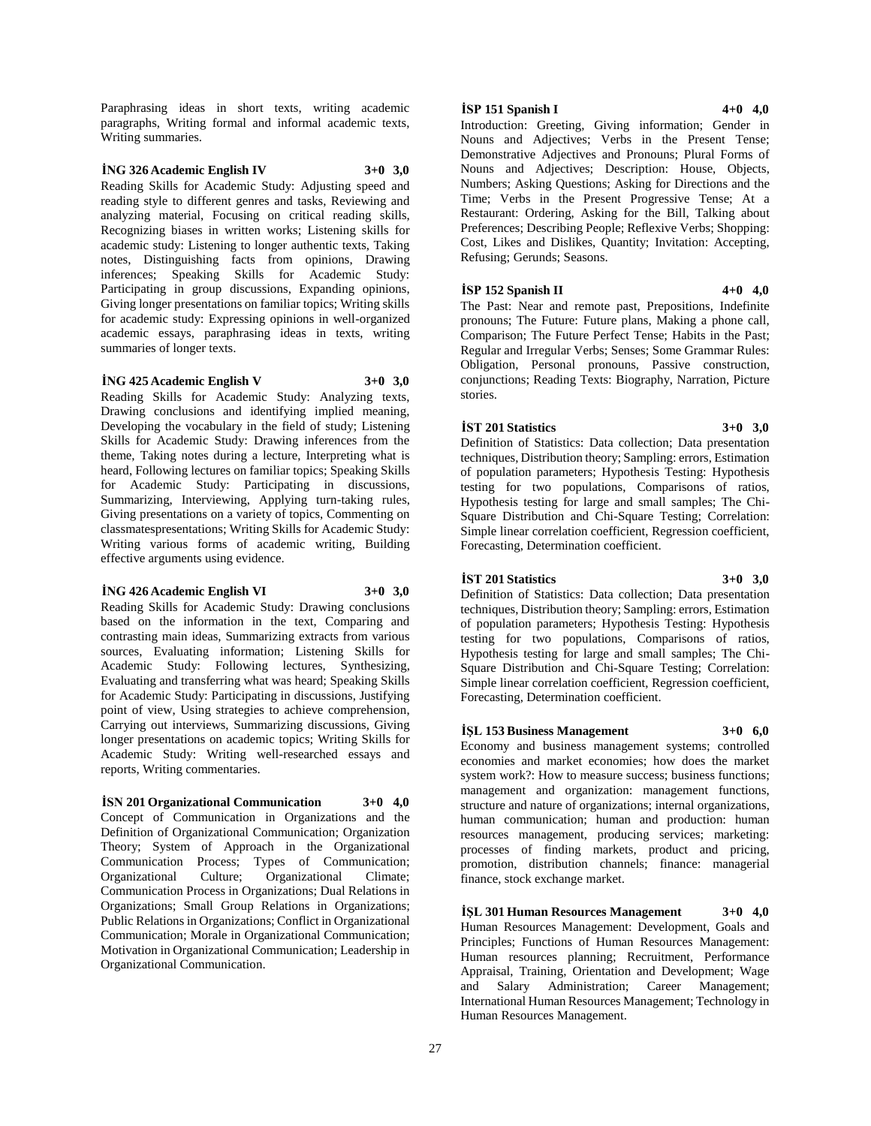Paraphrasing ideas in short texts, writing academic paragraphs, Writing formal and informal academic texts, Writing summaries.

#### **İNG 326 Academic English IV 3+0 3,0**

Reading Skills for Academic Study: Adjusting speed and reading style to different genres and tasks, Reviewing and analyzing material, Focusing on critical reading skills, Recognizing biases in written works; Listening skills for academic study: Listening to longer authentic texts, Taking notes, Distinguishing facts from opinions, Drawing inferences; Speaking Skills for Academic Study: Participating in group discussions, Expanding opinions, Giving longer presentations on familiar topics; Writing skills for academic study: Expressing opinions in well-organized academic essays, paraphrasing ideas in texts, writing summaries of longer texts.

#### **İNG 425 Academic English V 3+0 3,0**

Reading Skills for Academic Study: Analyzing texts, Drawing conclusions and identifying implied meaning, Developing the vocabulary in the field of study; Listening Skills for Academic Study: Drawing inferences from the theme, Taking notes during a lecture, Interpreting what is heard, Following lectures on familiar topics; Speaking Skills for Academic Study: Participating in discussions, Summarizing, Interviewing, Applying turn-taking rules, Giving presentations on a variety of topics, Commenting on classmatespresentations; Writing Skills for Academic Study: Writing various forms of academic writing, Building effective arguments using evidence.

#### **İNG 426 Academic English VI 3+0 3,0**

Reading Skills for Academic Study: Drawing conclusions based on the information in the text, Comparing and contrasting main ideas, Summarizing extracts from various sources, Evaluating information; Listening Skills for Academic Study: Following lectures, Synthesizing, Evaluating and transferring what was heard; Speaking Skills for Academic Study: Participating in discussions, Justifying point of view, Using strategies to achieve comprehension, Carrying out interviews, Summarizing discussions, Giving longer presentations on academic topics; Writing Skills for Academic Study: Writing well-researched essays and reports, Writing commentaries.

### **İSN 201 Organizational Communication 3+0 4,0**

Concept of Communication in Organizations and the Definition of Organizational Communication; Organization Theory; System of Approach in the Organizational Communication Process; Types of Communication; Organizational Culture; Organizational Communication Process in Organizations; Dual Relations in Organizations; Small Group Relations in Organizations; Public Relations in Organizations; Conflict in Organizational Communication; Morale in Organizational Communication; Motivation in Organizational Communication; Leadership in Organizational Communication.

#### **İSP 151 Spanish I 4+0 4,0**

Introduction: Greeting, Giving information; Gender in Nouns and Adjectives; Verbs in the Present Tense; Demonstrative Adjectives and Pronouns; Plural Forms of Nouns and Adjectives; Description: House, Objects, Numbers; Asking Questions; Asking for Directions and the Time; Verbs in the Present Progressive Tense; At a Restaurant: Ordering, Asking for the Bill, Talking about Preferences; Describing People; Reflexive Verbs; Shopping: Cost, Likes and Dislikes, Quantity; Invitation: Accepting, Refusing; Gerunds; Seasons.

#### **İSP 152 Spanish II 4+0 4,0**

The Past: Near and remote past, Prepositions, Indefinite pronouns; The Future: Future plans, Making a phone call, Comparison; The Future Perfect Tense; Habits in the Past; Regular and Irregular Verbs; Senses; Some Grammar Rules: Obligation, Personal pronouns, Passive construction, conjunctions; Reading Texts: Biography, Narration, Picture stories.

#### **İST 201 Statistics 3+0 3,0**

Definition of Statistics: Data collection; Data presentation techniques, Distribution theory; Sampling: errors, Estimation of population parameters; Hypothesis Testing: Hypothesis testing for two populations, Comparisons of ratios, Hypothesis testing for large and small samples; The Chi-Square Distribution and Chi-Square Testing; Correlation: Simple linear correlation coefficient, Regression coefficient, Forecasting, Determination coefficient.

# **İST 201 Statistics 3+0 3,0**

Definition of Statistics: Data collection; Data presentation techniques, Distribution theory; Sampling: errors, Estimation of population parameters; Hypothesis Testing: Hypothesis testing for two populations, Comparisons of ratios, Hypothesis testing for large and small samples; The Chi-Square Distribution and Chi-Square Testing; Correlation: Simple linear correlation coefficient, Regression coefficient, Forecasting, Determination coefficient.

### **İŞL 153 Business Management 3+0 6,0**

Economy and business management systems; controlled economies and market economies; how does the market system work?: How to measure success; business functions; management and organization: management functions, structure and nature of organizations; internal organizations, human communication; human and production: human resources management, producing services; marketing: processes of finding markets, product and pricing, promotion, distribution channels; finance: managerial finance, stock exchange market.

**İŞL 301 Human Resources Management 3+0 4,0** Human Resources Management: Development, Goals and Principles; Functions of Human Resources Management: Human resources planning; Recruitment, Performance Appraisal, Training, Orientation and Development; Wage and Salary Administration; Career Management; International Human Resources Management; Technology in Human Resources Management.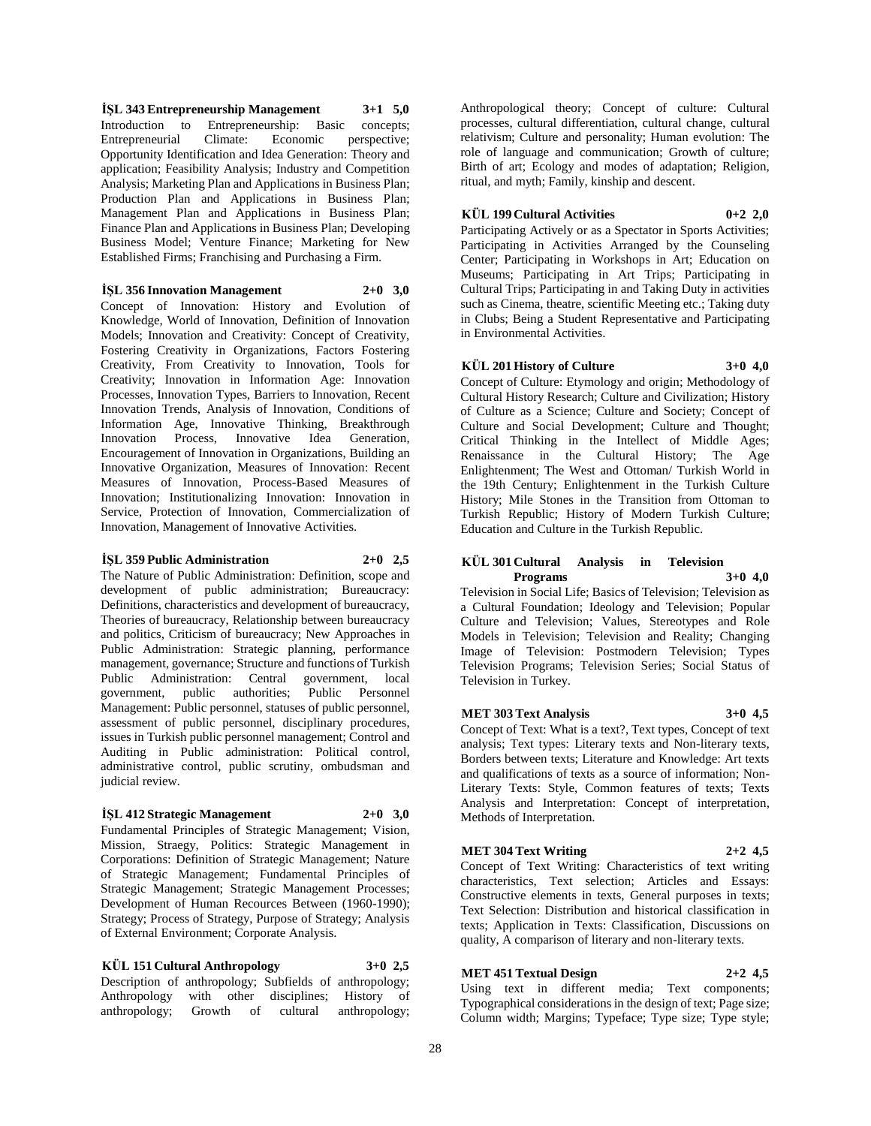**İŞL 343 Entrepreneurship Management 3+1 5,0** Introduction to Entrepreneurship: Basic concepts; Entrepreneurial Climate: Economic perspective; Opportunity Identification and Idea Generation: Theory and application; Feasibility Analysis; Industry and Competition Analysis; Marketing Plan and Applications in Business Plan; Production Plan and Applications in Business Plan; Management Plan and Applications in Business Plan; Finance Plan and Applications in Business Plan; Developing Business Model; Venture Finance; Marketing for New Established Firms; Franchising and Purchasing a Firm.

**İŞL 356 Innovation Management 2+0 3,0**

Concept of Innovation: History and Evolution of Knowledge, World of Innovation, Definition of Innovation Models; Innovation and Creativity: Concept of Creativity, Fostering Creativity in Organizations, Factors Fostering Creativity, From Creativity to Innovation, Tools for Creativity; Innovation in Information Age: Innovation Processes, Innovation Types, Barriers to Innovation, Recent Innovation Trends, Analysis of Innovation, Conditions of Information Age, Innovative Thinking, Breakthrough Innovation Process, Innovative Idea Generation, Encouragement of Innovation in Organizations, Building an Innovative Organization, Measures of Innovation: Recent Measures of Innovation, Process-Based Measures of Innovation; Institutionalizing Innovation: Innovation in Service, Protection of Innovation, Commercialization of Innovation, Management of Innovative Activities.

#### **İŞL 359 Public Administration 2+0 2,5**

The Nature of Public Administration: Definition, scope and development of public administration; Bureaucracy: Definitions, characteristics and development of bureaucracy, Theories of bureaucracy, Relationship between bureaucracy and politics, Criticism of bureaucracy; New Approaches in Public Administration: Strategic planning, performance management, governance; Structure and functions of Turkish Public Administration: Central government, local government, public authorities; Public Personnel Management: Public personnel, statuses of public personnel, assessment of public personnel, disciplinary procedures, issues in Turkish public personnel management; Control and Auditing in Public administration: Political control, administrative control, public scrutiny, ombudsman and judicial review.

### **İŞL 412 Strategic Management 2+0 3,0**

Fundamental Principles of Strategic Management; Vision, Mission, Straegy, Politics: Strategic Management in Corporations: Definition of Strategic Management; Nature of Strategic Management; Fundamental Principles of Strategic Management; Strategic Management Processes; Development of Human Recources Between (1960-1990); Strategy; Process of Strategy, Purpose of Strategy; Analysis of External Environment; Corporate Analysis.

# **KÜL 151 Cultural Anthropology 3+0 2,5**

Description of anthropology; Subfields of anthropology; Anthropology with other disciplines; History of anthropology; Growth of cultural anthropology;

Anthropological theory; Concept of culture: Cultural processes, cultural differentiation, cultural change, cultural relativism; Culture and personality; Human evolution: The role of language and communication; Growth of culture; Birth of art; Ecology and modes of adaptation; Religion, ritual, and myth; Family, kinship and descent.

#### **KÜL 199 Cultural Activities 0+2 2,0**

Participating Actively or as a Spectator in Sports Activities; Participating in Activities Arranged by the Counseling Center; Participating in Workshops in Art; Education on Museums; Participating in Art Trips; Participating in Cultural Trips; Participating in and Taking Duty in activities such as Cinema, theatre, scientific Meeting etc.; Taking duty in Clubs; Being a Student Representative and Participating in Environmental Activities.

### **KÜL 201 History of Culture 3+0 4,0**

Concept of Culture: Etymology and origin; Methodology of Cultural History Research; Culture and Civilization; History of Culture as a Science; Culture and Society; Concept of Culture and Social Development; Culture and Thought; Critical Thinking in the Intellect of Middle Ages; Renaissance in the Cultural History; The Age Enlightenment; The West and Ottoman/ Turkish World in the 19th Century; Enlightenment in the Turkish Culture History; Mile Stones in the Transition from Ottoman to Turkish Republic; History of Modern Turkish Culture; Education and Culture in the Turkish Republic.

# **KÜL 301 Cultural Analysis in Television Programs 3+0 4,0**

Television in Social Life; Basics of Television; Television as a Cultural Foundation; Ideology and Television; Popular Culture and Television; Values, Stereotypes and Role Models in Television; Television and Reality; Changing Image of Television: Postmodern Television; Types Television Programs; Television Series; Social Status of Television in Turkey.

### **MET 303 Text Analysis 3+0 4,5**

Concept of Text: What is a text?, Text types, Concept of text analysis; Text types: Literary texts and Non-literary texts, Borders between texts; Literature and Knowledge: Art texts and qualifications of texts as a source of information; Non-Literary Texts: Style, Common features of texts; Texts Analysis and Interpretation: Concept of interpretation, Methods of Interpretation.

### **MET 304 Text Writing 2+2 4,5**

Concept of Text Writing: Characteristics of text writing characteristics, Text selection; Articles and Essays: Constructive elements in texts, General purposes in texts; Text Selection: Distribution and historical classification in texts; Application in Texts: Classification, Discussions on quality, A comparison of literary and non-literary texts.

# **MET 451 Textual Design 2+2 4,5**

Using text in different media; Text components; Typographical considerations in the design of text; Page size; Column width; Margins; Typeface; Type size; Type style;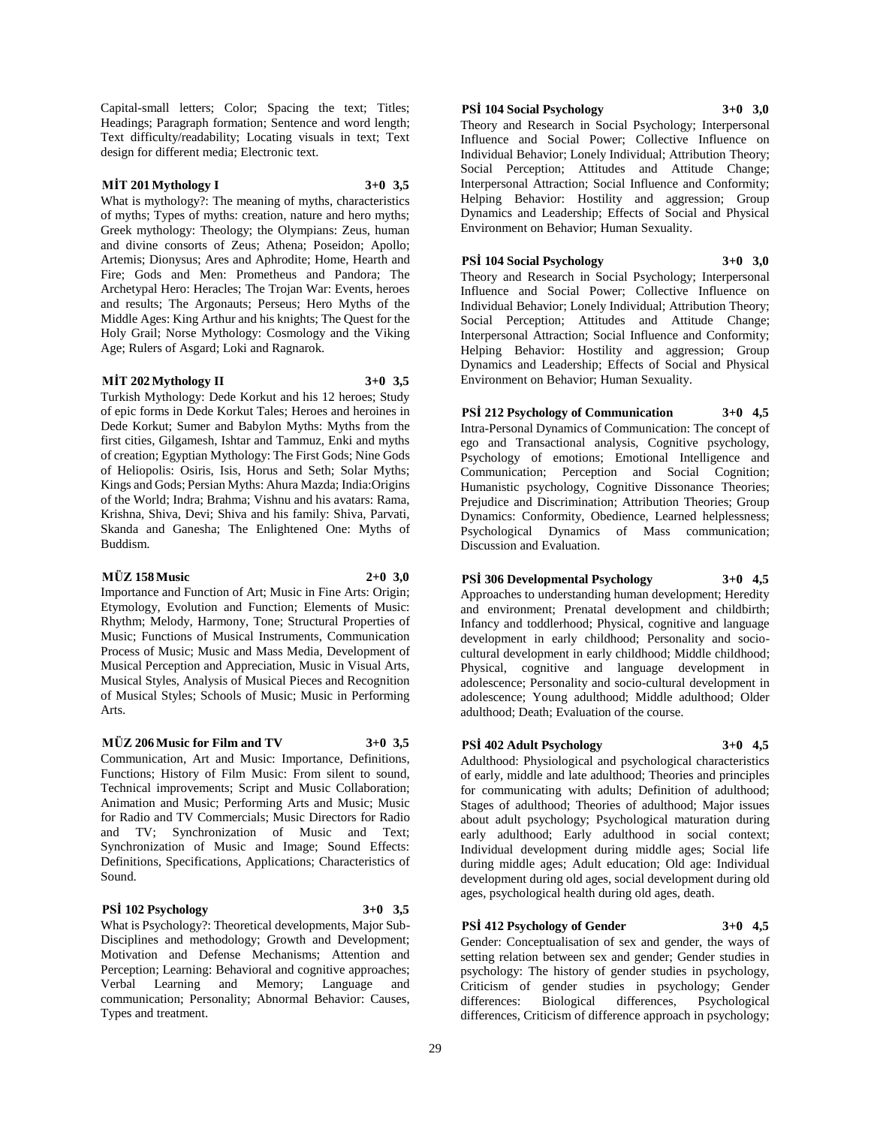Capital-small letters; Color; Spacing the text; Titles; Headings; Paragraph formation; Sentence and word length; Text difficulty/readability; Locating visuals in text; Text design for different media; Electronic text.

#### **MİT 201 Mythology I 3+0 3,5**

What is mythology?: The meaning of myths, characteristics of myths; Types of myths: creation, nature and hero myths; Greek mythology: Theology; the Olympians: Zeus, human and divine consorts of Zeus; Athena; Poseidon; Apollo; Artemis; Dionysus; Ares and Aphrodite; Home, Hearth and Fire; Gods and Men: Prometheus and Pandora; The Archetypal Hero: Heracles; The Trojan War: Events, heroes and results; The Argonauts; Perseus; Hero Myths of the Middle Ages: King Arthur and his knights; The Quest for the Holy Grail; Norse Mythology: Cosmology and the Viking Age; Rulers of Asgard; Loki and Ragnarok.

#### **MİT 202 Mythology II 3+0 3,5**

Turkish Mythology: Dede Korkut and his 12 heroes; Study of epic forms in Dede Korkut Tales; Heroes and heroines in Dede Korkut; Sumer and Babylon Myths: Myths from the first cities, Gilgamesh, Ishtar and Tammuz, Enki and myths of creation; Egyptian Mythology: The First Gods; Nine Gods of Heliopolis: Osiris, Isis, Horus and Seth; Solar Myths; Kings and Gods; Persian Myths: Ahura Mazda; India:Origins of the World; Indra; Brahma; Vishnu and his avatars: Rama, Krishna, Shiva, Devi; Shiva and his family: Shiva, Parvati, Skanda and Ganesha; The Enlightened One: Myths of Buddism.

#### **MÜZ 158 Music 2+0 3,0**

Importance and Function of Art; Music in Fine Arts: Origin; Etymology, Evolution and Function; Elements of Music: Rhythm; Melody, Harmony, Tone; Structural Properties of Music; Functions of Musical Instruments, Communication Process of Music; Music and Mass Media, Development of Musical Perception and Appreciation, Music in Visual Arts, Musical Styles, Analysis of Musical Pieces and Recognition of Musical Styles; Schools of Music; Music in Performing Arts.

#### **MÜZ 206 Music for Film and TV 3+0 3,5**

Communication, Art and Music: Importance, Definitions, Functions; History of Film Music: From silent to sound, Technical improvements; Script and Music Collaboration; Animation and Music; Performing Arts and Music; Music for Radio and TV Commercials; Music Directors for Radio and TV; Synchronization of Music and Text; Synchronization of Music and Image; Sound Effects: Definitions, Specifications, Applications; Characteristics of Sound.

#### **PSİ 102 Psychology 3+0 3,5**

What is Psychology?: Theoretical developments, Major Sub-Disciplines and methodology; Growth and Development; Motivation and Defense Mechanisms; Attention and Perception; Learning: Behavioral and cognitive approaches; Verbal Learning and Memory; Language and communication; Personality; Abnormal Behavior: Causes, Types and treatment.

#### **PSİ 104 Social Psychology 3+0 3,0**

Theory and Research in Social Psychology; Interpersonal Influence and Social Power; Collective Influence on Individual Behavior; Lonely Individual; Attribution Theory; Social Perception; Attitudes and Attitude Change; Interpersonal Attraction; Social Influence and Conformity; Helping Behavior: Hostility and aggression; Group Dynamics and Leadership; Effects of Social and Physical Environment on Behavior; Human Sexuality.

#### **PSİ 104 Social Psychology 3+0 3,0**

Theory and Research in Social Psychology; Interpersonal Influence and Social Power; Collective Influence on Individual Behavior; Lonely Individual; Attribution Theory; Social Perception; Attitudes and Attitude Change; Interpersonal Attraction; Social Influence and Conformity; Helping Behavior: Hostility and aggression; Group Dynamics and Leadership; Effects of Social and Physical Environment on Behavior; Human Sexuality.

**PSİ 212 Psychology of Communication 3+0 4,5** Intra-Personal Dynamics of Communication: The concept of ego and Transactional analysis, Cognitive psychology, Psychology of emotions; Emotional Intelligence and Communication; Perception and Social Cognition; Humanistic psychology, Cognitive Dissonance Theories; Prejudice and Discrimination; Attribution Theories; Group Dynamics: Conformity, Obedience, Learned helplessness; Psychological Dynamics of Mass communication; Discussion and Evaluation.

# **PSİ 306 Developmental Psychology 3+0 4,5**

Approaches to understanding human development; Heredity and environment; Prenatal development and childbirth; Infancy and toddlerhood; Physical, cognitive and language development in early childhood; Personality and sociocultural development in early childhood; Middle childhood; Physical, cognitive and language development in adolescence; Personality and socio-cultural development in adolescence; Young adulthood; Middle adulthood; Older adulthood; Death; Evaluation of the course.

### **PSİ 402 Adult Psychology 3+0 4,5**

Adulthood: Physiological and psychological characteristics of early, middle and late adulthood; Theories and principles for communicating with adults; Definition of adulthood; Stages of adulthood; Theories of adulthood; Major issues about adult psychology; Psychological maturation during early adulthood; Early adulthood in social context; Individual development during middle ages; Social life during middle ages; Adult education; Old age: Individual development during old ages, social development during old ages, psychological health during old ages, death.

#### **PSİ 412 Psychology of Gender 3+0 4,5**

Gender: Conceptualisation of sex and gender, the ways of setting relation between sex and gender; Gender studies in psychology: The history of gender studies in psychology, Criticism of gender studies in psychology; Gender differences: Biological differences, Psychological differences: Biological differences, Psychological differences, Criticism of difference approach in psychology;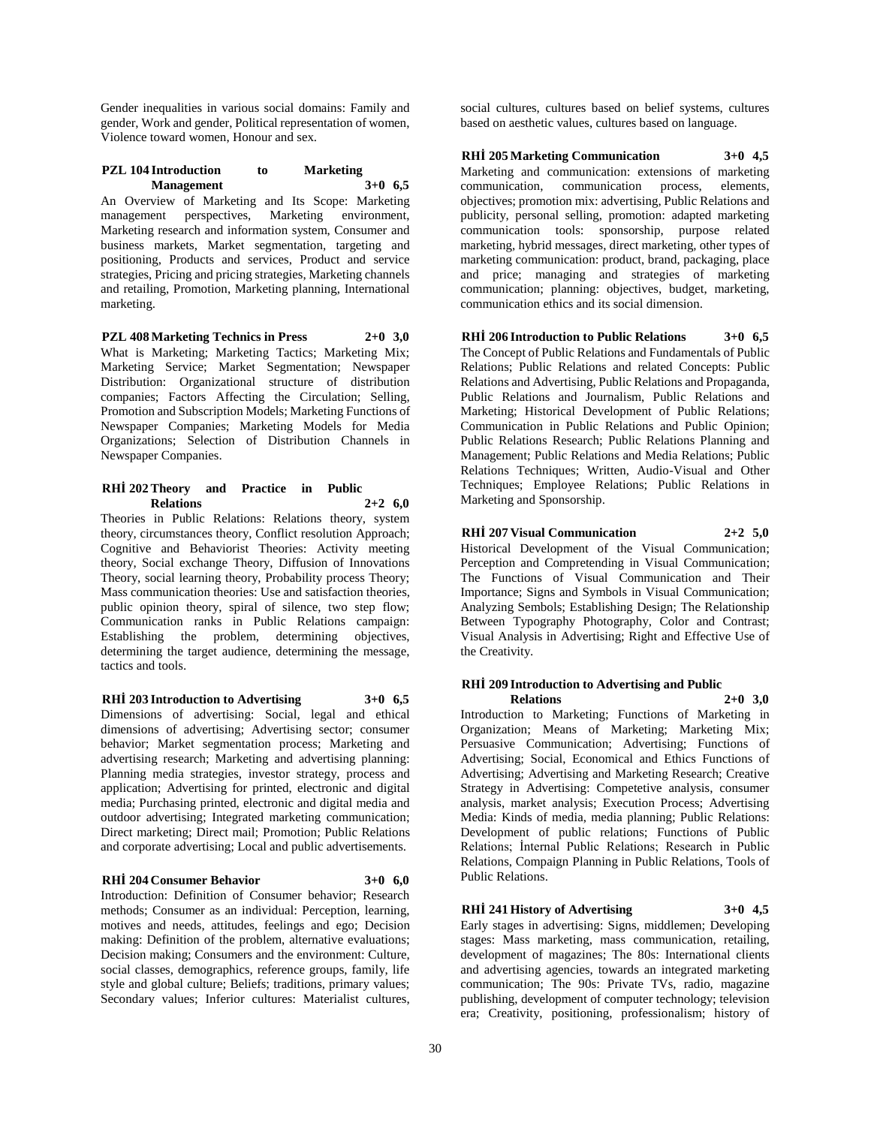Gender inequalities in various social domains: Family and gender, Work and gender, Political representation of women, Violence toward women, Honour and sex.

### **PZL 104 Introduction to Marketing Management 3+0 6,5**

An Overview of Marketing and Its Scope: Marketing management perspectives, Marketing environment, Marketing research and information system, Consumer and business markets, Market segmentation, targeting and positioning, Products and services, Product and service strategies, Pricing and pricing strategies, Marketing channels and retailing, Promotion, Marketing planning, International marketing.

**PZL 408 Marketing Technics in Press 2+0 3,0** What is Marketing; Marketing Tactics; Marketing Mix; Marketing Service; Market Segmentation; Newspaper Distribution: Organizational structure of distribution companies; Factors Affecting the Circulation; Selling, Promotion and Subscription Models; Marketing Functions of Newspaper Companies; Marketing Models for Media Organizations; Selection of Distribution Channels in Newspaper Companies.

#### **RHİ 202 Theory and Practice in Public Relations 2+2 6,0**

Theories in Public Relations: Relations theory, system theory, circumstances theory, Conflict resolution Approach; Cognitive and Behaviorist Theories: Activity meeting theory, Social exchange Theory, Diffusion of Innovations Theory, social learning theory, Probability process Theory; Mass communication theories: Use and satisfaction theories, public opinion theory, spiral of silence, two step flow; Communication ranks in Public Relations campaign: Establishing the problem, determining objectives, determining the target audience, determining the message, tactics and tools.

**RHİ 203 Introduction to Advertising 3+0 6,5**

Dimensions of advertising: Social, legal and ethical dimensions of advertising; Advertising sector; consumer behavior; Market segmentation process; Marketing and advertising research; Marketing and advertising planning: Planning media strategies, investor strategy, process and application; Advertising for printed, electronic and digital media; Purchasing printed, electronic and digital media and outdoor advertising; Integrated marketing communication; Direct marketing; Direct mail; Promotion; Public Relations and corporate advertising; Local and public advertisements.

### **RHİ 204 Consumer Behavior 3+0 6,0**

Introduction: Definition of Consumer behavior; Research methods; Consumer as an individual: Perception, learning, motives and needs, attitudes, feelings and ego; Decision making: Definition of the problem, alternative evaluations; Decision making; Consumers and the environment: Culture, social classes, demographics, reference groups, family, life style and global culture; Beliefs; traditions, primary values; Secondary values; Inferior cultures: Materialist cultures,

social cultures, cultures based on belief systems, cultures based on aesthetic values, cultures based on language.

# **RHİ 205 Marketing Communication 3+0 4,5**

Marketing and communication: extensions of marketing communication, communication process, elements, objectives; promotion mix: advertising, Public Relations and publicity, personal selling, promotion: adapted marketing communication tools: sponsorship, purpose related marketing, hybrid messages, direct marketing, other types of marketing communication: product, brand, packaging, place and price; managing and strategies of marketing communication; planning: objectives, budget, marketing, communication ethics and its social dimension.

#### **RHİ 206 Introduction to Public Relations 3+0 6,5**

The Concept of Public Relations and Fundamentals of Public Relations; Public Relations and related Concepts: Public Relations and Advertising, Public Relations and Propaganda, Public Relations and Journalism, Public Relations and Marketing; Historical Development of Public Relations; Communication in Public Relations and Public Opinion; Public Relations Research; Public Relations Planning and Management; Public Relations and Media Relations; Public Relations Techniques; Written, Audio-Visual and Other Techniques; Employee Relations; Public Relations in Marketing and Sponsorship.

# **RHİ 207 Visual Communication 2+2 5,0**

Historical Development of the Visual Communication; Perception and Compretending in Visual Communication; The Functions of Visual Communication and Their Importance; Signs and Symbols in Visual Communication; Analyzing Sembols; Establishing Design; The Relationship Between Typography Photography, Color and Contrast; Visual Analysis in Advertising; Right and Effective Use of the Creativity.

#### **RHİ 209 Introduction to Advertising and Public Relations 2+0 3,0**

Introduction to Marketing; Functions of Marketing in Organization; Means of Marketing; Marketing Mix; Persuasive Communication; Advertising; Functions of Advertising; Social, Economical and Ethics Functions of Advertising; Advertising and Marketing Research; Creative Strategy in Advertising: Competetive analysis, consumer analysis, market analysis; Execution Process; Advertising Media: Kinds of media, media planning; Public Relations: Development of public relations; Functions of Public Relations; İnternal Public Relations; Research in Public Relations, Compaign Planning in Public Relations, Tools of Public Relations.

# **RHİ 241 History of Advertising 3+0 4,5**

Early stages in advertising: Signs, middlemen; Developing stages: Mass marketing, mass communication, retailing, development of magazines; The 80s: International clients and advertising agencies, towards an integrated marketing communication; The 90s: Private TVs, radio, magazine publishing, development of computer technology; television era; Creativity, positioning, professionalism; history of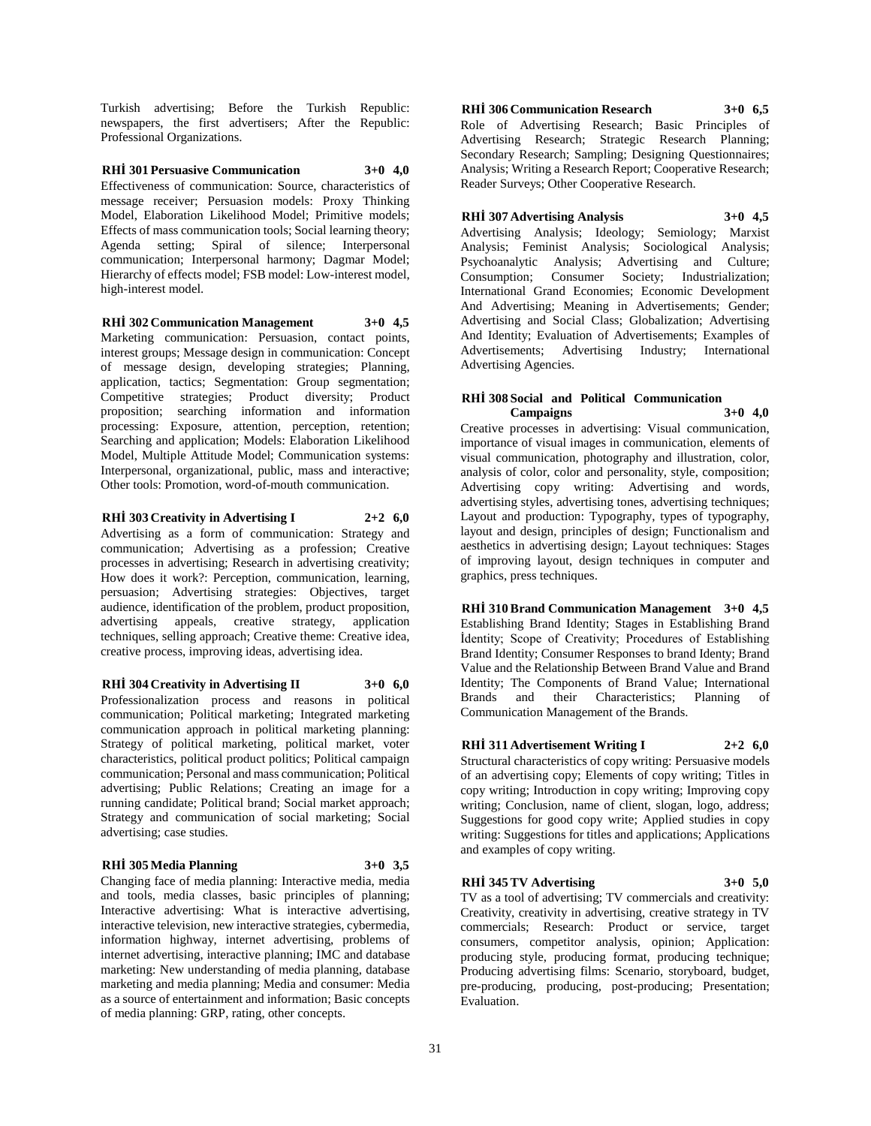Turkish advertising; Before the Turkish Republic: newspapers, the first advertisers; After the Republic: Professional Organizations.

**RHİ 301 Persuasive Communication 3+0 4,0** Effectiveness of communication: Source, characteristics of message receiver; Persuasion models: Proxy Thinking Model, Elaboration Likelihood Model; Primitive models; Effects of mass communication tools; Social learning theory; Agenda setting; Spiral of silence; Interpersonal communication; Interpersonal harmony; Dagmar Model; Hierarchy of effects model; FSB model: Low-interest model, high-interest model.

# **RHİ 302 Communication Management 3+0 4,5**

Marketing communication: Persuasion, contact points, interest groups; Message design in communication: Concept of message design, developing strategies; Planning, application, tactics; Segmentation: Group segmentation; Competitive strategies; Product diversity; Product proposition; searching information and information processing: Exposure, attention, perception, retention; Searching and application; Models: Elaboration Likelihood Model, Multiple Attitude Model; Communication systems: Interpersonal, organizational, public, mass and interactive; Other tools: Promotion, word-of-mouth communication.

**RHİ 303 Creativity in Advertising I 2+2 6,0** Advertising as a form of communication: Strategy and communication; Advertising as a profession; Creative processes in advertising; Research in advertising creativity; How does it work?: Perception, communication, learning, persuasion; Advertising strategies: Objectives, target audience, identification of the problem, product proposition, advertising appeals, creative strategy, application techniques, selling approach; Creative theme: Creative idea, creative process, improving ideas, advertising idea.

#### **RHİ 304 Creativity in Advertising II 3+0 6,0**

Professionalization process and reasons in political communication; Political marketing; Integrated marketing communication approach in political marketing planning: Strategy of political marketing, political market, voter characteristics, political product politics; Political campaign communication; Personal and mass communication; Political advertising; Public Relations; Creating an image for a running candidate; Political brand; Social market approach; Strategy and communication of social marketing; Social advertising; case studies.

#### **RHİ 305 Media Planning 3+0 3,5**

Changing face of media planning: Interactive media, media and tools, media classes, basic principles of planning; Interactive advertising: What is interactive advertising, interactive television, new interactive strategies, cybermedia, information highway, internet advertising, problems of internet advertising, interactive planning; IMC and database marketing: New understanding of media planning, database marketing and media planning; Media and consumer: Media as a source of entertainment and information; Basic concepts of media planning: GRP, rating, other concepts.

**RHİ 306 Communication Research 3+0 6,5** Role of Advertising Research; Basic Principles of Advertising Research; Strategic Research Planning; Secondary Research; Sampling; Designing Questionnaires; Analysis; Writing a Research Report; Cooperative Research; Reader Surveys; Other Cooperative Research.

#### **RHİ 307 Advertising Analysis 3+0 4,5**

Advertising Analysis; Ideology; Semiology; Marxist Analysis; Feminist Analysis; Sociological Analysis; Psychoanalytic Analysis; Advertising and Culture; Consumption; Consumer Society; Industrialization; International Grand Economies; Economic Development And Advertising; Meaning in Advertisements; Gender; Advertising and Social Class; Globalization; Advertising And Identity; Evaluation of Advertisements; Examples of Advertisements; Advertising Industry; International Advertising Agencies.

#### **RHİ 308 Social and Political Communication Campaigns 3+0 4,0**

Creative processes in advertising: Visual communication, importance of visual images in communication, elements of visual communication, photography and illustration, color, analysis of color, color and personality, style, composition; Advertising copy writing: Advertising and words, advertising styles, advertising tones, advertising techniques; Layout and production: Typography, types of typography, layout and design, principles of design; Functionalism and aesthetics in advertising design; Layout techniques: Stages of improving layout, design techniques in computer and graphics, press techniques.

**RHİ 310 Brand Communication Management 3+0 4,5** Establishing Brand Identity; Stages in Establishing Brand İdentity; Scope of Creativity; Procedures of Establishing Brand Identity; Consumer Responses to brand Identy; Brand Value and the Relationship Between Brand Value and Brand Identity; The Components of Brand Value; International Brands and their Characteristics; Planning of Communication Management of the Brands.

#### **RHİ 311 Advertisement Writing I 2+2 6,0**

Structural characteristics of copy writing: Persuasive models of an advertising copy; Elements of copy writing; Titles in copy writing; Introduction in copy writing; Improving copy writing; Conclusion, name of client, slogan, logo, address; Suggestions for good copy write; Applied studies in copy writing: Suggestions for titles and applications; Applications and examples of copy writing.

#### **RHİ 345 TV Advertising 3+0 5,0**

TV as a tool of advertising; TV commercials and creativity: Creativity, creativity in advertising, creative strategy in TV commercials; Research: Product or service, target consumers, competitor analysis, opinion; Application: producing style, producing format, producing technique; Producing advertising films: Scenario, storyboard, budget, pre-producing, producing, post-producing; Presentation; Evaluation.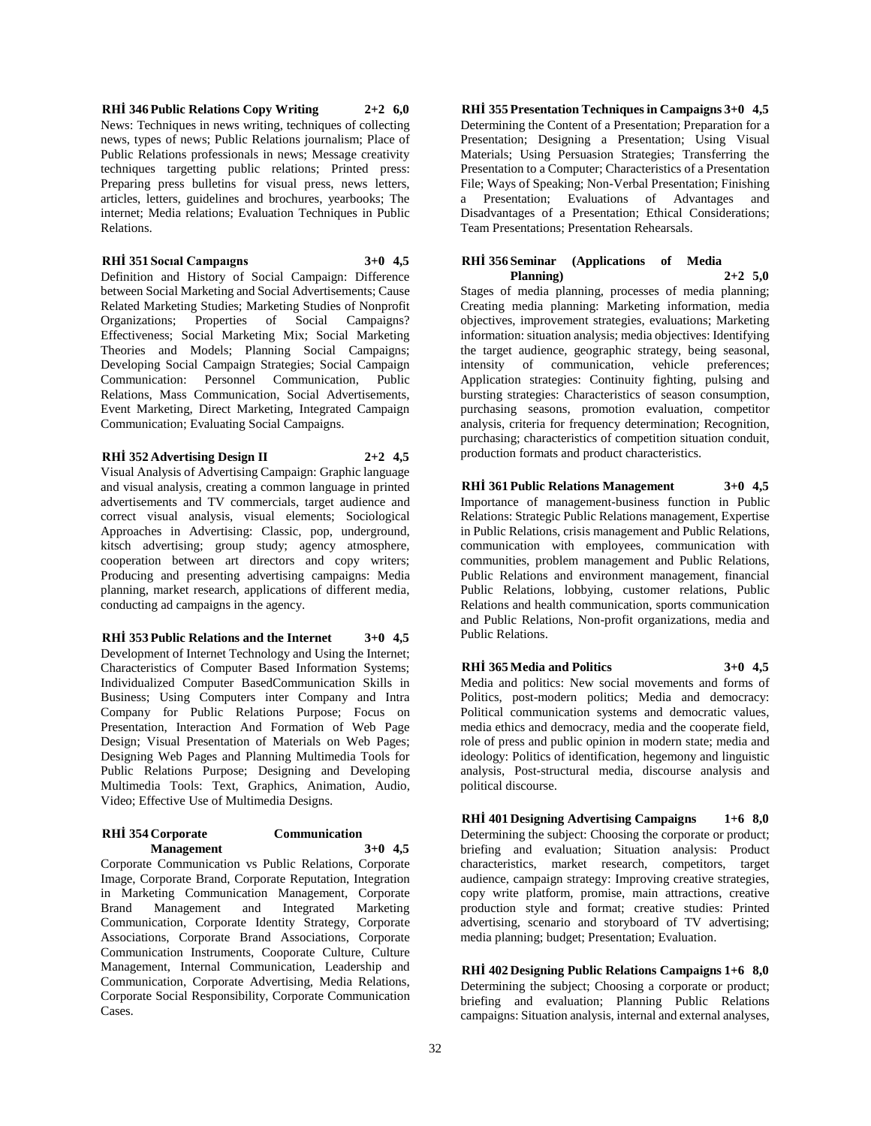**RHİ 346 Public Relations Copy Writing 2+2 6,0** News: Techniques in news writing, techniques of collecting news, types of news; Public Relations journalism; Place of Public Relations professionals in news; Message creativity techniques targetting public relations; Printed press: Preparing press bulletins for visual press, news letters, articles, letters, guidelines and brochures, yearbooks; The internet; Media relations; Evaluation Techniques in Public Relations.

#### **RHİ 351 Socıal Campaıgns 3+0 4,5**

Definition and History of Social Campaign: Difference between Social Marketing and Social Advertisements; Cause Related Marketing Studies; Marketing Studies of Nonprofit Organizations; Properties of Social Campaigns? Effectiveness; Social Marketing Mix; Social Marketing Theories and Models; Planning Social Campaigns; Developing Social Campaign Strategies; Social Campaign Communication: Personnel Communication, Public Relations, Mass Communication, Social Advertisements, Event Marketing, Direct Marketing, Integrated Campaign Communication; Evaluating Social Campaigns.

#### **RHİ 352 Advertising Design II 2+2 4,5**

Visual Analysis of Advertising Campaign: Graphic language and visual analysis, creating a common language in printed advertisements and TV commercials, target audience and correct visual analysis, visual elements; Sociological Approaches in Advertising: Classic, pop, underground, kitsch advertising; group study; agency atmosphere, cooperation between art directors and copy writers; Producing and presenting advertising campaigns: Media planning, market research, applications of different media, conducting ad campaigns in the agency.

### **RHİ 353 Public Relations and the Internet 3+0 4,5**

Development of Internet Technology and Using the Internet; Characteristics of Computer Based Information Systems; Individualized Computer BasedCommunication Skills in Business; Using Computers inter Company and Intra Company for Public Relations Purpose; Focus on Presentation, Interaction And Formation of Web Page Design; Visual Presentation of Materials on Web Pages; Designing Web Pages and Planning Multimedia Tools for Public Relations Purpose; Designing and Developing Multimedia Tools: Text, Graphics, Animation, Audio, Video; Effective Use of Multimedia Designs.

#### **RHİ 354 Corporate Communication Management 3+0 4,5**

Corporate Communication vs Public Relations, Corporate Image, Corporate Brand, Corporate Reputation, Integration in Marketing Communication Management, Corporate Brand Management and Integrated Marketing Communication, Corporate Identity Strategy, Corporate Associations, Corporate Brand Associations, Corporate Communication Instruments, Cooporate Culture, Culture Management, Internal Communication, Leadership and Communication, Corporate Advertising, Media Relations, Corporate Social Responsibility, Corporate Communication Cases.

**RHİ 355 Presentation Techniques in Campaigns 3+0 4,5** Determining the Content of a Presentation; Preparation for a Presentation; Designing a Presentation; Using Visual Materials; Using Persuasion Strategies; Transferring the Presentation to a Computer; Characteristics of a Presentation File; Ways of Speaking; Non-Verbal Presentation; Finishing a Presentation; Evaluations of Advantages and Disadvantages of a Presentation; Ethical Considerations; Team Presentations; Presentation Rehearsals.

#### **RHİ 356 Seminar (Applications of Media Planning) 2+2 5,0**

Stages of media planning, processes of media planning; Creating media planning: Marketing information, media objectives, improvement strategies, evaluations; Marketing information: situation analysis; media objectives: Identifying the target audience, geographic strategy, being seasonal, intensity of communication, vehicle preferences; Application strategies: Continuity fighting, pulsing and bursting strategies: Characteristics of season consumption, purchasing seasons, promotion evaluation, competitor analysis, criteria for frequency determination; Recognition, purchasing; characteristics of competition situation conduit, production formats and product characteristics.

# **RHİ 361 Public Relations Management 3+0 4,5**

Importance of management-business function in Public Relations: Strategic Public Relations management, Expertise in Public Relations, crisis management and Public Relations, communication with employees, communication with communities, problem management and Public Relations, Public Relations and environment management, financial Public Relations, lobbying, customer relations, Public Relations and health communication, sports communication and Public Relations, Non-profit organizations, media and Public Relations.

# **RHİ 365 Media and Politics 3+0 4,5**

Media and politics: New social movements and forms of Politics, post-modern politics; Media and democracy: Political communication systems and democratic values, media ethics and democracy, media and the cooperate field, role of press and public opinion in modern state; media and ideology: Politics of identification, hegemony and linguistic analysis, Post-structural media, discourse analysis and political discourse.

# **RHİ 401 Designing Advertising Campaigns 1+6 8,0**

Determining the subject: Choosing the corporate or product; briefing and evaluation; Situation analysis: Product characteristics, market research, competitors, target audience, campaign strategy: Improving creative strategies, copy write platform, promise, main attractions, creative production style and format; creative studies: Printed advertising, scenario and storyboard of TV advertising; media planning; budget; Presentation; Evaluation.

#### **RHİ 402 Designing Public Relations Campaigns 1+6 8,0** Determining the subject; Choosing a corporate or product; briefing and evaluation; Planning Public Relations campaigns: Situation analysis, internal and external analyses,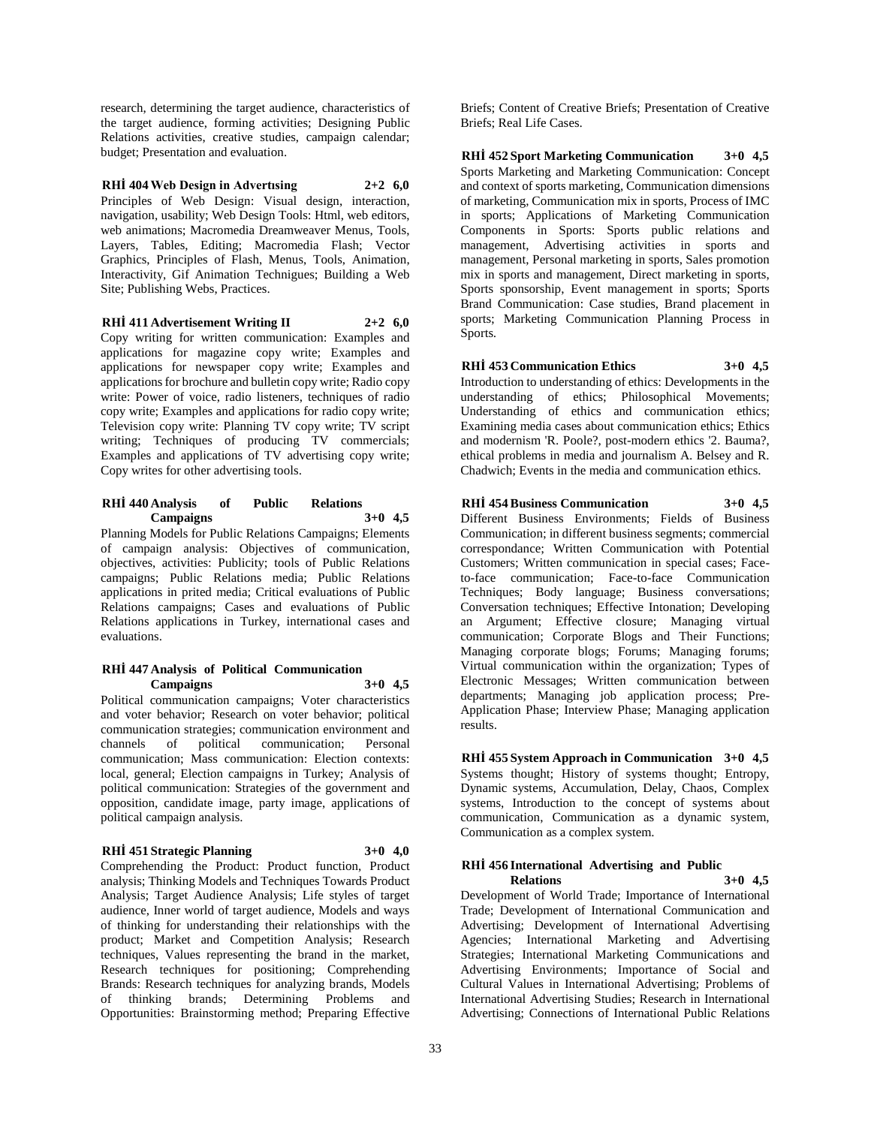research, determining the target audience, characteristics of the target audience, forming activities; Designing Public Relations activities, creative studies, campaign calendar; budget; Presentation and evaluation.

**RHİ 404 Web Design in Advertısing 2+2 6,0** Principles of Web Design: Visual design, interaction, navigation, usability; Web Design Tools: Html, web editors, web animations; Macromedia Dreamweaver Menus, Tools, Layers, Tables, Editing; Macromedia Flash; Vector Graphics, Principles of Flash, Menus, Tools, Animation, Interactivity, Gif Animation Technigues; Building a Web Site; Publishing Webs, Practices.

#### **RHİ 411 Advertisement Writing II 2+2 6,0**

Copy writing for written communication: Examples and applications for magazine copy write; Examples and applications for newspaper copy write; Examples and applications for brochure and bulletin copy write; Radio copy write: Power of voice, radio listeners, techniques of radio copy write; Examples and applications for radio copy write; Television copy write: Planning TV copy write; TV script writing; Techniques of producing TV commercials; Examples and applications of TV advertising copy write; Copy writes for other advertising tools.

#### **RHİ 440 Analysis of Public Relations Campaigns 3+0 4,5**

Planning Models for Public Relations Campaigns; Elements of campaign analysis: Objectives of communication, objectives, activities: Publicity; tools of Public Relations campaigns; Public Relations media; Public Relations applications in prited media; Critical evaluations of Public Relations campaigns; Cases and evaluations of Public Relations applications in Turkey, international cases and evaluations.

#### **RHİ 447 Analysis of Political Communication Campaigns 3+0 4,5**

Political communication campaigns; Voter characteristics and voter behavior; Research on voter behavior; political communication strategies; communication environment and channels of political communication; Personal communication; Mass communication: Election contexts: local, general; Election campaigns in Turkey; Analysis of political communication: Strategies of the government and opposition, candidate image, party image, applications of political campaign analysis.

#### **RHİ 451 Strategic Planning 3+0 4,0**

Comprehending the Product: Product function, Product analysis; Thinking Models and Techniques Towards Product Analysis; Target Audience Analysis; Life styles of target audience, Inner world of target audience, Models and ways of thinking for understanding their relationships with the product; Market and Competition Analysis; Research techniques, Values representing the brand in the market, Research techniques for positioning; Comprehending Brands: Research techniques for analyzing brands, Models of thinking brands; Determining Problems and Opportunities: Brainstorming method; Preparing Effective

Briefs; Content of Creative Briefs; Presentation of Creative Briefs; Real Life Cases.

**RHİ 452 Sport Marketing Communication 3+0 4,5** Sports Marketing and Marketing Communication: Concept and context of sports marketing, Communication dimensions of marketing, Communication mix in sports, Process of IMC in sports; Applications of Marketing Communication Components in Sports: Sports public relations and management, Advertising activities in sports and management, Personal marketing in sports, Sales promotion mix in sports and management, Direct marketing in sports, Sports sponsorship, Event management in sports; Sports Brand Communication: Case studies, Brand placement in sports; Marketing Communication Planning Process in Sports.

# **RHİ 453 Communication Ethics 3+0 4,5**

Introduction to understanding of ethics: Developments in the understanding of ethics; Philosophical Movements; Understanding of ethics and communication ethics; Examining media cases about communication ethics; Ethics and modernism 'R. Poole?, post-modern ethics '2. Bauma?, ethical problems in media and journalism A. Belsey and R. Chadwich; Events in the media and communication ethics.

#### **RHİ 454 Business Communication 3+0 4,5**

Different Business Environments; Fields of Business Communication; in different business segments; commercial correspondance; Written Communication with Potential Customers; Written communication in special cases; Faceto-face communication; Face-to-face Communication Techniques; Body language; Business conversations; Conversation techniques; Effective Intonation; Developing an Argument; Effective closure; Managing virtual communication; Corporate Blogs and Their Functions; Managing corporate blogs; Forums; Managing forums; Virtual communication within the organization; Types of Electronic Messages; Written communication between departments; Managing job application process; Pre-Application Phase; Interview Phase; Managing application results.

**RHİ 455 System Approach in Communication 3+0 4,5** Systems thought; History of systems thought; Entropy, Dynamic systems, Accumulation, Delay, Chaos, Complex systems, Introduction to the concept of systems about communication, Communication as a dynamic system, Communication as a complex system.

#### **RHİ 456 International Advertising and Public Relations 3+0 4,5**

Development of World Trade; Importance of International Trade; Development of International Communication and Advertising; Development of International Advertising Agencies; International Marketing and Advertising Strategies; International Marketing Communications and Advertising Environments; Importance of Social and Cultural Values in International Advertising; Problems of International Advertising Studies; Research in International Advertising; Connections of International Public Relations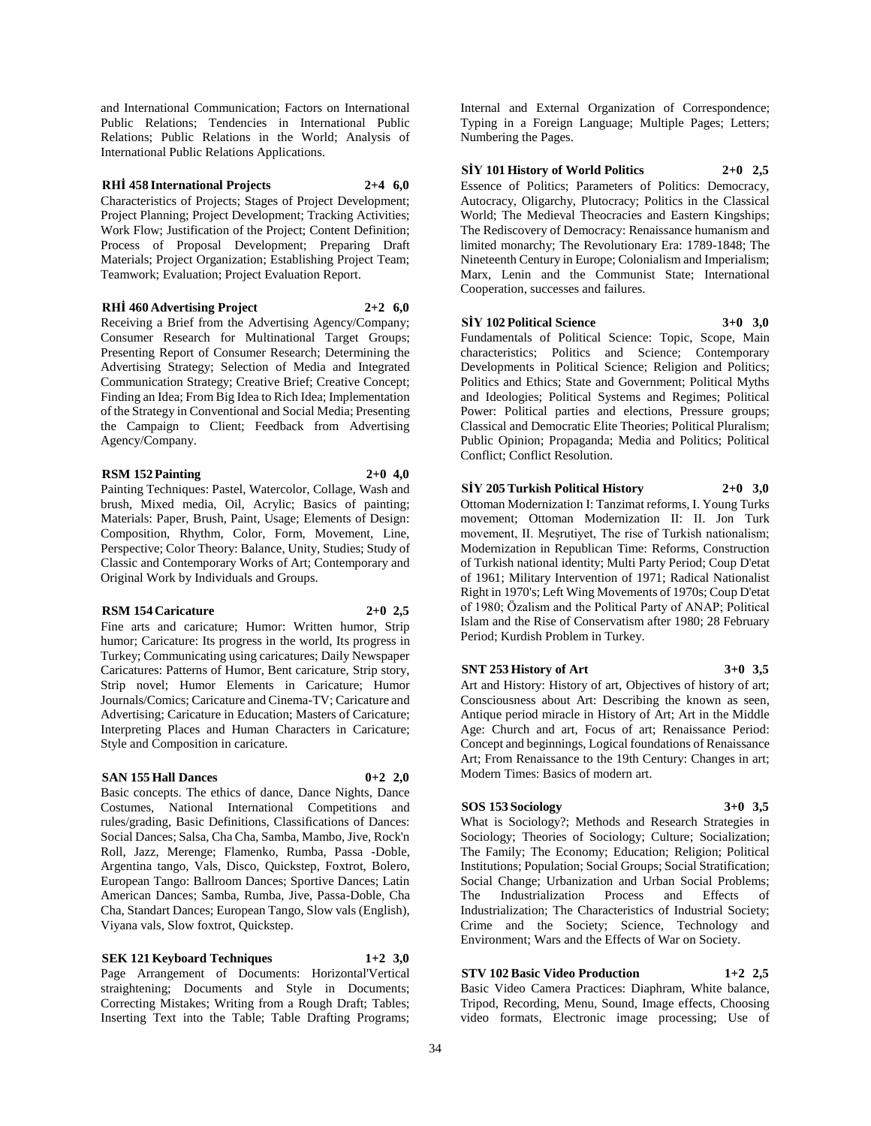and International Communication; Factors on International Public Relations; Tendencies in International Public Relations; Public Relations in the World; Analysis of International Public Relations Applications.

#### **RHİ 458 International Projects 2+4 6,0**

Characteristics of Projects; Stages of Project Development; Project Planning; Project Development; Tracking Activities; Work Flow; Justification of the Project; Content Definition; Process of Proposal Development; Preparing Draft Materials; Project Organization; Establishing Project Team; Teamwork; Evaluation; Project Evaluation Report.

#### **RHİ 460 Advertising Project 2+2 6,0**

Receiving a Brief from the Advertising Agency/Company; Consumer Research for Multinational Target Groups; Presenting Report of Consumer Research; Determining the Advertising Strategy; Selection of Media and Integrated Communication Strategy; Creative Brief; Creative Concept; Finding an Idea; From Big Idea to Rich Idea; Implementation of the Strategy in Conventional and Social Media; Presenting the Campaign to Client; Feedback from Advertising Agency/Company.

#### **RSM 152 Painting 2+0 4,0**

Painting Techniques: Pastel, Watercolor, Collage, Wash and brush, Mixed media, Oil, Acrylic; Basics of painting; Materials: Paper, Brush, Paint, Usage; Elements of Design: Composition, Rhythm, Color, Form, Movement, Line, Perspective; Color Theory: Balance, Unity, Studies; Study of Classic and Contemporary Works of Art; Contemporary and Original Work by Individuals and Groups.

#### **RSM 154 Caricature 2+0 2,5**

Fine arts and caricature; Humor: Written humor, Strip humor; Caricature: Its progress in the world, Its progress in Turkey; Communicating using caricatures; Daily Newspaper Caricatures: Patterns of Humor, Bent caricature, Strip story, Strip novel; Humor Elements in Caricature; Humor Journals/Comics; Caricature and Cinema-TV; Caricature and Advertising; Caricature in Education; Masters of Caricature; Interpreting Places and Human Characters in Caricature; Style and Composition in caricature.

### **SAN 155 Hall Dances 0+2 2,0**

Basic concepts. The ethics of dance, Dance Nights, Dance Costumes, National International Competitions and rules/grading, Basic Definitions, Classifications of Dances: Social Dances; Salsa, Cha Cha, Samba, Mambo, Jive, Rock'n Roll, Jazz, Merenge; Flamenko, Rumba, Passa -Doble, Argentina tango, Vals, Disco, Quickstep, Foxtrot, Bolero, European Tango: Ballroom Dances; Sportive Dances; Latin American Dances; Samba, Rumba, Jive, Passa-Doble, Cha Cha, Standart Dances; European Tango, Slow vals (English), Viyana vals, Slow foxtrot, Quickstep.

**SEK 121 Keyboard Techniques 1+2 3,0** Page Arrangement of Documents: Horizontal'Vertical straightening; Documents and Style in Documents; Correcting Mistakes; Writing from a Rough Draft; Tables; Inserting Text into the Table; Table Drafting Programs;

Internal and External Organization of Correspondence; Typing in a Foreign Language; Multiple Pages; Letters; Numbering the Pages.

# **SİY 101 History of World Politics 2+0 2,5**

Essence of Politics; Parameters of Politics: Democracy, Autocracy, Oligarchy, Plutocracy; Politics in the Classical World; The Medieval Theocracies and Eastern Kingships; The Rediscovery of Democracy: Renaissance humanism and limited monarchy; The Revolutionary Era: 1789-1848; The Nineteenth Century in Europe; Colonialism and Imperialism; Marx, Lenin and the Communist State; International Cooperation, successes and failures.

# **SİY 102 Political Science 3+0 3,0**

Fundamentals of Political Science: Topic, Scope, Main characteristics; Politics and Science; Contemporary Developments in Political Science; Religion and Politics; Politics and Ethics; State and Government; Political Myths and Ideologies; Political Systems and Regimes; Political Power: Political parties and elections, Pressure groups; Classical and Democratic Elite Theories; Political Pluralism; Public Opinion; Propaganda; Media and Politics; Political Conflict; Conflict Resolution.

### **SİY 205 Turkish Political History 2+0 3,0**

Ottoman Modernization I: Tanzimat reforms, I. Young Turks movement; Ottoman Modernization II: II. Jon Turk movement, II. Meşrutiyet, The rise of Turkish nationalism; Modernization in Republican Time: Reforms, Construction of Turkish national identity; Multi Party Period; Coup D'etat of 1961; Military Intervention of 1971; Radical Nationalist Right in 1970's; Left Wing Movements of 1970s; Coup D'etat of 1980; Özalism and the Political Party of ANAP; Political Islam and the Rise of Conservatism after 1980; 28 February Period; Kurdish Problem in Turkey.

### **SNT 253 History of Art 3+0 3,5**

Art and History: History of art, Objectives of history of art; Consciousness about Art: Describing the known as seen, Antique period miracle in History of Art; Art in the Middle Age: Church and art, Focus of art; Renaissance Period: Concept and beginnings, Logical foundations of Renaissance Art; From Renaissance to the 19th Century: Changes in art; Modern Times: Basics of modern art.

### **SOS 153 Sociology 3+0 3,5**

What is Sociology?; Methods and Research Strategies in Sociology; Theories of Sociology; Culture; Socialization; The Family; The Economy; Education; Religion; Political Institutions; Population; Social Groups; Social Stratification; Social Change; Urbanization and Urban Social Problems; The Industrialization Process and Effects of Industrialization; The Characteristics of Industrial Society; Crime and the Society; Science, Technology and Environment; Wars and the Effects of War on Society.

# **STV 102 Basic Video Production 1+2 2,5**

Basic Video Camera Practices: Diaphram, White balance, Tripod, Recording, Menu, Sound, Image effects, Choosing video formats, Electronic image processing; Use of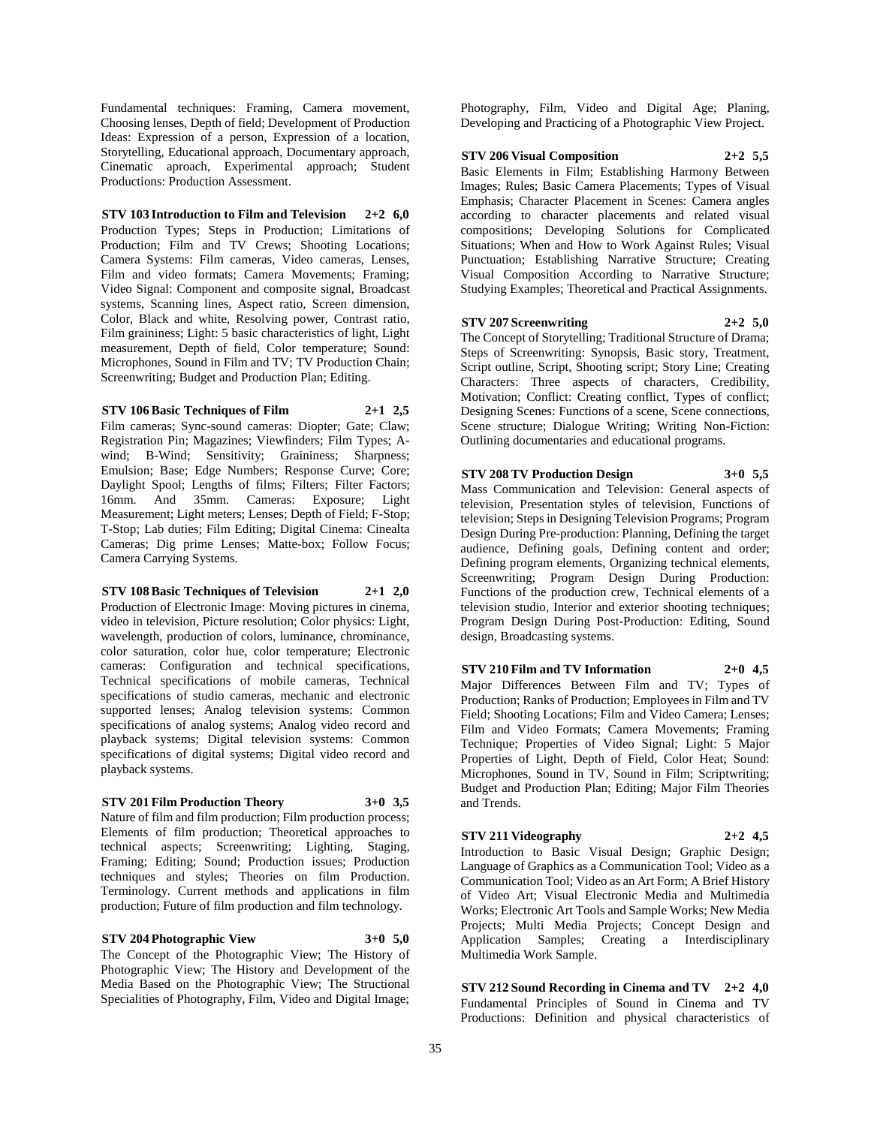Fundamental techniques: Framing, Camera movement, Choosing lenses, Depth of field; Development of Production Ideas: Expression of a person, Expression of a location, Storytelling, Educational approach, Documentary approach, Cinematic aproach, Experimental approach; Student Productions: Production Assessment.

# **STV 103 Introduction to Film and Television 2+2 6,0**

Production Types; Steps in Production; Limitations of Production; Film and TV Crews; Shooting Locations; Camera Systems: Film cameras, Video cameras, Lenses, Film and video formats; Camera Movements; Framing; Video Signal: Component and composite signal, Broadcast systems, Scanning lines, Aspect ratio, Screen dimension, Color, Black and white, Resolving power, Contrast ratio, Film graininess; Light: 5 basic characteristics of light, Light measurement, Depth of field, Color temperature; Sound: Microphones, Sound in Film and TV; TV Production Chain; Screenwriting; Budget and Production Plan; Editing.

### **STV 106 Basic Techniques of Film 2+1 2,5**

Film cameras; Sync-sound cameras: Diopter; Gate; Claw; Registration Pin; Magazines; Viewfinders; Film Types; A-

wind; B-Wind; Sensitivity; Graininess; Sharpness; Emulsion; Base; Edge Numbers; Response Curve; Core; Daylight Spool; Lengths of films; Filters; Filter Factors; 16mm. And 35mm. Cameras: Exposure; Light Measurement; Light meters; Lenses; Depth of Field; F-Stop; T-Stop; Lab duties; Film Editing; Digital Cinema: Cinealta Cameras; Dig prime Lenses; Matte-box; Follow Focus; Camera Carrying Systems.

# **STV 108 Basic Techniques of Television 2+1 2,0**

Production of Electronic Image: Moving pictures in cinema, video in television, Picture resolution; Color physics: Light, wavelength, production of colors, luminance, chrominance, color saturation, color hue, color temperature; Electronic cameras: Configuration and technical specifications, Technical specifications of mobile cameras, Technical specifications of studio cameras, mechanic and electronic supported lenses; Analog television systems: Common specifications of analog systems; Analog video record and playback systems; Digital television systems: Common specifications of digital systems; Digital video record and playback systems.

### **STV 201 Film Production Theory 3+0 3,5**

Nature of film and film production; Film production process; Elements of film production; Theoretical approaches to technical aspects; Screenwriting; Lighting, Staging, Framing; Editing; Sound; Production issues; Production techniques and styles; Theories on film Production. Terminology. Current methods and applications in film production; Future of film production and film technology.

**STV 204 Photographic View 3+0 5,0** The Concept of the Photographic View; The History of Photographic View; The History and Development of the Media Based on the Photographic View; The Structional

Specialities of Photography, Film, Video and Digital Image;

Photography, Film, Video and Digital Age; Planing, Developing and Practicing of a Photographic View Project.

#### **STV 206 Visual Composition 2+2 5,5**

Basic Elements in Film; Establishing Harmony Between Images; Rules; Basic Camera Placements; Types of Visual Emphasis; Character Placement in Scenes: Camera angles according to character placements and related visual compositions; Developing Solutions for Complicated Situations; When and How to Work Against Rules; Visual Punctuation; Establishing Narrative Structure; Creating Visual Composition According to Narrative Structure; Studying Examples; Theoretical and Practical Assignments.

#### **STV 207 Screenwriting 2+2 5,0**

The Concept of Storytelling; Traditional Structure of Drama; Steps of Screenwriting: Synopsis, Basic story, Treatment, Script outline, Script, Shooting script; Story Line; Creating Characters: Three aspects of characters, Credibility, Motivation; Conflict: Creating conflict, Types of conflict; Designing Scenes: Functions of a scene, Scene connections, Scene structure; Dialogue Writing; Writing Non-Fiction: Outlining documentaries and educational programs.

#### **STV 208 TV Production Design 3+0 5,5**

Mass Communication and Television: General aspects of television, Presentation styles of television, Functions of television; Steps in Designing Television Programs; Program Design During Pre-production: Planning, Defining the target audience, Defining goals, Defining content and order; Defining program elements, Organizing technical elements, Screenwriting; Program Design During Production: Functions of the production crew, Technical elements of a television studio, Interior and exterior shooting techniques; Program Design During Post-Production: Editing, Sound design, Broadcasting systems.

### **STV 210 Film and TV Information 2+0 4,5**

Major Differences Between Film and TV; Types of Production; Ranks of Production; Employees in Film and TV Field; Shooting Locations; Film and Video Camera; Lenses; Film and Video Formats; Camera Movements; Framing Technique; Properties of Video Signal; Light: 5 Major Properties of Light, Depth of Field, Color Heat; Sound: Microphones, Sound in TV, Sound in Film; Scriptwriting; Budget and Production Plan; Editing; Major Film Theories and Trends.

## **STV 211 Videography 2+2 4,5**

Introduction to Basic Visual Design; Graphic Design; Language of Graphics as a Communication Tool; Video as a Communication Tool; Video as an Art Form; A Brief History of Video Art; Visual Electronic Media and Multimedia Works; Electronic Art Tools and Sample Works; New Media Projects; Multi Media Projects; Concept Design and Application Samples; Creating a Interdisciplinary Multimedia Work Sample.

**STV 212 Sound Recording in Cinema and TV 2+2 4,0** Fundamental Principles of Sound in Cinema and TV Productions: Definition and physical characteristics of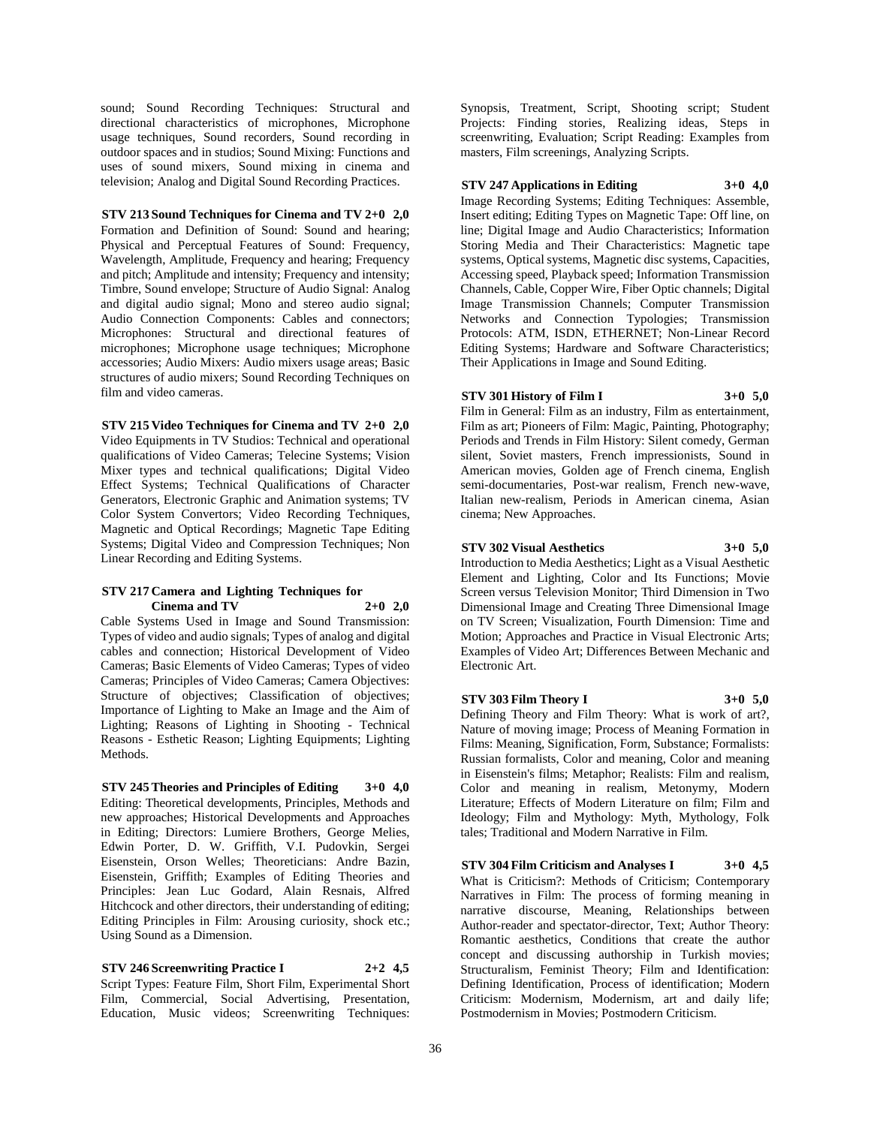sound; Sound Recording Techniques: Structural and directional characteristics of microphones, Microphone usage techniques, Sound recorders, Sound recording in outdoor spaces and in studios; Sound Mixing: Functions and uses of sound mixers, Sound mixing in cinema and television; Analog and Digital Sound Recording Practices.

**STV 213 Sound Techniques for Cinema and TV 2+0 2,0** Formation and Definition of Sound: Sound and hearing; Physical and Perceptual Features of Sound: Frequency, Wavelength, Amplitude, Frequency and hearing; Frequency and pitch; Amplitude and intensity; Frequency and intensity; Timbre, Sound envelope; Structure of Audio Signal: Analog and digital audio signal; Mono and stereo audio signal; Audio Connection Components: Cables and connectors; Microphones: Structural and directional features of microphones; Microphone usage techniques; Microphone accessories; Audio Mixers: Audio mixers usage areas; Basic structures of audio mixers; Sound Recording Techniques on film and video cameras.

#### **STV 215 Video Techniques for Cinema and TV 2+0 2,0**

Video Equipments in TV Studios: Technical and operational qualifications of Video Cameras; Telecine Systems; Vision Mixer types and technical qualifications; Digital Video Effect Systems; Technical Qualifications of Character Generators, Electronic Graphic and Animation systems; TV Color System Convertors; Video Recording Techniques, Magnetic and Optical Recordings; Magnetic Tape Editing Systems; Digital Video and Compression Techniques; Non Linear Recording and Editing Systems.

#### **STV 217 Camera and Lighting Techniques for Cinema and TV 2+0 2,0**

Cable Systems Used in Image and Sound Transmission: Types of video and audio signals; Types of analog and digital cables and connection; Historical Development of Video Cameras; Basic Elements of Video Cameras; Types of video Cameras; Principles of Video Cameras; Camera Objectives: Structure of objectives; Classification of objectives; Importance of Lighting to Make an Image and the Aim of Lighting; Reasons of Lighting in Shooting - Technical Reasons - Esthetic Reason; Lighting Equipments; Lighting Methods.

**STV 245 Theories and Principles of Editing 3+0 4,0** Editing: Theoretical developments, Principles, Methods and new approaches; Historical Developments and Approaches in Editing; Directors: Lumiere Brothers, George Melies, Edwin Porter, D. W. Griffith, V.I. Pudovkin, Sergei Eisenstein, Orson Welles; Theoreticians: Andre Bazin, Eisenstein, Griffith; Examples of Editing Theories and Principles: Jean Luc Godard, Alain Resnais, Alfred Hitchcock and other directors, their understanding of editing; Editing Principles in Film: Arousing curiosity, shock etc.; Using Sound as a Dimension.

# **STV 246 Screenwriting Practice I 2+2 4,5**

Script Types: Feature Film, Short Film, Experimental Short Film, Commercial, Social Advertising, Presentation, Education, Music videos; Screenwriting Techniques:

Synopsis, Treatment, Script, Shooting script; Student Projects: Finding stories, Realizing ideas, Steps in screenwriting, Evaluation; Script Reading: Examples from masters, Film screenings, Analyzing Scripts.

#### **STV 247 Applications in Editing 3+0 4,0**

Image Recording Systems; Editing Techniques: Assemble, Insert editing; Editing Types on Magnetic Tape: Off line, on line; Digital Image and Audio Characteristics; Information Storing Media and Their Characteristics: Magnetic tape systems, Optical systems, Magnetic disc systems, Capacities, Accessing speed, Playback speed; Information Transmission Channels, Cable, Copper Wire, Fiber Optic channels; Digital Image Transmission Channels; Computer Transmission Networks and Connection Typologies; Transmission Protocols: ATM, ISDN, ETHERNET; Non-Linear Record Editing Systems; Hardware and Software Characteristics; Their Applications in Image and Sound Editing.

#### **STV 301 History of Film I 3+0 5,0**

Film in General: Film as an industry, Film as entertainment, Film as art; Pioneers of Film: Magic, Painting, Photography; Periods and Trends in Film History: Silent comedy, German silent, Soviet masters, French impressionists, Sound in American movies, Golden age of French cinema, English semi-documentaries, Post-war realism, French new-wave, Italian new-realism, Periods in American cinema, Asian cinema; New Approaches.

#### **STV 302 Visual Aesthetics 3+0 5,0**

Introduction to Media Aesthetics; Light as a Visual Aesthetic Element and Lighting, Color and Its Functions; Movie Screen versus Television Monitor; Third Dimension in Two Dimensional Image and Creating Three Dimensional Image on TV Screen; Visualization, Fourth Dimension: Time and Motion; Approaches and Practice in Visual Electronic Arts; Examples of Video Art; Differences Between Mechanic and Electronic Art.

#### **STV 303 Film Theory I 3+0 5,0**

Defining Theory and Film Theory: What is work of art?, Nature of moving image; Process of Meaning Formation in Films: Meaning, Signification, Form, Substance; Formalists: Russian formalists, Color and meaning, Color and meaning in Eisenstein's films; Metaphor; Realists: Film and realism, Color and meaning in realism, Metonymy, Modern Literature; Effects of Modern Literature on film; Film and Ideology; Film and Mythology: Myth, Mythology, Folk tales; Traditional and Modern Narrative in Film.

**STV 304 Film Criticism and Analyses I 3+0 4,5** What is Criticism?: Methods of Criticism; Contemporary Narratives in Film: The process of forming meaning in narrative discourse, Meaning, Relationships between Author-reader and spectator-director, Text; Author Theory: Romantic aesthetics, Conditions that create the author concept and discussing authorship in Turkish movies; Structuralism, Feminist Theory; Film and Identification: Defining Identification, Process of identification; Modern Criticism: Modernism, Modernism, art and daily life; Postmodernism in Movies; Postmodern Criticism.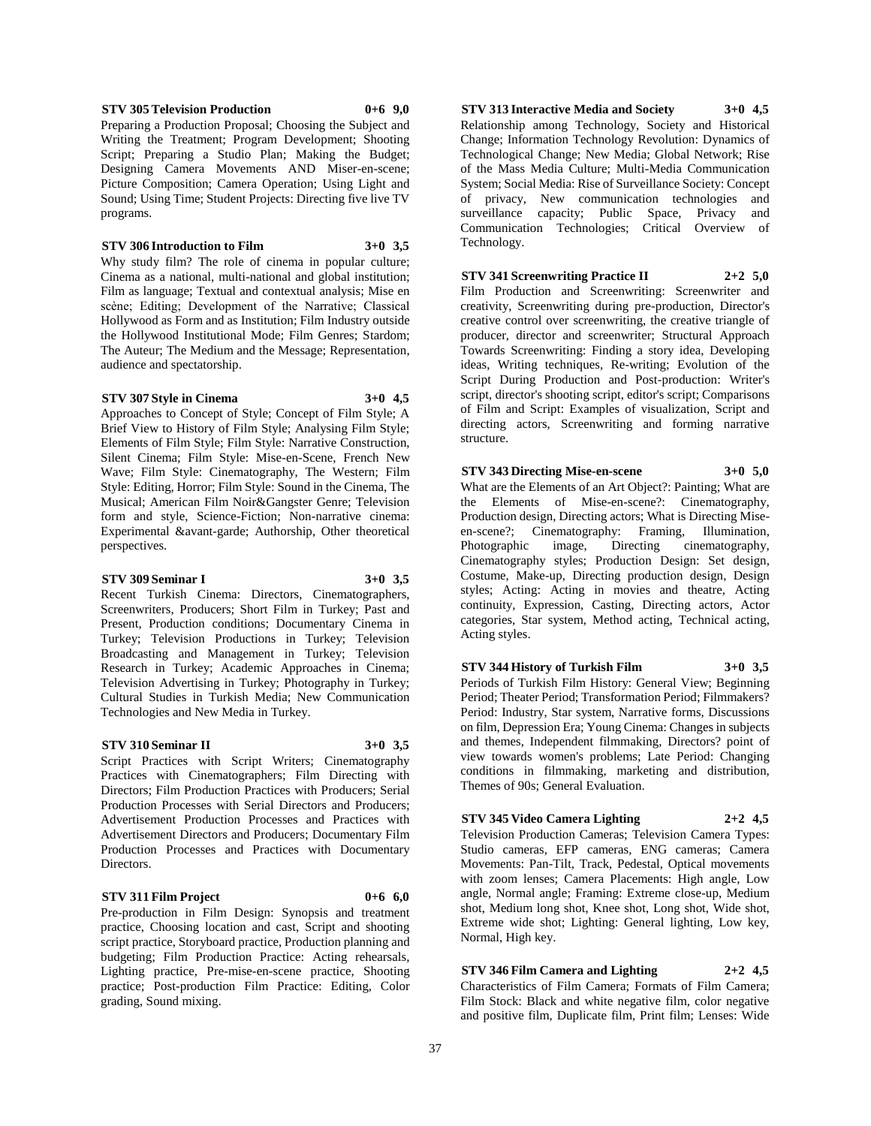Approaches to Concept of Style; Concept of Film Style; A Brief View to History of Film Style; Analysing Film Style; Elements of Film Style; Film Style: Narrative Construction, Silent Cinema; Film Style: Mise-en-Scene, French New Wave; Film Style: Cinematography, The Western; Film Style: Editing, Horror; Film Style: Sound in the Cinema, The Musical; American Film Noir&Gangster Genre; Television form and style, Science-Fiction; Non-narrative cinema: Experimental &avant-garde; Authorship, Other theoretical perspectives.

**STV 307 Style in Cinema 3+0 4,5**

# **STV 309 Seminar I 3+0 3,5**

audience and spectatorship.

Recent Turkish Cinema: Directors, Cinematographers, Screenwriters, Producers; Short Film in Turkey; Past and Present, Production conditions; Documentary Cinema in Turkey; Television Productions in Turkey; Television Broadcasting and Management in Turkey; Television Research in Turkey; Academic Approaches in Cinema;

# **STV 310 Seminar II 3+0 3,5**

Script Practices with Script Writers; Cinematography Practices with Cinematographers; Film Directing with Directors; Film Production Practices with Producers; Serial Production Processes with Serial Directors and Producers; Advertisement Production Processes and Practices with Advertisement Directors and Producers; Documentary Film Production Processes and Practices with Documentary Directors.

Television Advertising in Turkey; Photography in Turkey; Cultural Studies in Turkish Media; New Communication

Technologies and New Media in Turkey.

# **STV 311 Film Project 0+6 6,0**

Pre-production in Film Design: Synopsis and treatment practice, Choosing location and cast, Script and shooting script practice, Storyboard practice, Production planning and budgeting; Film Production Practice: Acting rehearsals, Lighting practice, Pre-mise-en-scene practice, Shooting practice; Post-production Film Practice: Editing, Color grading, Sound mixing.

**STV 313 Interactive Media and Society 3+0 4,5** Relationship among Technology, Society and Historical Change; Information Technology Revolution: Dynamics of Technological Change; New Media; Global Network; Rise of the Mass Media Culture; Multi-Media Communication System; Social Media: Rise of Surveillance Society: Concept of privacy, New communication technologies and surveillance capacity; Public Space, Privacy and Communication Technologies; Critical Overview of Technology.

**STV 341 Screenwriting Practice II 2+2 5,0** Film Production and Screenwriting: Screenwriter and creativity, Screenwriting during pre-production, Director's creative control over screenwriting, the creative triangle of producer, director and screenwriter; Structural Approach Towards Screenwriting: Finding a story idea, Developing ideas, Writing techniques, Re-writing; Evolution of the Script During Production and Post-production: Writer's script, director's shooting script, editor's script; Comparisons of Film and Script: Examples of visualization, Script and directing actors, Screenwriting and forming narrative structure.

# **STV 343 Directing Mise-en-scene 3+0 5,0**

What are the Elements of an Art Object?: Painting; What are the Elements of Mise-en-scene?: Cinematography, Production design, Directing actors; What is Directing Miseen-scene?; Cinematography: Framing, Illumination, Photographic image, Directing cinematography, Cinematography styles; Production Design: Set design, Costume, Make-up, Directing production design, Design styles; Acting: Acting in movies and theatre, Acting continuity, Expression, Casting, Directing actors, Actor categories, Star system, Method acting, Technical acting, Acting styles.

**STV 344 History of Turkish Film 3+0 3,5** Periods of Turkish Film History: General View; Beginning Period; Theater Period; Transformation Period; Filmmakers? Period: Industry, Star system, Narrative forms, Discussions on film, Depression Era; Young Cinema: Changes in subjects and themes, Independent filmmaking, Directors? point of view towards women's problems; Late Period: Changing conditions in filmmaking, marketing and distribution, Themes of 90s; General Evaluation.

# **STV 345 Video Camera Lighting 2+2 4,5**

Television Production Cameras; Television Camera Types: Studio cameras, EFP cameras, ENG cameras; Camera Movements: Pan-Tilt, Track, Pedestal, Optical movements with zoom lenses; Camera Placements: High angle, Low angle, Normal angle; Framing: Extreme close-up, Medium shot, Medium long shot, Knee shot, Long shot, Wide shot, Extreme wide shot; Lighting: General lighting, Low key, Normal, High key.

# **STV 346 Film Camera and Lighting 2+2 4,5**

Characteristics of Film Camera; Formats of Film Camera; Film Stock: Black and white negative film, color negative and positive film, Duplicate film, Print film; Lenses: Wide

#### **STV 305 Television Production 0+6 9,0**

programs.

Writing the Treatment; Program Development; Shooting Script; Preparing a Studio Plan; Making the Budget; Designing Camera Movements AND Miser-en-scene; Picture Composition; Camera Operation; Using Light and Sound; Using Time; Student Projects: Directing five live TV

**STV 306 Introduction to Film 3+0 3,5** Why study film? The role of cinema in popular culture; Cinema as a national, multi-national and global institution; Film as language; Textual and contextual analysis; Mise en scène; Editing; Development of the Narrative; Classical Hollywood as Form and as Institution; Film Industry outside the Hollywood Institutional Mode; Film Genres; Stardom; The Auteur; The Medium and the Message; Representation,

Preparing a Production Proposal; Choosing the Subject and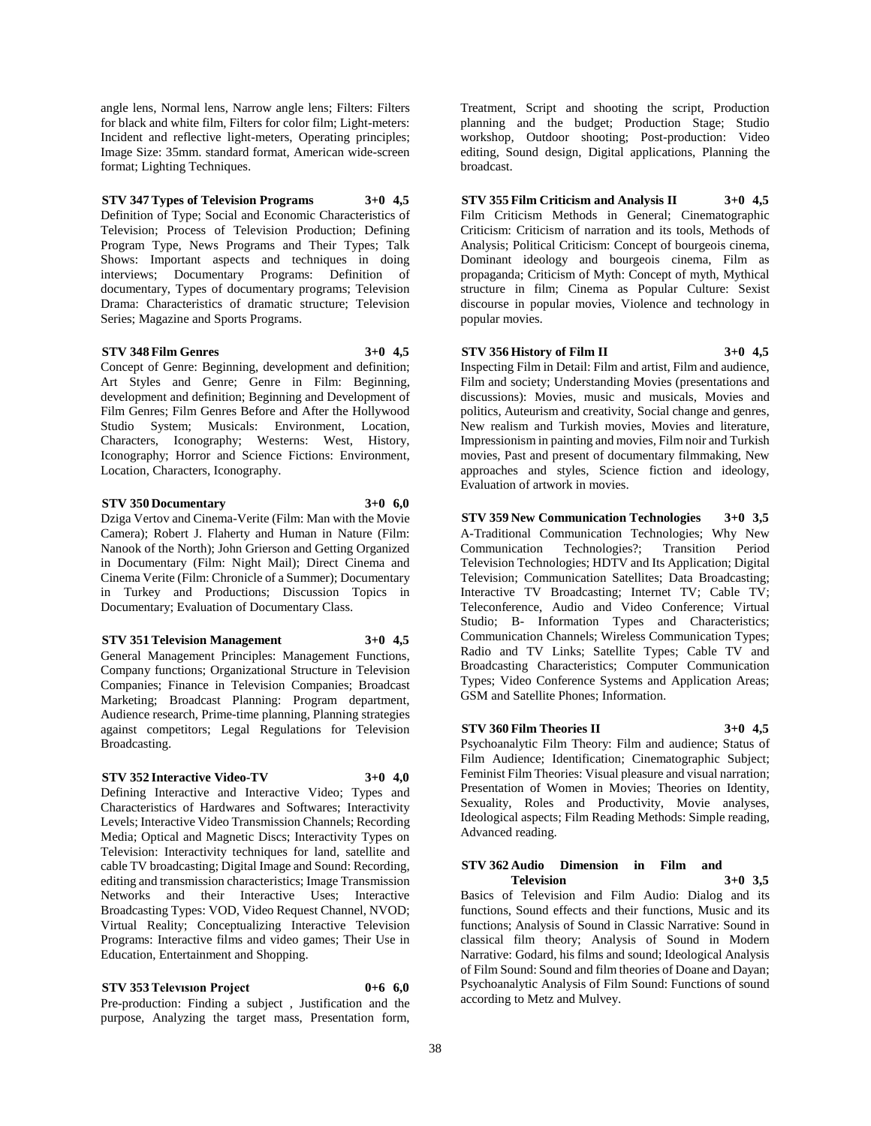angle lens, Normal lens, Narrow angle lens; Filters: Filters for black and white film, Filters for color film; Light-meters: Incident and reflective light-meters, Operating principles; Image Size: 35mm. standard format, American wide-screen format; Lighting Techniques.

### **STV 347 Types of Television Programs 3+0 4,5**

Definition of Type; Social and Economic Characteristics of Television; Process of Television Production; Defining Program Type, News Programs and Their Types; Talk Shows: Important aspects and techniques in doing interviews; Documentary Programs: Definition of documentary, Types of documentary programs; Television Drama: Characteristics of dramatic structure; Television Series; Magazine and Sports Programs.

#### **STV 348 Film Genres 3+0 4,5**

Concept of Genre: Beginning, development and definition; Art Styles and Genre; Genre in Film: Beginning, development and definition; Beginning and Development of Film Genres; Film Genres Before and After the Hollywood Studio System; Musicals: Environment, Location, Characters, Iconography; Westerns: West, History, Iconography; Horror and Science Fictions: Environment, Location, Characters, Iconography.

#### **STV 350 Documentary 3+0 6,0**

Dziga Vertov and Cinema-Verite (Film: Man with the Movie Camera); Robert J. Flaherty and Human in Nature (Film: Nanook of the North); John Grierson and Getting Organized in Documentary (Film: Night Mail); Direct Cinema and Cinema Verite (Film: Chronicle of a Summer); Documentary in Turkey and Productions; Discussion Topics in Documentary; Evaluation of Documentary Class.

#### **STV 351 Television Management 3+0 4,5**

General Management Principles: Management Functions,

Company functions; Organizational Structure in Television Companies; Finance in Television Companies; Broadcast Marketing; Broadcast Planning: Program department, Audience research, Prime-time planning, Planning strategies against competitors; Legal Regulations for Television Broadcasting.

#### **STV 352 Interactive Video-TV 3+0 4,0**

Defining Interactive and Interactive Video; Types and Characteristics of Hardwares and Softwares; Interactivity Levels; Interactive Video Transmission Channels; Recording Media; Optical and Magnetic Discs; Interactivity Types on Television: Interactivity techniques for land, satellite and cable TV broadcasting; Digital Image and Sound: Recording, editing and transmission characteristics; Image Transmission Networks and their Interactive Uses; Interactive Broadcasting Types: VOD, Video Request Channel, NVOD; Virtual Reality; Conceptualizing Interactive Television Programs: Interactive films and video games; Their Use in Education, Entertainment and Shopping.

# **STV 353 Televısıon Project 0+6 6,0**

Pre-production: Finding a subject , Justification and the purpose, Analyzing the target mass, Presentation form, Treatment, Script and shooting the script, Production planning and the budget; Production Stage; Studio workshop, Outdoor shooting; Post-production: Video editing, Sound design, Digital applications, Planning the broadcast.

**STV 355 Film Criticism and Analysis II 3+0 4,5** Film Criticism Methods in General; Cinematographic Criticism: Criticism of narration and its tools, Methods of Analysis; Political Criticism: Concept of bourgeois cinema, Dominant ideology and bourgeois cinema, Film as propaganda; Criticism of Myth: Concept of myth, Mythical structure in film; Cinema as Popular Culture: Sexist discourse in popular movies, Violence and technology in popular movies.

### **STV 356 History of Film II 3+0 4,5**

Inspecting Film in Detail: Film and artist, Film and audience, Film and society; Understanding Movies (presentations and discussions): Movies, music and musicals, Movies and politics, Auteurism and creativity, Social change and genres, New realism and Turkish movies, Movies and literature, Impressionism in painting and movies, Film noir and Turkish movies, Past and present of documentary filmmaking, New approaches and styles, Science fiction and ideology, Evaluation of artwork in movies.

**STV 359 New Communication Technologies 3+0 3,5** A-Traditional Communication Technologies; Why New Communication Technologies?; Transition Period Television Technologies; HDTV and Its Application; Digital Television; Communication Satellites; Data Broadcasting; Interactive TV Broadcasting; Internet TV; Cable TV; Teleconference, Audio and Video Conference; Virtual Studio; B- Information Types and Characteristics; Communication Channels; Wireless Communication Types; Radio and TV Links; Satellite Types; Cable TV and Broadcasting Characteristics; Computer Communication Types; Video Conference Systems and Application Areas; GSM and Satellite Phones; Information.

# **STV 360 Film Theories II 3+0 4,5**

Psychoanalytic Film Theory: Film and audience; Status of Film Audience; Identification; Cinematographic Subject; Feminist Film Theories: Visual pleasure and visual narration; Presentation of Women in Movies; Theories on Identity, Sexuality, Roles and Productivity, Movie analyses, Ideological aspects; Film Reading Methods: Simple reading, Advanced reading.

#### **STV 362 Audio Dimension in Film and Television 3+0 3,5**

Basics of Television and Film Audio: Dialog and its functions, Sound effects and their functions, Music and its functions; Analysis of Sound in Classic Narrative: Sound in classical film theory; Analysis of Sound in Modern Narrative: Godard, his films and sound; Ideological Analysis of Film Sound: Sound and film theories of Doane and Dayan; Psychoanalytic Analysis of Film Sound: Functions of sound according to Metz and Mulvey.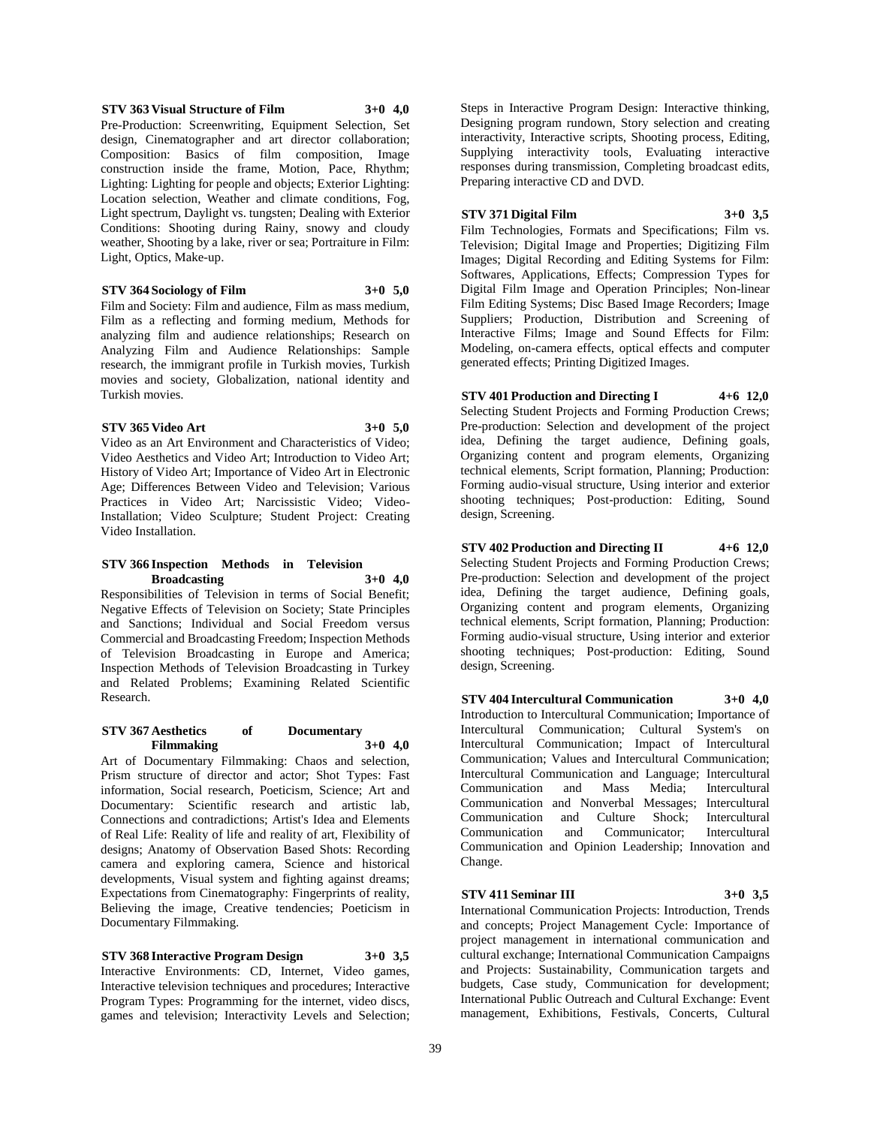#### **STV 363 Visual Structure of Film 3+0 4,0** Pre-Production: Screenwriting, Equipment Selection, Set design, Cinematographer and art director collaboration; Composition: Basics of film composition, Image construction inside the frame, Motion, Pace, Rhythm; Lighting: Lighting for people and objects; Exterior Lighting: Location selection, Weather and climate conditions, Fog, Light spectrum, Daylight vs. tungsten; Dealing with Exterior Conditions: Shooting during Rainy, snowy and cloudy weather, Shooting by a lake, river or sea; Portraiture in Film:

#### **STV 364 Sociology of Film 3+0 5,0**

Film and Society: Film and audience, Film as mass medium, Film as a reflecting and forming medium, Methods for analyzing film and audience relationships; Research on Analyzing Film and Audience Relationships: Sample research, the immigrant profile in Turkish movies, Turkish movies and society, Globalization, national identity and Turkish movies.

#### **STV 365 Video Art 3+0 5,0**

Light, Optics, Make-up.

Video as an Art Environment and Characteristics of Video; Video Aesthetics and Video Art; Introduction to Video Art; History of Video Art; Importance of Video Art in Electronic Age; Differences Between Video and Television; Various Practices in Video Art; Narcissistic Video; Video-Installation; Video Sculpture; Student Project: Creating Video Installation.

#### **STV 366 Inspection Methods in Television Broadcasting 3+0 4,0**

Responsibilities of Television in terms of Social Benefit; Negative Effects of Television on Society; State Principles and Sanctions; Individual and Social Freedom versus Commercial and Broadcasting Freedom; Inspection Methods of Television Broadcasting in Europe and America; Inspection Methods of Television Broadcasting in Turkey and Related Problems; Examining Related Scientific Research.

#### **STV 367 Aesthetics of Documentary Filmmaking 3+0 4,0**

Art of Documentary Filmmaking: Chaos and selection, Prism structure of director and actor; Shot Types: Fast information, Social research, Poeticism, Science; Art and Documentary: Scientific research and artistic lab, Connections and contradictions; Artist's Idea and Elements of Real Life: Reality of life and reality of art, Flexibility of designs; Anatomy of Observation Based Shots: Recording camera and exploring camera, Science and historical developments, Visual system and fighting against dreams; Expectations from Cinematography: Fingerprints of reality, Believing the image, Creative tendencies; Poeticism in Documentary Filmmaking.

**STV 368 Interactive Program Design 3+0 3,5** Interactive Environments: CD, Internet, Video games, Interactive television techniques and procedures; Interactive Program Types: Programming for the internet, video discs, games and television; Interactivity Levels and Selection;

Steps in Interactive Program Design: Interactive thinking, Designing program rundown, Story selection and creating interactivity, Interactive scripts, Shooting process, Editing, Supplying interactivity tools, Evaluating interactive responses during transmission, Completing broadcast edits, Preparing interactive CD and DVD.

#### **STV 371 Digital Film 3+0 3,5**

Film Technologies, Formats and Specifications; Film vs. Television; Digital Image and Properties; Digitizing Film Images; Digital Recording and Editing Systems for Film: Softwares, Applications, Effects; Compression Types for Digital Film Image and Operation Principles; Non-linear Film Editing Systems; Disc Based Image Recorders; Image Suppliers; Production, Distribution and Screening of Interactive Films; Image and Sound Effects for Film: Modeling, on-camera effects, optical effects and computer generated effects; Printing Digitized Images.

**STV 401 Production and Directing I 4+6 12,0** Selecting Student Projects and Forming Production Crews; Pre-production: Selection and development of the project idea, Defining the target audience, Defining goals, Organizing content and program elements, Organizing technical elements, Script formation, Planning; Production: Forming audio-visual structure, Using interior and exterior shooting techniques; Post-production: Editing, Sound design, Screening.

**STV 402 Production and Directing II 4+6 12,0** Selecting Student Projects and Forming Production Crews; Pre-production: Selection and development of the project idea, Defining the target audience, Defining goals, Organizing content and program elements, Organizing technical elements, Script formation, Planning; Production: Forming audio-visual structure, Using interior and exterior shooting techniques; Post-production: Editing, Sound design, Screening.

**STV 404 Intercultural Communication 3+0 4,0** Introduction to Intercultural Communication; Importance of Intercultural Communication; Cultural System's on Intercultural Communication; Impact of Intercultural Communication; Values and Intercultural Communication; Intercultural Communication and Language; Intercultural Communication and Mass Media; Intercultural Communication and Nonverbal Messages; Intercultural Communication and Culture Shock; Intercultural Communication and Communicator; Intercultural Communication and Opinion Leadership; Innovation and Change.

#### **STV 411 Seminar III 3+0 3,5**

International Communication Projects: Introduction, Trends and concepts; Project Management Cycle: Importance of project management in international communication and cultural exchange; International Communication Campaigns and Projects: Sustainability, Communication targets and budgets, Case study, Communication for development; International Public Outreach and Cultural Exchange: Event management, Exhibitions, Festivals, Concerts, Cultural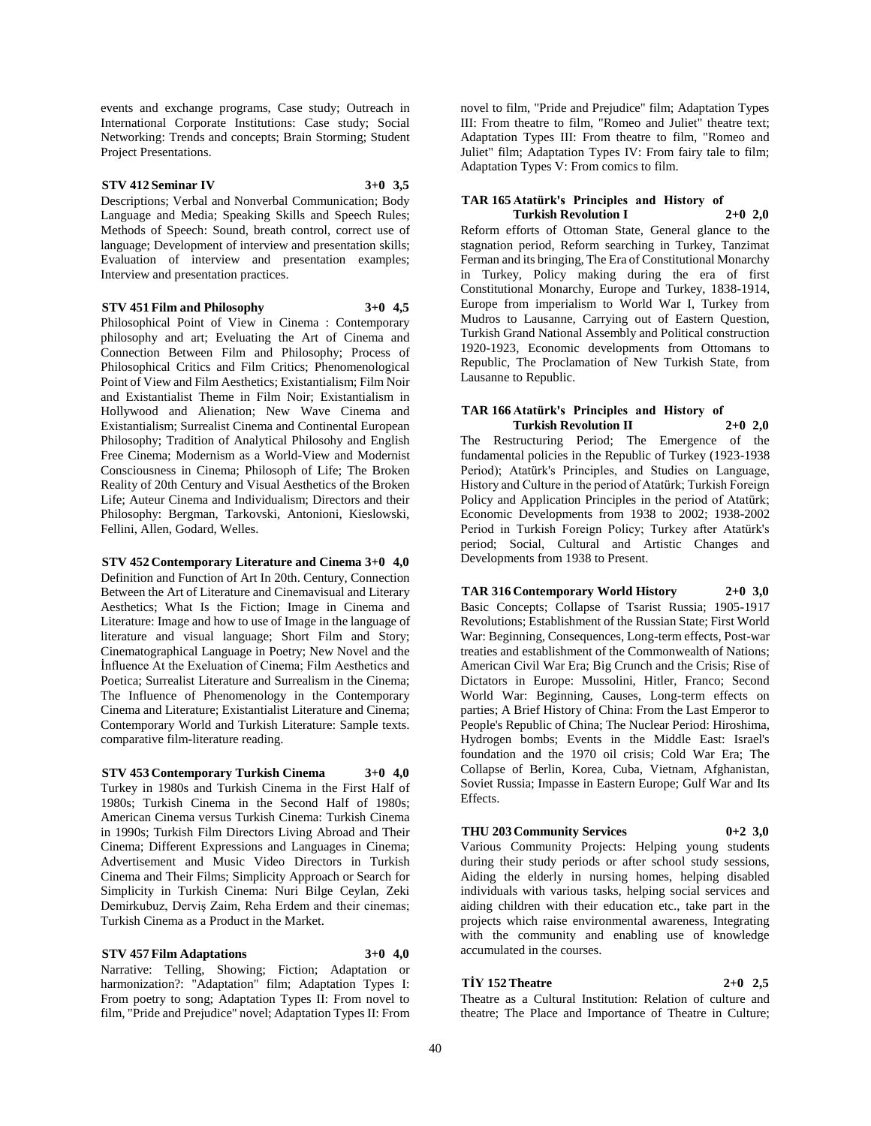events and exchange programs, Case study; Outreach in International Corporate Institutions: Case study; Social Networking: Trends and concepts; Brain Storming; Student Project Presentations.

#### **STV 412 Seminar IV 3+0 3,5**

Descriptions; Verbal and Nonverbal Communication; Body Language and Media; Speaking Skills and Speech Rules; Methods of Speech: Sound, breath control, correct use of language; Development of interview and presentation skills; Evaluation of interview and presentation examples; Interview and presentation practices.

#### **STV 451 Film and Philosophy 3+0 4,5**

Philosophical Point of View in Cinema : Contemporary philosophy and art; Eveluating the Art of Cinema and Connection Between Film and Philosophy; Process of Philosophical Critics and Film Critics; Phenomenological Point of View and Film Aesthetics; Existantialism; Film Noir and Existantialist Theme in Film Noir; Existantialism in Hollywood and Alienation; New Wave Cinema and Existantialism; Surrealist Cinema and Continental European Philosophy; Tradition of Analytical Philosohy and English Free Cinema; Modernism as a World-View and Modernist Consciousness in Cinema; Philosoph of Life; The Broken Reality of 20th Century and Visual Aesthetics of the Broken Life; Auteur Cinema and Individualism; Directors and their Philosophy: Bergman, Tarkovski, Antonioni, Kieslowski, Fellini, Allen, Godard, Welles.

**STV 452 Contemporary Literature and Cinema 3+0 4,0**

Definition and Function of Art In 20th. Century, Connection Between the Art of Literature and Cinemavisual and Literary Aesthetics; What Is the Fiction; Image in Cinema and Literature: Image and how to use of Image in the language of literature and visual language; Short Film and Story; Cinematographical Language in Poetry; New Novel and the İnfluence At the Exeluation of Cinema; Film Aesthetics and Poetica; Surrealist Literature and Surrealism in the Cinema; The Influence of Phenomenology in the Contemporary Cinema and Literature; Existantialist Literature and Cinema; Contemporary World and Turkish Literature: Sample texts. comparative film-literature reading.

**STV 453 Contemporary Turkish Cinema 3+0 4,0** Turkey in 1980s and Turkish Cinema in the First Half of 1980s; Turkish Cinema in the Second Half of 1980s; American Cinema versus Turkish Cinema: Turkish Cinema in 1990s; Turkish Film Directors Living Abroad and Their Cinema; Different Expressions and Languages in Cinema; Advertisement and Music Video Directors in Turkish Cinema and Their Films; Simplicity Approach or Search for Simplicity in Turkish Cinema: Nuri Bilge Ceylan, Zeki Demirkubuz, Derviş Zaim, Reha Erdem and their cinemas; Turkish Cinema as a Product in the Market.

**STV 457 Film Adaptations 3+0 4,0** Narrative: Telling, Showing; Fiction; Adaptation or harmonization?: "Adaptation" film; Adaptation Types I: From poetry to song; Adaptation Types II: From novel to film, "Pride and Prejudice" novel; Adaptation Types II: From novel to film, "Pride and Prejudice" film; Adaptation Types III: From theatre to film, "Romeo and Juliet" theatre text; Adaptation Types III: From theatre to film, "Romeo and Juliet" film; Adaptation Types IV: From fairy tale to film; Adaptation Types V: From comics to film.

#### **TAR 165 Atatürk's Principles and History of Turkish Revolution I**

Reform efforts of Ottoman State, General glance to the stagnation period, Reform searching in Turkey, Tanzimat Ferman and its bringing, The Era of Constitutional Monarchy in Turkey, Policy making during the era of first Constitutional Monarchy, Europe and Turkey, 1838-1914, Europe from imperialism to World War I, Turkey from Mudros to Lausanne, Carrying out of Eastern Question, Turkish Grand National Assembly and Political construction 1920-1923, Economic developments from Ottomans to Republic, The Proclamation of New Turkish State, from Lausanne to Republic.

# **TAR 166 Atatürk's Principles and History of Turkish Revolution II 2+0 2,0**

The Restructuring Period; The Emergence of the fundamental policies in the Republic of Turkey (1923-1938 Period); Atatürk's Principles, and Studies on Language, History and Culture in the period of Atatürk; Turkish Foreign Policy and Application Principles in the period of Atatürk; Economic Developments from 1938 to 2002; 1938-2002 Period in Turkish Foreign Policy; Turkey after Atatürk's period; Social, Cultural and Artistic Changes and Developments from 1938 to Present.

**TAR 316 Contemporary World History 2+0 3,0** Basic Concepts; Collapse of Tsarist Russia; 1905-1917 Revolutions; Establishment of the Russian State; First World War: Beginning, Consequences, Long-term effects, Post-war treaties and establishment of the Commonwealth of Nations; American Civil War Era; Big Crunch and the Crisis; Rise of Dictators in Europe: Mussolini, Hitler, Franco; Second World War: Beginning, Causes, Long-term effects on parties; A Brief History of China: From the Last Emperor to People's Republic of China; The Nuclear Period: Hiroshima, Hydrogen bombs; Events in the Middle East: Israel's foundation and the 1970 oil crisis; Cold War Era; The Collapse of Berlin, Korea, Cuba, Vietnam, Afghanistan, Soviet Russia; Impasse in Eastern Europe; Gulf War and Its Effects.

### **THU 203 Community Services 0+2 3,0**

Various Community Projects: Helping young students during their study periods or after school study sessions, Aiding the elderly in nursing homes, helping disabled individuals with various tasks, helping social services and aiding children with their education etc., take part in the projects which raise environmental awareness, Integrating with the community and enabling use of knowledge accumulated in the courses.

# **TİY 152 Theatre 2+0 2,5**

Theatre as a Cultural Institution: Relation of culture and theatre; The Place and Importance of Theatre in Culture;